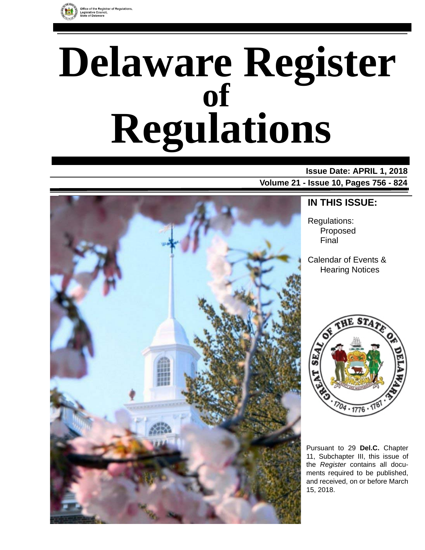

# **Delaware Register Regulations of**

## **Issue Date: APRIL 1, 2018**

**Volume 21 - Issue 10, Pages 756 - 824**



### **IN THIS ISSUE:**

Regulations: Proposed Final

Calendar of Events & Hearing Notices



Pursuant to 29 **Del.C.** Chapter 11, Subchapter III, this issue of the *Register* contains all documents required to be published, and received, on or before March 15, 2018.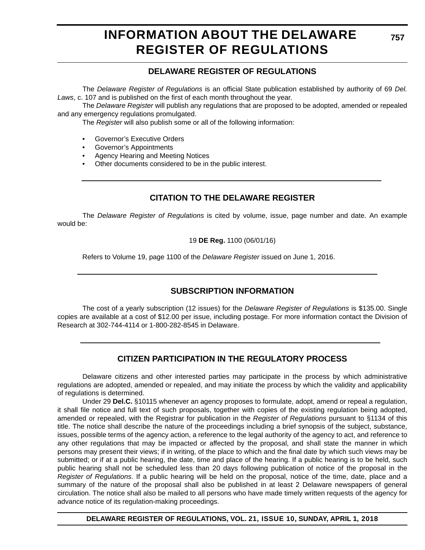### **INFORMATION ABOUT THE DELAWARE REGISTER OF REGULATIONS**

### **DELAWARE REGISTER OF REGULATIONS**

The *Delaware Register of Regulations* is an official State publication established by authority of 69 *Del. Laws*, c. 107 and is published on the first of each month throughout the year.

The *Delaware Register* will publish any regulations that are proposed to be adopted, amended or repealed and any emergency regulations promulgated.

The *Register* will also publish some or all of the following information:

- Governor's Executive Orders
- Governor's Appointments
- Agency Hearing and Meeting Notices
- Other documents considered to be in the public interest.

### **CITATION TO THE DELAWARE REGISTER**

The *Delaware Register of Regulations* is cited by volume, issue, page number and date. An example would be:

19 **DE Reg.** 1100 (06/01/16)

Refers to Volume 19, page 1100 of the *Delaware Register* issued on June 1, 2016.

### **SUBSCRIPTION INFORMATION**

The cost of a yearly subscription (12 issues) for the *Delaware Register of Regulations* is \$135.00. Single copies are available at a cost of \$12.00 per issue, including postage. For more information contact the Division of Research at 302-744-4114 or 1-800-282-8545 in Delaware.

### **CITIZEN PARTICIPATION IN THE REGULATORY PROCESS**

Delaware citizens and other interested parties may participate in the process by which administrative regulations are adopted, amended or repealed, and may initiate the process by which the validity and applicability of regulations is determined.

Under 29 **Del.C.** §10115 whenever an agency proposes to formulate, adopt, amend or repeal a regulation, it shall file notice and full text of such proposals, together with copies of the existing regulation being adopted, amended or repealed, with the Registrar for publication in the *Register of Regulations* pursuant to §1134 of this title. The notice shall describe the nature of the proceedings including a brief synopsis of the subject, substance, issues, possible terms of the agency action, a reference to the legal authority of the agency to act, and reference to any other regulations that may be impacted or affected by the proposal, and shall state the manner in which persons may present their views; if in writing, of the place to which and the final date by which such views may be submitted; or if at a public hearing, the date, time and place of the hearing. If a public hearing is to be held, such public hearing shall not be scheduled less than 20 days following publication of notice of the proposal in the *Register of Regulations*. If a public hearing will be held on the proposal, notice of the time, date, place and a summary of the nature of the proposal shall also be published in at least 2 Delaware newspapers of general circulation. The notice shall also be mailed to all persons who have made timely written requests of the agency for advance notice of its regulation-making proceedings.

**DELAWARE REGISTER OF REGULATIONS, VOL. 21, ISSUE 10, SUNDAY, APRIL 1, 2018**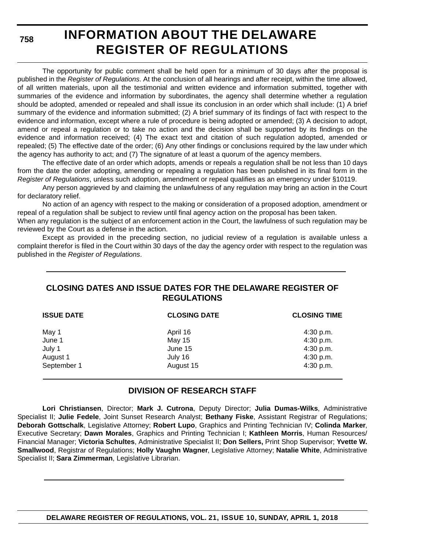**758**

### **INFORMATION ABOUT THE DELAWARE REGISTER OF REGULATIONS**

The opportunity for public comment shall be held open for a minimum of 30 days after the proposal is published in the *Register of Regulations*. At the conclusion of all hearings and after receipt, within the time allowed, of all written materials, upon all the testimonial and written evidence and information submitted, together with summaries of the evidence and information by subordinates, the agency shall determine whether a regulation should be adopted, amended or repealed and shall issue its conclusion in an order which shall include: (1) A brief summary of the evidence and information submitted; (2) A brief summary of its findings of fact with respect to the evidence and information, except where a rule of procedure is being adopted or amended; (3) A decision to adopt, amend or repeal a regulation or to take no action and the decision shall be supported by its findings on the evidence and information received; (4) The exact text and citation of such regulation adopted, amended or repealed; (5) The effective date of the order; (6) Any other findings or conclusions required by the law under which the agency has authority to act; and (7) The signature of at least a quorum of the agency members.

The effective date of an order which adopts, amends or repeals a regulation shall be not less than 10 days from the date the order adopting, amending or repealing a regulation has been published in its final form in the *Register of Regulations*, unless such adoption, amendment or repeal qualifies as an emergency under §10119.

Any person aggrieved by and claiming the unlawfulness of any regulation may bring an action in the Court for declaratory relief.

No action of an agency with respect to the making or consideration of a proposed adoption, amendment or repeal of a regulation shall be subject to review until final agency action on the proposal has been taken.

When any regulation is the subject of an enforcement action in the Court, the lawfulness of such regulation may be reviewed by the Court as a defense in the action.

Except as provided in the preceding section, no judicial review of a regulation is available unless a complaint therefor is filed in the Court within 30 days of the day the agency order with respect to the regulation was published in the *Register of Regulations*.

### **CLOSING DATES AND ISSUE DATES FOR THE DELAWARE REGISTER OF REGULATIONS**

| <b>ISSUE DATE</b> | <b>CLOSING DATE</b> | <b>CLOSING TIME</b> |
|-------------------|---------------------|---------------------|
| May 1             | April 16            | 4:30 p.m.           |
| June 1            | May 15              | 4:30 p.m.           |
| July 1            | June 15             | 4:30 p.m.           |
| August 1          | July 16             | 4:30 p.m.           |
| September 1       | August 15           | 4:30 p.m.           |

### **DIVISION OF RESEARCH STAFF**

**Lori Christiansen**, Director; **Mark J. Cutrona**, Deputy Director; **Julia Dumas-Wilks**, Administrative Specialist II; **Julie Fedele**, Joint Sunset Research Analyst; **Bethany Fiske**, Assistant Registrar of Regulations; **Deborah Gottschalk**, Legislative Attorney; **Robert Lupo**, Graphics and Printing Technician IV; **Colinda Marker**, Executive Secretary; **Dawn Morales**, Graphics and Printing Technician I; **Kathleen Morris**, Human Resources/ Financial Manager; **Victoria Schultes**, Administrative Specialist II; **Don Sellers,** Print Shop Supervisor; **Yvette W. Smallwood**, Registrar of Regulations; **Holly Vaughn Wagner**, Legislative Attorney; **Natalie White**, Administrative Specialist II; **Sara Zimmerman**, Legislative Librarian.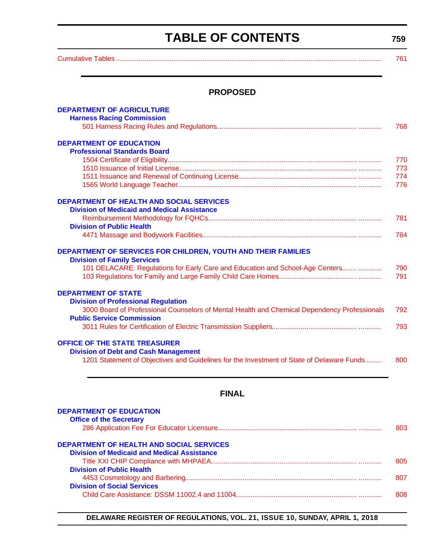### **TABLE OF CONTENTS**

**759**

<span id="page-3-0"></span>[Cumulative Tables............................................................................................................................. ............ 761](#page-5-0)

### **PROPOSED**

| <b>DEPARTMENT OF AGRICULTURE</b><br><b>Harness Racing Commission</b>                         | 768 |
|----------------------------------------------------------------------------------------------|-----|
| <b>DEPARTMENT OF EDUCATION</b>                                                               |     |
| <b>Professional Standards Board</b>                                                          |     |
|                                                                                              | 770 |
|                                                                                              | 773 |
|                                                                                              | 774 |
|                                                                                              | 776 |
|                                                                                              |     |
| <b>DEPARTMENT OF HEALTH AND SOCIAL SERVICES</b>                                              |     |
| <b>Division of Medicaid and Medical Assistance</b>                                           |     |
|                                                                                              | 781 |
| <b>Division of Public Health</b>                                                             |     |
|                                                                                              | 784 |
|                                                                                              |     |
| <b>DEPARTMENT OF SERVICES FOR CHILDREN, YOUTH AND THEIR FAMILIES</b>                         |     |
| <b>Division of Family Services</b>                                                           |     |
| 101 DELACARE: Regulations for Early Care and Education and School-Age Centers                | 790 |
|                                                                                              | 791 |
|                                                                                              |     |
| <b>DEPARTMENT OF STATE</b>                                                                   |     |
| <b>Division of Professional Regulation</b>                                                   |     |
| 3000 Board of Professional Counselors of Mental Health and Chemical Dependency Professionals | 792 |
| <b>Public Service Commission</b>                                                             |     |
|                                                                                              | 793 |
|                                                                                              |     |
| <b>OFFICE OF THE STATE TREASURER</b>                                                         |     |
| <b>Division of Debt and Cash Management</b>                                                  |     |
| 1201 Statement of Objectives and Guidelines for the Investment of State of Delaware Funds    | 800 |
|                                                                                              |     |

### **FINAL**

| <b>DEPARTMENT OF EDUCATION</b><br><b>Office of the Secretary</b> |      |
|------------------------------------------------------------------|------|
|                                                                  | 803. |
| <b>DEPARTMENT OF HEALTH AND SOCIAL SERVICES</b>                  |      |
| <b>Division of Medicaid and Medical Assistance</b>               |      |
|                                                                  | 805  |
| <b>Division of Public Health</b>                                 |      |
|                                                                  | 807  |
| <b>Division of Social Services</b>                               |      |
|                                                                  | 808. |
|                                                                  |      |

### **DELAWARE REGISTER OF REGULATIONS, VOL. 21, ISSUE 10, SUNDAY, APRIL 1, 2018**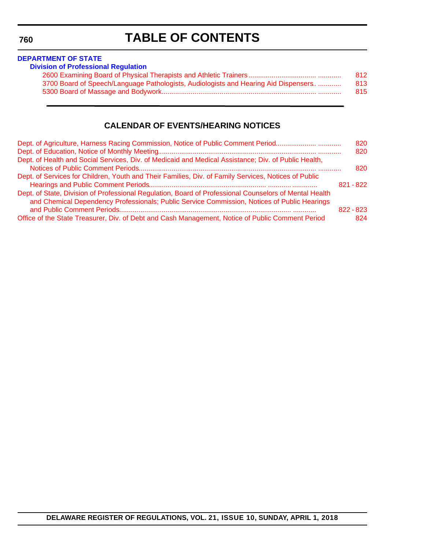**DELAWARE REGISTER OF REGULATIONS, VOL. 21, ISSUE 10, SUNDAY, APRIL 1, 2018**

<span id="page-4-0"></span>**760**

### **TABLE OF CONTENTS**

|                                                                                      | 812 |
|--------------------------------------------------------------------------------------|-----|
| 3700 Board of Speech/Language Pathologists, Audiologists and Hearing Aid Dispensers. | 813 |
|                                                                                      | 815 |

### **CALENDAR OF EVENTS/HEARING NOTICES**

| Dept. of Agriculture, Harness Racing Commission, Notice of Public Comment Period                       | 820<br>820  |
|--------------------------------------------------------------------------------------------------------|-------------|
| Dept. of Health and Social Services, Div. of Medicaid and Medical Assistance; Div. of Public Health,   |             |
|                                                                                                        | 820         |
| Dept. of Services for Children, Youth and Their Families, Div. of Family Services, Notices of Public   |             |
|                                                                                                        | $821 - 822$ |
| Dept. of State, Division of Professional Regulation, Board of Professional Counselors of Mental Health |             |
| and Chemical Dependency Professionals; Public Service Commission, Notices of Public Hearings           |             |
|                                                                                                        | $822 - 823$ |
| Office of the State Treasurer, Div. of Debt and Cash Management, Notice of Public Comment Period       | 824         |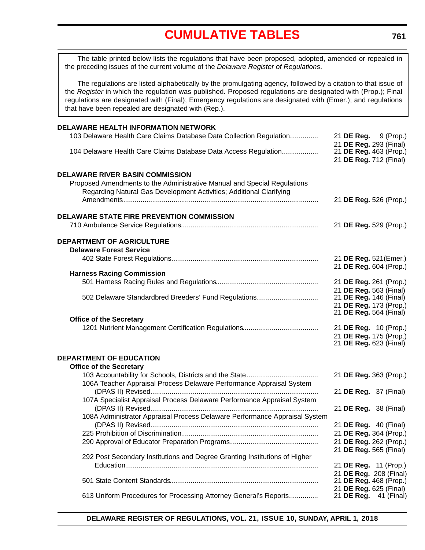<span id="page-5-0"></span>The table printed below lists the regulations that have been proposed, adopted, amended or repealed in the preceding issues of the current volume of the *Delaware Register of Regulations*.

The regulations are listed alphabetically by the promulgating agency, followed by a citation to that issue of the *Register* in which the regulation was published. Proposed regulations are designated with (Prop.); Final regulations are designated with (Final); Emergency regulations are designated with (Emer.); and regulations that have been repealed are designated with (Rep.).

| <b>DELAWARE HEALTH INFORMATION NETWORK</b>                                                                                                                                                |                                                       |  |
|-------------------------------------------------------------------------------------------------------------------------------------------------------------------------------------------|-------------------------------------------------------|--|
| 103 Delaware Health Care Claims Database Data Collection Regulation                                                                                                                       | 21 <b>DE Reg.</b> 9 (Prop.)<br>21 DE Reg. 293 (Final) |  |
| 104 Delaware Health Care Claims Database Data Access Regulation                                                                                                                           | 21 DE Reg. 463 (Prop.)<br>21 DE Reg. 712 (Final)      |  |
| <b>DELAWARE RIVER BASIN COMMISSION</b><br>Proposed Amendments to the Administrative Manual and Special Regulations<br>Regarding Natural Gas Development Activities; Additional Clarifying | 21 DE Reg. 526 (Prop.)                                |  |
| <b>DELAWARE STATE FIRE PREVENTION COMMISSION</b>                                                                                                                                          | 21 DE Reg. 529 (Prop.)                                |  |
| <b>DEPARTMENT OF AGRICULTURE</b><br><b>Delaware Forest Service</b>                                                                                                                        |                                                       |  |
|                                                                                                                                                                                           | 21 DE Reg. 521(Emer.)<br>21 DE Reg. 604 (Prop.)       |  |
| <b>Harness Racing Commission</b>                                                                                                                                                          |                                                       |  |
|                                                                                                                                                                                           | 21 DE Reg. 261 (Prop.)                                |  |
|                                                                                                                                                                                           | 21 DE Reg. 563 (Final)                                |  |
| 502 Delaware Standardbred Breeders' Fund Regulations                                                                                                                                      | 21 <b>DE Reg.</b> 146 (Final)                         |  |
|                                                                                                                                                                                           | 21 DE Reg. 173 (Prop.)                                |  |
| <b>Office of the Secretary</b>                                                                                                                                                            | 21 DE Reg. 564 (Final)                                |  |
|                                                                                                                                                                                           | 21 DE Reg. 10 (Prop.)                                 |  |
|                                                                                                                                                                                           | 21 DE Reg. 175 (Prop.)                                |  |
|                                                                                                                                                                                           | 21 DE Reg. 623 (Final)                                |  |
| DEPARTMENT OF EDUCATION                                                                                                                                                                   |                                                       |  |
| <b>Office of the Secretary</b>                                                                                                                                                            |                                                       |  |
|                                                                                                                                                                                           | 21 DE Reg. 363 (Prop.)                                |  |
| 106A Teacher Appraisal Process Delaware Performance Appraisal System                                                                                                                      |                                                       |  |
|                                                                                                                                                                                           | 21 <b>DE Reg.</b> 37 (Final)                          |  |
| 107A Specialist Appraisal Process Delaware Performance Appraisal System                                                                                                                   |                                                       |  |
|                                                                                                                                                                                           | 21 DE Reg. 38 (Final)                                 |  |
| 108A Administrator Appraisal Process Delaware Performance Appraisal System                                                                                                                |                                                       |  |
|                                                                                                                                                                                           | 21 DE Reg. 40 (Final)                                 |  |
|                                                                                                                                                                                           | 21 DE Reg. 364 (Prop.)                                |  |
|                                                                                                                                                                                           | 21 DE Reg. 262 (Prop.)                                |  |
| 292 Post Secondary Institutions and Degree Granting Institutions of Higher                                                                                                                | 21 DE Reg. 565 (Final)                                |  |
|                                                                                                                                                                                           | 21 <b>DE Reg.</b> 11 (Prop.)                          |  |
|                                                                                                                                                                                           | 21 DE Reg. 208 (Final)                                |  |
|                                                                                                                                                                                           | 21 DE Reg. 468 (Prop.)                                |  |
|                                                                                                                                                                                           | 21 DE Reg. 625 (Final)                                |  |
| 613 Uniform Procedures for Processing Attorney General's Reports                                                                                                                          | 21 <b>DE Reg.</b> 41 (Final)                          |  |
|                                                                                                                                                                                           |                                                       |  |

**DELAWARE REGISTER OF REGULATIONS, VOL. 21, ISSUE 10, SUNDAY, APRIL 1, 2018**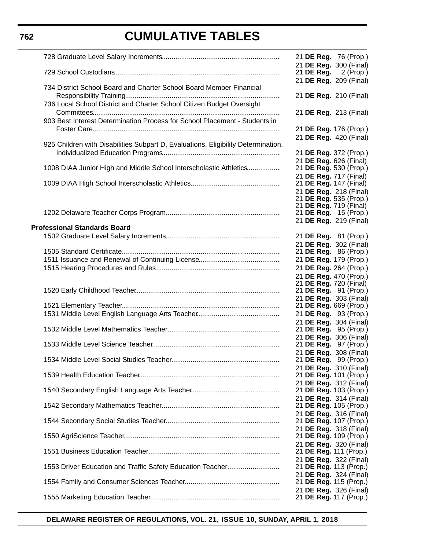|                                                                                   | 21 <b>DE Reg.</b> 76 (Prop.)                            |
|-----------------------------------------------------------------------------------|---------------------------------------------------------|
|                                                                                   | 21 DE Reg. 300 (Final)<br>21 DE Reg. $2$ (Prop.)        |
|                                                                                   | 21 DE Reg. 209 (Final)                                  |
| 734 District School Board and Charter School Board Member Financial               | 21 DE Reg. 210 (Final)                                  |
| 736 Local School District and Charter School Citizen Budget Oversight             |                                                         |
|                                                                                   | 21 DE Reg. 213 (Final)                                  |
| 903 Best Interest Determination Process for School Placement - Students in        |                                                         |
|                                                                                   | 21 DE Reg. 176 (Prop.)<br>21 DE Reg. 420 (Final)        |
| 925 Children with Disabilities Subpart D, Evaluations, Eligibility Determination, |                                                         |
|                                                                                   | 21 DE Reg. 372 (Prop.)<br>21 DE Reg. 626 (Final)        |
| 1008 DIAA Junior High and Middle School Interscholastic Athletics                 | 21 DE Reg. 530 (Prop.)                                  |
|                                                                                   | 21 DE Reg. 717 (Final)                                  |
|                                                                                   | 21 <b>DE Reg.</b> 147 (Final)<br>21 DE Reg. 218 (Final) |
|                                                                                   | 21 DE Reg. 535 (Prop.)                                  |
|                                                                                   | 21 DE Reg. 719 (Final)<br>21 DE Reg. 15 (Prop.)         |
|                                                                                   | 21 DE Reg. 219 (Final)                                  |
| <b>Professional Standards Board</b>                                               | 21 DE Reg. 81 (Prop.)                                   |
|                                                                                   | 21 DE Reg. 302 (Final)                                  |
|                                                                                   | 21 <b>DE Reg.</b> 86 (Prop.)                            |
|                                                                                   | 21 DE Reg. 179 (Prop.)<br>21 DE Reg. 264 (Prop.)        |
|                                                                                   | 21 DE Reg. 470 (Prop.)                                  |
|                                                                                   | 21 DE Reg. 720 (Final)                                  |
|                                                                                   | 21 DE Reg. 91 (Prop.)<br>21 DE Reg. 303 (Final)         |
|                                                                                   | 21 DE Reg. 669 (Prop.)                                  |
|                                                                                   | 21 DE Reg. 93 (Prop.)<br>21 DE Reg. 304 (Final)         |
|                                                                                   | 21 DE Reg. 95 (Prop.)                                   |
|                                                                                   | 21 DE Reg. 306 (Final)                                  |
|                                                                                   | 21 DE Reg. 97 (Prop.)<br>21 DE Reg. 308 (Final)         |
|                                                                                   | 21 <b>DE Reg.</b> 99 (Prop.)                            |
|                                                                                   | 21 DE Reg. 310 (Final)<br>21 DE Reg. 101 (Prop.)        |
|                                                                                   | 21 DE Reg. 312 (Final)                                  |
|                                                                                   | 21 DE Reg. 103 (Prop.)                                  |
|                                                                                   | 21 DE Reg. 314 (Final)<br>21 DE Reg. 105 (Prop.)        |
|                                                                                   | 21 DE Reg. 316 (Final)                                  |
|                                                                                   | 21 DE Reg. 107 (Prop.)<br>21 DE Reg. 318 (Final)        |
|                                                                                   | 21 DE Reg. 109 (Prop.)                                  |
|                                                                                   | 21 DE Reg. 320 (Final)                                  |
|                                                                                   | 21 DE Reg. 111 (Prop.)<br>21 DE Reg. 322 (Final)        |
| 1553 Driver Education and Traffic Safety Education Teacher                        | 21 DE Reg. 113 (Prop.)                                  |
|                                                                                   | 21 DE Reg. 324 (Final)<br>21 DE Reg. 115 (Prop.)        |
|                                                                                   | 21 DE Reg. 326 (Final)                                  |
|                                                                                   | 21 DE Reg. 117 (Prop.)                                  |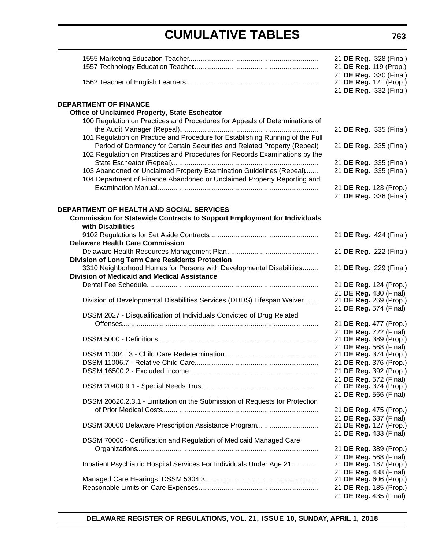|                                                                                                                           | 21 DE Reg. 328 (Final)<br>21 DE Reg. 119 (Prop.) |
|---------------------------------------------------------------------------------------------------------------------------|--------------------------------------------------|
|                                                                                                                           | 21 DE Reg. 330 (Final)                           |
|                                                                                                                           | 21 DE Reg. 121 (Prop.)<br>21 DE Reg. 332 (Final) |
| <b>DEPARTMENT OF FINANCE</b>                                                                                              |                                                  |
| Office of Unclaimed Property, State Escheator                                                                             |                                                  |
| 100 Regulation on Practices and Procedures for Appeals of Determinations of                                               | 21 DE Reg. 335 (Final)                           |
| 101 Regulation on Practice and Procedure for Establishing Running of the Full                                             |                                                  |
| Period of Dormancy for Certain Securities and Related Property (Repeal)                                                   | 21 DE Reg. 335 (Final)                           |
| 102 Regulation on Practices and Procedures for Records Examinations by the                                                |                                                  |
| 103 Abandoned or Unclaimed Property Examination Guidelines (Repeal)                                                       | 21 DE Reg. 335 (Final)<br>21 DE Reg. 335 (Final) |
| 104 Department of Finance Abandoned or Unclaimed Property Reporting and                                                   |                                                  |
|                                                                                                                           | 21 DE Reg. 123 (Prop.)                           |
|                                                                                                                           | 21 DE Reg. 336 (Final)                           |
| <b>DEPARTMENT OF HEALTH AND SOCIAL SERVICES</b>                                                                           |                                                  |
| <b>Commission for Statewide Contracts to Support Employment for Individuals</b><br>with Disabilities                      |                                                  |
|                                                                                                                           | 21 DE Reg. 424 (Final)                           |
| <b>Delaware Health Care Commission</b>                                                                                    |                                                  |
|                                                                                                                           | 21 DE Reg. 222 (Final)                           |
| <b>Division of Long Term Care Residents Protection</b>                                                                    |                                                  |
| 3310 Neighborhood Homes for Persons with Developmental Disabilities<br><b>Division of Medicaid and Medical Assistance</b> | 21 DE Reg. 229 (Final)                           |
|                                                                                                                           | 21 DE Reg. 124 (Prop.)                           |
|                                                                                                                           | 21 DE Reg. 430 (Final)                           |
| Division of Developmental Disabilities Services (DDDS) Lifespan Waiver                                                    | 21 DE Reg. 269 (Prop.)<br>21 DE Reg. 574 (Final) |
| DSSM 2027 - Disqualification of Individuals Convicted of Drug Related                                                     |                                                  |
|                                                                                                                           | 21 DE Reg. 477 (Prop.)                           |
|                                                                                                                           | 21 DE Reg. 722 (Final)<br>21 DE Reg. 389 (Prop.) |
|                                                                                                                           | 21 DE Reg. 568 (Final)                           |
|                                                                                                                           | 21 DE Reg. 374 (Prop.)                           |
|                                                                                                                           | 21 DE Reg. 376 (Prop.)<br>21 DE Reg. 392 (Prop.) |
|                                                                                                                           | 21 DE Reg. 572 (Final)                           |
|                                                                                                                           | 21 DE Reg. 374 (Prop.)                           |
| DSSM 20620.2.3.1 - Limitation on the Submission of Requests for Protection                                                | 21 DE Reg. 566 (Final)                           |
|                                                                                                                           | 21 DE Reg. 475 (Prop.)                           |
|                                                                                                                           | 21 DE Reg. 637 (Final)                           |
| DSSM 30000 Delaware Prescription Assistance Program                                                                       | 21 DE Reg. 127 (Prop.)                           |
| DSSM 70000 - Certification and Regulation of Medicaid Managed Care                                                        | 21 DE Reg. 433 (Final)                           |
|                                                                                                                           | 21 DE Reg. 389 (Prop.)                           |
|                                                                                                                           | 21 DE Reg. 568 (Final)                           |
| Inpatient Psychiatric Hospital Services For Individuals Under Age 21                                                      | 21 DE Reg. 187 (Prop.)<br>21 DE Reg. 438 (Final) |
|                                                                                                                           | 21 DE Reg. 606 (Prop.)                           |
|                                                                                                                           | 21 DE Reg. 185 (Prop.)                           |
|                                                                                                                           | 21 DE Reg. 435 (Final)                           |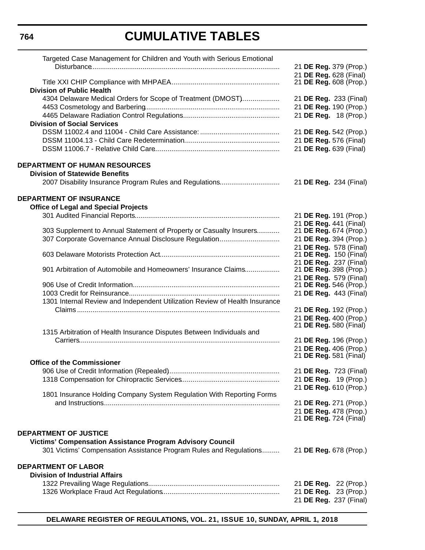| Targeted Case Management for Children and Youth with Serious Emotional      |                                                  |
|-----------------------------------------------------------------------------|--------------------------------------------------|
|                                                                             | 21 DE Reg. 379 (Prop.)                           |
|                                                                             | 21 DE Reg. 628 (Final)<br>21 DE Reg. 608 (Prop.) |
| <b>Division of Public Health</b>                                            |                                                  |
| 4304 Delaware Medical Orders for Scope of Treatment (DMOST)                 | 21 DE Reg. 233 (Final)                           |
|                                                                             | 21 DE Reg. 190 (Prop.)                           |
|                                                                             | 21 DE Reg. 18 (Prop.)                            |
| <b>Division of Social Services</b>                                          |                                                  |
|                                                                             | 21 DE Reg. 542 (Prop.)                           |
|                                                                             | 21 DE Reg. 576 (Final)                           |
|                                                                             | 21 DE Reg. 639 (Final)                           |
| <b>DEPARTMENT OF HUMAN RESOURCES</b>                                        |                                                  |
| <b>Division of Statewide Benefits</b>                                       |                                                  |
| 2007 Disability Insurance Program Rules and Regulations                     | 21 DE Reg. 234 (Final)                           |
| <b>DEPARTMENT OF INSURANCE</b>                                              |                                                  |
| <b>Office of Legal and Special Projects</b>                                 |                                                  |
|                                                                             | 21 DE Reg. 191 (Prop.)                           |
|                                                                             | 21 DE Reg. 441 (Final)                           |
| 303 Supplement to Annual Statement of Property or Casualty Insurers         | 21 DE Reg. 674 (Prop.)                           |
| 307 Corporate Governance Annual Disclosure Regulation                       | 21 DE Reg. 394 (Prop.)                           |
|                                                                             | 21 DE Reg. 578 (Final)                           |
|                                                                             | 21 DE Reg. 150 (Final)                           |
| 901 Arbitration of Automobile and Homeowners' Insurance Claims              | 21 DE Reg. 237 (Final)<br>21 DE Reg. 398 (Prop.) |
|                                                                             | 21 DE Reg. 579 (Final)                           |
|                                                                             | 21 DE Reg. 546 (Prop.)                           |
|                                                                             | 21 DE Reg. 443 (Final)                           |
| 1301 Internal Review and Independent Utilization Review of Health Insurance |                                                  |
|                                                                             | 21 DE Reg. 192 (Prop.)                           |
|                                                                             | 21 DE Reg. 400 (Prop.)                           |
|                                                                             | 21 DE Reg. 580 (Final)                           |
| 1315 Arbitration of Health Insurance Disputes Between Individuals and       |                                                  |
|                                                                             | 21 DE Reg. 196 (Prop.)                           |
|                                                                             | 21 DE Reg. 406 (Prop.)                           |
| <b>Office of the Commissioner</b>                                           | 21 DE Reg. 581 (Final)                           |
|                                                                             | 21 DE Reg. 723 (Final)                           |
|                                                                             | 21 DE Reg. 19 (Prop.)                            |
|                                                                             | 21 DE Reg. 610 (Prop.)                           |
| 1801 Insurance Holding Company System Regulation With Reporting Forms       |                                                  |
|                                                                             | 21 DE Reg. 271 (Prop.)                           |
|                                                                             | 21 DE Reg. 478 (Prop.)                           |
|                                                                             | 21 DE Reg. 724 (Final)                           |
| DEPARTMENT OF JUSTICE                                                       |                                                  |
| <b>Victims' Compensation Assistance Program Advisory Council</b>            |                                                  |
| 301 Victims' Compensation Assistance Program Rules and Regulations          | 21 DE Reg. 678 (Prop.)                           |
| <b>DEPARTMENT OF LABOR</b>                                                  |                                                  |
| <b>Division of Industrial Affairs</b>                                       |                                                  |
|                                                                             | 21 <b>DE Reg.</b> 22 (Prop.)                     |
|                                                                             | 21 DE Reg. 23 (Prop.)                            |
|                                                                             | 21 DE Reg. 237 (Final)                           |
|                                                                             |                                                  |

**DELAWARE REGISTER OF REGULATIONS, VOL. 21, ISSUE 10, SUNDAY, APRIL 1, 2018**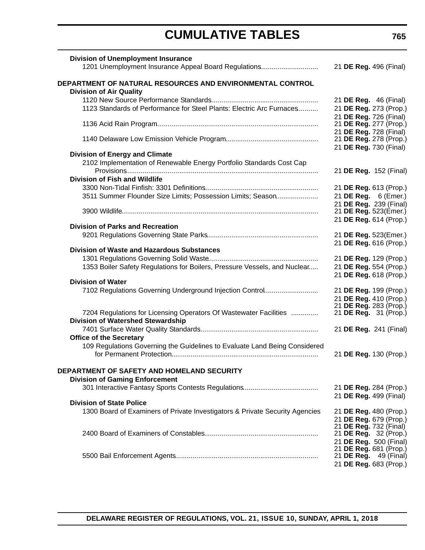| <b>Division of Unemployment Insurance</b>                                    |                                                  |
|------------------------------------------------------------------------------|--------------------------------------------------|
| 1201 Unemployment Insurance Appeal Board Regulations                         | 21 DE Reg. 496 (Final)                           |
| DEPARTMENT OF NATURAL RESOURCES AND ENVIRONMENTAL CONTROL                    |                                                  |
| <b>Division of Air Quality</b>                                               |                                                  |
|                                                                              | 21 DE Reg. 46 (Final)                            |
| 1123 Standards of Performance for Steel Plants: Electric Arc Furnaces        | 21 DE Reg. 273 (Prop.)                           |
|                                                                              | 21 DE Reg. 726 (Final)                           |
|                                                                              | 21 DE Reg. 277 (Prop.)                           |
|                                                                              | 21 DE Reg. 728 (Final)                           |
|                                                                              | 21 DE Reg. 278 (Prop.)                           |
| <b>Division of Energy and Climate</b>                                        | 21 DE Reg. 730 (Final)                           |
| 2102 Implementation of Renewable Energy Portfolio Standards Cost Cap         |                                                  |
|                                                                              | 21 DE Reg. 152 (Final)                           |
| <b>Division of Fish and Wildlife</b>                                         |                                                  |
|                                                                              | 21 DE Reg. 613 (Prop.)                           |
| 3511 Summer Flounder Size Limits; Possession Limits; Season                  | 21 DE Reg. 6 (Emer.)                             |
|                                                                              | 21 DE Reg. 239 (Final)                           |
|                                                                              | 21 DE Reg. 523(Emer.)                            |
|                                                                              | 21 DE Reg. 614 (Prop.)                           |
| <b>Division of Parks and Recreation</b>                                      |                                                  |
|                                                                              | 21 DE Reg. 523(Emer.)                            |
|                                                                              | 21 DE Reg. 616 (Prop.)                           |
| <b>Division of Waste and Hazardous Substances</b>                            |                                                  |
|                                                                              | 21 DE Reg. 129 (Prop.)                           |
| 1353 Boiler Safety Regulations for Boilers, Pressure Vessels, and Nuclear    | 21 DE Reg. 554 (Prop.)                           |
|                                                                              | 21 DE Reg. 618 (Prop.)                           |
| <b>Division of Water</b>                                                     |                                                  |
| 7102 Regulations Governing Underground Injection Control                     | 21 DE Reg. 199 (Prop.)                           |
|                                                                              | 21 DE Reg. 410 (Prop.)<br>21 DE Reg. 283 (Prop.) |
| 7204 Regulations for Licensing Operators Of Wastewater Facilities            | 21 <b>DE Reg.</b> 31 (Prop.)                     |
| <b>Division of Watershed Stewardship</b>                                     |                                                  |
|                                                                              | 21 DE Reg. 241 (Final)                           |
| <b>Office of the Secretary</b>                                               |                                                  |
| 109 Regulations Governing the Guidelines to Evaluate Land Being Considered   |                                                  |
|                                                                              | 21 DE Reg. 130 (Prop.)                           |
|                                                                              |                                                  |
| DEPARTMENT OF SAFETY AND HOMELAND SECURITY                                   |                                                  |
| <b>Division of Gaming Enforcement</b>                                        |                                                  |
|                                                                              | 21 DE Reg. 284 (Prop.)                           |
|                                                                              | 21 DE Reg. 499 (Final)                           |
| <b>Division of State Police</b>                                              |                                                  |
| 1300 Board of Examiners of Private Investigators & Private Security Agencies | 21 DE Reg. 480 (Prop.)                           |
|                                                                              | 21 DE Reg. 679 (Prop.)                           |
|                                                                              | 21 DE Reg. 732 (Final)                           |
|                                                                              | 21 DE Reg. 32 (Prop.)                            |
|                                                                              | 21 DE Reg. 500 (Final)<br>21 DE Reg. 681 (Prop.) |
|                                                                              | 21 <b>DE Reg.</b> 49 (Final)                     |
|                                                                              | 21 DE Reg. 683 (Prop.)                           |
|                                                                              |                                                  |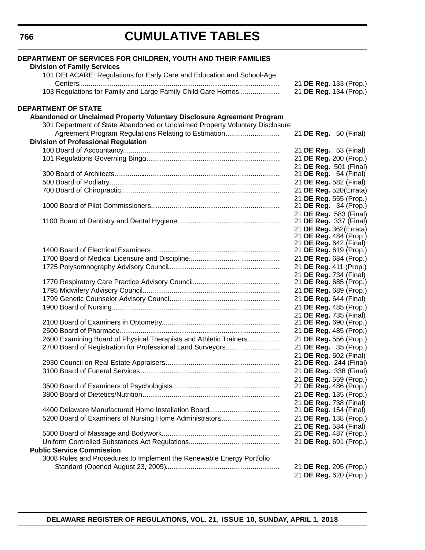| DEPARTMENT OF SERVICES FOR CHILDREN, YOUTH AND THEIR FAMILIES                                               |  |                                                        |
|-------------------------------------------------------------------------------------------------------------|--|--------------------------------------------------------|
| <b>Division of Family Services</b><br>101 DELACARE: Regulations for Early Care and Education and School-Age |  |                                                        |
|                                                                                                             |  | 21 DE Reg. 133 (Prop.)                                 |
| 103 Regulations for Family and Large Family Child Care Homes                                                |  | 21 DE Reg. 134 (Prop.)                                 |
| <b>DEPARTMENT OF STATE</b>                                                                                  |  |                                                        |
| Abandoned or Unclaimed Property Voluntary Disclosure Agreement Program                                      |  |                                                        |
| 301 Department of State Abandoned or Unclaimed Property Voluntary Disclosure                                |  |                                                        |
| Agreement Program Regulations Relating to Estimation                                                        |  | 21 DE Reg. 50 (Final)                                  |
| <b>Division of Professional Regulation</b>                                                                  |  |                                                        |
|                                                                                                             |  | 21 DE Reg. 53 (Final)                                  |
|                                                                                                             |  | 21 DE Reg. 200 (Prop.)                                 |
|                                                                                                             |  | 21 DE Reg. 501 (Final)<br>21 <b>DE Reg.</b> 54 (Final) |
|                                                                                                             |  | 21 DE Reg. 582 (Final)                                 |
|                                                                                                             |  | 21 DE Reg. 520(Errata)                                 |
|                                                                                                             |  | 21 DE Reg. 555 (Prop.)                                 |
|                                                                                                             |  | 21 <b>DE Reg.</b> 34 (Prop.)                           |
|                                                                                                             |  | 21 DE Reg. 583 (Final)                                 |
|                                                                                                             |  | 21 DE Reg. 337 (Final)                                 |
|                                                                                                             |  | 21 DE Reg. 362(Errata)<br>21 DE Reg. 484 (Prop.)       |
|                                                                                                             |  | 21 DE Reg. 642 (Final)                                 |
|                                                                                                             |  | 21 DE Reg. 619 (Prop.)                                 |
|                                                                                                             |  | 21 DE Reg. 684 (Prop.)                                 |
|                                                                                                             |  | 21 DE Reg. 411 (Prop.)                                 |
|                                                                                                             |  | 21 DE Reg. 734 (Final)                                 |
|                                                                                                             |  | 21 DE Reg. 685 (Prop.)                                 |
|                                                                                                             |  | 21 DE Reg. 689 (Prop.)<br>21 DE Reg. 644 (Final)       |
|                                                                                                             |  | 21 DE Reg. 485 (Prop.)                                 |
|                                                                                                             |  | 21 DE Reg. 735 (Final)                                 |
|                                                                                                             |  | 21 DE Reg. 690 (Prop.)                                 |
|                                                                                                             |  | 21 DE Reg. 485 (Prop.)                                 |
| 2600 Examining Board of Physical Therapists and Athletic Trainers                                           |  | 21 DE Reg. 556 (Prop.)                                 |
| 2700 Board of Registration for Professional Land Surveyors                                                  |  | 21 DE Reg. 35 (Prop.)                                  |
|                                                                                                             |  | 21 DE Reg. 502 (Final)                                 |
|                                                                                                             |  | 21 <b>DE Reg.</b> 244 (Final)                          |
|                                                                                                             |  | 21 DE Reg. 338 (Final)                                 |
|                                                                                                             |  | 21 DE Reg. 559 (Prop.)<br>21 DE Reg. 486 (Prop.)       |
|                                                                                                             |  | 21 DE Reg. 135 (Prop.)                                 |
|                                                                                                             |  | 21 DE Reg. 738 (Final)                                 |
|                                                                                                             |  | 21 <b>DE Reg.</b> 154 (Final)                          |
| 5200 Board of Examiners of Nursing Home Administrators                                                      |  | 21 DE Reg. 138 (Prop.)                                 |
|                                                                                                             |  | 21 DE Reg. 584 (Final)                                 |
|                                                                                                             |  | 21 DE Reg. 487 (Prop.)                                 |
|                                                                                                             |  | 21 DE Reg. 691 (Prop.)                                 |
| <b>Public Service Commission</b>                                                                            |  |                                                        |
| 3008 Rules and Procedures to Implement the Renewable Energy Portfolio                                       |  |                                                        |
|                                                                                                             |  | 21 DE Reg. 205 (Prop.)<br>21 DE Reg. 620 (Prop.)       |
|                                                                                                             |  |                                                        |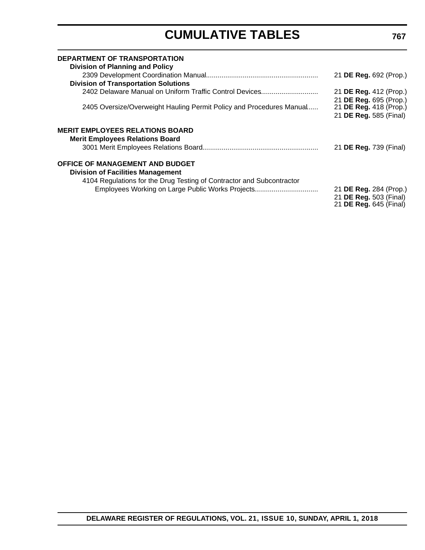| <b>DEPARTMENT OF TRANSPORTATION</b><br><b>Division of Planning and Policy</b>                                             |                                                                                   |
|---------------------------------------------------------------------------------------------------------------------------|-----------------------------------------------------------------------------------|
| <b>Division of Transportation Solutions</b>                                                                               | 21 DE Reg. 692 (Prop.)                                                            |
| 2402 Delaware Manual on Uniform Traffic Control Devices                                                                   | 21 DE Reg. 412 (Prop.)                                                            |
| 2405 Oversize/Overweight Hauling Permit Policy and Procedures Manual                                                      | 21 DE Reg. 695 (Prop.)<br>21 DE Reg. 418 (Prop.)<br>21 DE Reg. 585 (Final)        |
| <b>MERIT EMPLOYEES RELATIONS BOARD</b><br><b>Merit Employees Relations Board</b>                                          | 21 DE Reg. 739 (Final)                                                            |
| <b>OFFICE OF MANAGEMENT AND BUDGET</b><br><b>Division of Facilities Management</b>                                        |                                                                                   |
| 4104 Regulations for the Drug Testing of Contractor and Subcontractor<br>Employees Working on Large Public Works Projects | 21 DE Reg. 284 (Prop.)<br>21 DE Reg. 503 (Final)<br>21 <b>DE Reg.</b> 645 (Final) |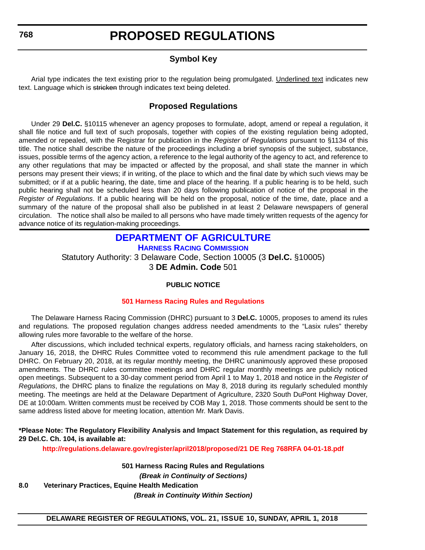### **Symbol Key**

<span id="page-12-0"></span>Arial type indicates the text existing prior to the regulation being promulgated. Underlined text indicates new text. Language which is stricken through indicates text being deleted.

### **Proposed Regulations**

Under 29 **Del.C.** §10115 whenever an agency proposes to formulate, adopt, amend or repeal a regulation, it shall file notice and full text of such proposals, together with copies of the existing regulation being adopted, amended or repealed, with the Registrar for publication in the *Register of Regulations* pursuant to §1134 of this title. The notice shall describe the nature of the proceedings including a brief synopsis of the subject, substance, issues, possible terms of the agency action, a reference to the legal authority of the agency to act, and reference to any other regulations that may be impacted or affected by the proposal, and shall state the manner in which persons may present their views; if in writing, of the place to which and the final date by which such views may be submitted; or if at a public hearing, the date, time and place of the hearing. If a public hearing is to be held, such public hearing shall not be scheduled less than 20 days following publication of notice of the proposal in the *Register of Regulations*. If a public hearing will be held on the proposal, notice of the time, date, place and a summary of the nature of the proposal shall also be published in at least 2 Delaware newspapers of general circulation. The notice shall also be mailed to all persons who have made timely written requests of the agency for advance notice of its regulation-making proceedings.

### **[DEPARTMENT OF AGRICULTURE](https://agriculture.delaware.gov/harness-racing-commission/) [HARNESS RACING COMMISSION](https://agriculture.delaware.gov/harness-racing-commission/)**

Statutory Authority: 3 Delaware Code, Section 10005 (3 **Del.C.** §10005) 3 **DE Admin. Code** 501

### **PUBLIC NOTICE**

### **[501 Harness Racing Rules and Regulations](#page-3-0)**

The Delaware Harness Racing Commission (DHRC) pursuant to 3 **Del.C.** 10005, proposes to amend its rules and regulations*.* The proposed regulation changes address needed amendments to the "Lasix rules" thereby allowing rules more favorable to the welfare of the horse.

After discussions, which included technical experts, regulatory officials, and harness racing stakeholders, on January 16, 2018, the DHRC Rules Committee voted to recommend this rule amendment package to the full DHRC. On February 20, 2018, at its regular monthly meeting, the DHRC unanimously approved these proposed amendments. The DHRC rules committee meetings and DHRC regular monthly meetings are publicly noticed open meetings. Subsequent to a 30-day comment period from April 1 to May 1, 2018 and notice in the *Register of Regulations*, the DHRC plans to finalize the regulations on May 8, 2018 during its regularly scheduled monthly meeting. The meetings are held at the Delaware Department of Agriculture, 2320 South DuPont Highway Dover, DE at 10:00am. Written comments must be received by COB May 1, 2018. Those comments should be sent to the same address listed above for meeting location, attention Mr. Mark Davis.

**\*Please Note: The Regulatory Flexibility Analysis and Impact Statement for this regulation, as required by 29 Del.C. Ch. 104, is available at:**

**<http://regulations.delaware.gov/register/april2018/proposed/21 DE Reg 768RFA 04-01-18.pdf>**

**501 Harness Racing Rules and Regulations** *(Break in Continuity of Sections)* **8.0 Veterinary Practices, Equine Health Medication** *(Break in Continuity Within Section)*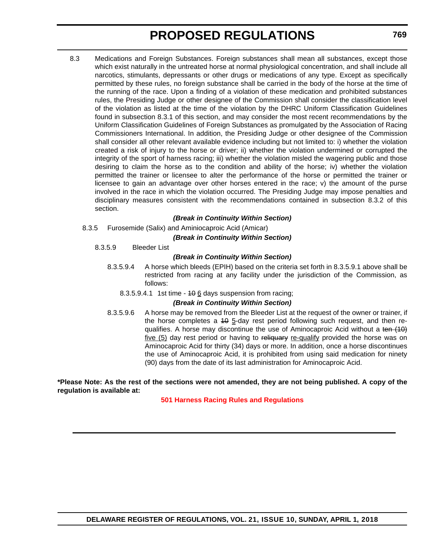8.3 Medications and Foreign Substances. Foreign substances shall mean all substances, except those which exist naturally in the untreated horse at normal physiological concentration, and shall include all narcotics, stimulants, depressants or other drugs or medications of any type. Except as specifically permitted by these rules, no foreign substance shall be carried in the body of the horse at the time of the running of the race. Upon a finding of a violation of these medication and prohibited substances rules, the Presiding Judge or other designee of the Commission shall consider the classification level of the violation as listed at the time of the violation by the DHRC Uniform Classification Guidelines found in subsection 8.3.1 of this section, and may consider the most recent recommendations by the Uniform Classification Guidelines of Foreign Substances as promulgated by the Association of Racing Commissioners International. In addition, the Presiding Judge or other designee of the Commission shall consider all other relevant available evidence including but not limited to: i) whether the violation created a risk of injury to the horse or driver; ii) whether the violation undermined or corrupted the integrity of the sport of harness racing; iii) whether the violation misled the wagering public and those desiring to claim the horse as to the condition and ability of the horse; iv) whether the violation permitted the trainer or licensee to alter the performance of the horse or permitted the trainer or licensee to gain an advantage over other horses entered in the race; v) the amount of the purse involved in the race in which the violation occurred. The Presiding Judge may impose penalties and disciplinary measures consistent with the recommendations contained in subsection 8.3.2 of this section.

### *(Break in Continuity Within Section)*

8.3.5 Furosemide (Salix) and Aminiocaproic Acid (Amicar)

#### *(Break in Continuity Within Section)*

8.3.5.9 Bleeder List

### *(Break in Continuity Within Section)*

- 8.3.5.9.4 A horse which bleeds (EPIH) based on the criteria set forth in 8.3.5.9.1 above shall be restricted from racing at any facility under the jurisdiction of the Commission, as follows:
	- 8.3.5.9.4.1 1st time  $106$  days suspension from racing;

### *(Break in Continuity Within Section)*

8.3.5.9.6 A horse may be removed from the Bleeder List at the request of the owner or trainer, if the horse completes a  $40$   $5$ -day rest period following such request, and then requalifies. A horse may discontinue the use of Aminocaproic Acid without a ten  $(10)$ five (5) day rest period or having to reliquary re-qualify provided the horse was on Aminocaproic Acid for thirty (34) days or more. In addition, once a horse discontinues the use of Aminocaproic Acid, it is prohibited from using said medication for ninety (90) days from the date of its last administration for Aminocaproic Acid.

**\*Please Note: As the rest of the sections were not amended, they are not being published. A copy of the regulation is available at:**

#### **[501 Harness Racing Rules and Regulations](http://regulations.delaware.gov/register/april2018/proposed/21 DE Reg 768 04-01-18.htm)**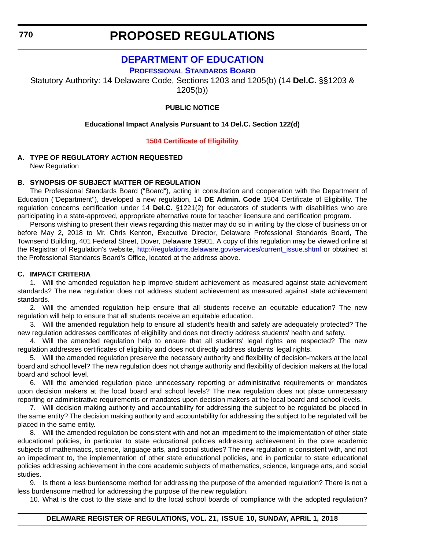<span id="page-14-0"></span>**770**

### **PROPOSED REGULATIONS**

### **[DEPARTMENT OF EDUCATION](https://pubapps.doe.k12.de.us/EducationalDirectoryPublic/pages/DDOE/WorkGroupStaff.aspx?page=branches&WGID=75&BID=1)**

**[PROFESSIONAL STANDARDS BOARD](https://pubapps.doe.k12.de.us/EducationalDirectoryPublic/pages/DDOE/WorkGroupStaff.aspx?page=branches&WGID=75&BID=1)**

Statutory Authority: 14 Delaware Code, Sections 1203 and 1205(b) (14 **Del.C.** §§1203 & 1205(b))

### **PUBLIC NOTICE**

### **Educational Impact Analysis Pursuant to 14 Del.C. Section 122(d)**

### **[1504 Certificate of Eligibility](#page-3-0)**

### **A. TYPE OF REGULATORY ACTION REQUESTED**

New Regulation

### **B. SYNOPSIS OF SUBJECT MATTER OF REGULATION**

The Professional Standards Board ("Board"), acting in consultation and cooperation with the Department of Education ("Department"), developed a new regulation, 14 **DE Admin. Code** 1504 Certificate of Eligibility. The regulation concerns certification under 14 **Del.C.** §1221(2) for educators of students with disabilities who are participating in a state-approved, appropriate alternative route for teacher licensure and certification program.

Persons wishing to present their views regarding this matter may do so in writing by the close of business on or before May 2, 2018 to Mr. Chris Kenton, Executive Director, Delaware Professional Standards Board, The Townsend Building, 401 Federal Street, Dover, Delaware 19901. A copy of this regulation may be viewed online at the Registrar of Regulation's website, [http://regulations.delaware.gov/services/current\\_issue.shtml](http://regulations.delaware.gov/services/current_issue.shtml) or obtained at the Professional Standards Board's Office, located at the address above.

### **C. IMPACT CRITERIA**

1. Will the amended regulation help improve student achievement as measured against state achievement standards? The new regulation does not address student achievement as measured against state achievement standards.

2. Will the amended regulation help ensure that all students receive an equitable education? The new regulation will help to ensure that all students receive an equitable education.

3. Will the amended regulation help to ensure all student's health and safety are adequately protected? The new regulation addresses certificates of eligibility and does not directly address students' health and safety.

4. Will the amended regulation help to ensure that all students' legal rights are respected? The new regulation addresses certificates of eligibility and does not directly address students' legal rights.

5. Will the amended regulation preserve the necessary authority and flexibility of decision-makers at the local board and school level? The new regulation does not change authority and flexibility of decision makers at the local board and school level.

6. Will the amended regulation place unnecessary reporting or administrative requirements or mandates upon decision makers at the local board and school levels? The new regulation does not place unnecessary reporting or administrative requirements or mandates upon decision makers at the local board and school levels.

7. Will decision making authority and accountability for addressing the subject to be regulated be placed in the same entity? The decision making authority and accountability for addressing the subject to be regulated will be placed in the same entity.

8. Will the amended regulation be consistent with and not an impediment to the implementation of other state educational policies, in particular to state educational policies addressing achievement in the core academic subjects of mathematics, science, language arts, and social studies? The new regulation is consistent with, and not an impediment to, the implementation of other state educational policies, and in particular to state educational policies addressing achievement in the core academic subjects of mathematics, science, language arts, and social studies.

9. Is there a less burdensome method for addressing the purpose of the amended regulation? There is not a less burdensome method for addressing the purpose of the new regulation.

10. What is the cost to the state and to the local school boards of compliance with the adopted regulation?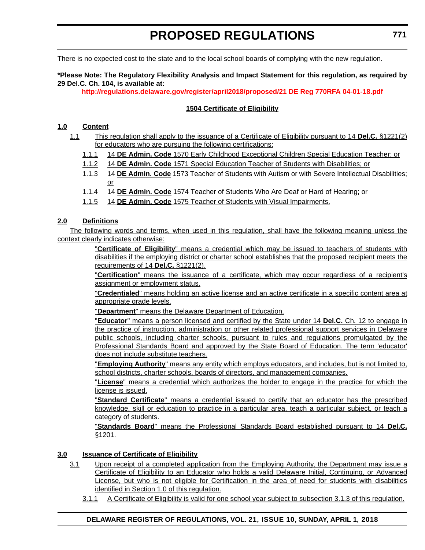There is no expected cost to the state and to the local school boards of complying with the new regulation.

### **\*Please Note: The Regulatory Flexibility Analysis and Impact Statement for this regulation, as required by 29 Del.C. Ch. 104, is available at:**

**<http://regulations.delaware.gov/register/april2018/proposed/21 DE Reg 770RFA 04-01-18.pdf>**

### **1504 Certificate of Eligibility**

### **1.0 Content**

- 1.1 This regulation shall apply to the issuance of a Certificate of Eligibility pursuant to 14 **Del.C.** §1221(2) for educators who are pursuing the following certifications:
	- 1.1.1 14 **DE Admin. Code** 1570 Early Childhood Exceptional Children Special Education Teacher; or
	- 1.1.2 14 **DE Admin. Code** 1571 Special Education Teacher of Students with Disabilities; or
	- 1.1.3 14 **DE Admin. Code** 1573 Teacher of Students with Autism or with Severe Intellectual Disabilities; or
	- 1.1.4 14 **DE Admin. Code** 1574 Teacher of Students Who Are Deaf or Hard of Hearing; or
	- 1.1.5 14 **DE Admin. Code** 1575 Teacher of Students with Visual Impairments.

### **2.0 Definitions**

The following words and terms, when used in this regulation, shall have the following meaning unless the context clearly indicates otherwise:

> "**Certificate of Eligibility**" means a credential which may be issued to teachers of students with disabilities if the employing district or charter school establishes that the proposed recipient meets the requirements of 14 **Del.C.** §1221(2).

> "**Certification**" means the issuance of a certificate, which may occur regardless of a recipient's assignment or employment status.

> "**Credentialed**" means holding an active license and an active certificate in a specific content area at appropriate grade levels.

"**Department**" means the Delaware Department of Education.

"**Educator**" means a person licensed and certified by the State under 14 **Del.C.** Ch. 12 to engage in the practice of instruction, administration or other related professional support services in Delaware public schools, including charter schools, pursuant to rules and regulations promulgated by the Professional Standards Board and approved by the State Board of Education. The term 'educator' does not include substitute teachers.

"**Employing Authority**" means any entity which employs educators, and includes, but is not limited to, school districts, charter schools, boards of directors, and management companies.

"**License**" means a credential which authorizes the holder to engage in the practice for which the license is issued.

"**Standard Certificate**" means a credential issued to certify that an educator has the prescribed knowledge, skill or education to practice in a particular area, teach a particular subject, or teach a category of students.

"**Standards Board**" means the Professional Standards Board established pursuant to 14 **Del.C.** §1201.

### **3.0 Issuance of Certificate of Eligibility**

- 3.1 Upon receipt of a completed application from the Employing Authority, the Department may issue a Certificate of Eligibility to an Educator who holds a valid Delaware Initial, Continuing, or Advanced License, but who is not eligible for Certification in the area of need for students with disabilities identified in Section 1.0 of this regulation.
	- 3.1.1 A Certificate of Eligibility is valid for one school year subject to subsection 3.1.3 of this regulation.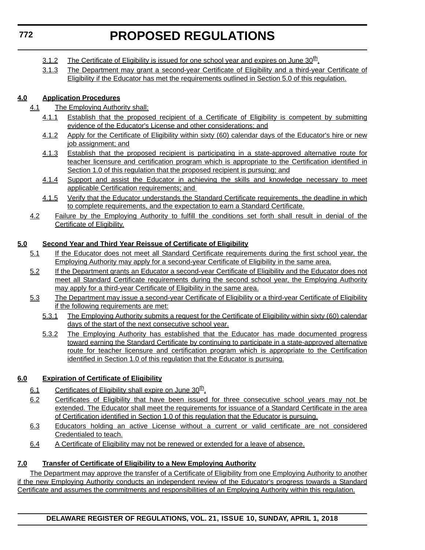- 3.1.2 The Certificate of Eligibility is issued for one school year and expires on June  $30<sup>th</sup>$ .
- 3.1.3 The Department may grant a second-year Certificate of Eligibility and a third-year Certificate of Eligibility if the Educator has met the requirements outlined in Section 5.0 of this regulation.

### **4.0 Application Procedures**

- 4.1 The Employing Authority shall:
	- 4.1.1 Establish that the proposed recipient of a Certificate of Eligibility is competent by submitting evidence of the Educator's License and other considerations; and
	- 4.1.2 Apply for the Certificate of Eligibility within sixty (60) calendar days of the Educator's hire or new job assignment; and
	- 4.1.3 Establish that the proposed recipient is participating in a state-approved alternative route for teacher licensure and certification program which is appropriate to the Certification identified in Section 1.0 of this regulation that the proposed recipient is pursuing; and
	- 4.1.4 Support and assist the Educator in achieving the skills and knowledge necessary to meet applicable Certification requirements; and
	- 4.1.5 Verify that the Educator understands the Standard Certificate requirements, the deadline in which to complete requirements, and the expectation to earn a Standard Certificate.
- 4.2 Failure by the Employing Authority to fulfill the conditions set forth shall result in denial of the Certificate of Eligibility.

### **5.0 Second Year and Third Year Reissue of Certificate of Eligibility**

- 5.1 If the Educator does not meet all Standard Certificate requirements during the first school year, the Employing Authority may apply for a second-year Certificate of Eligibility in the same area.
- 5.2 If the Department grants an Educator a second-year Certificate of Eligibility and the Educator does not meet all Standard Certificate requirements during the second school year, the Employing Authority may apply for a third-year Certificate of Eligibility in the same area.
- 5.3 The Department may issue a second-year Certificate of Eligibility or a third-year Certificate of Eligibility if the following requirements are met:
	- 5.3.1 The Employing Authority submits a request for the Certificate of Eligibility within sixty (60) calendar days of the start of the next consecutive school year.
	- 5.3.2 The Employing Authority has established that the Educator has made documented progress toward earning the Standard Certificate by continuing to participate in a state-approved alternative route for teacher licensure and certification program which is appropriate to the Certification identified in Section 1.0 of this regulation that the Educator is pursuing.

### **6.0 Expiration of Certificate of Eligibility**

- 6.1 Certificates of Eligibility shall expire on June  $30<sup>th</sup>$ .
- 6.2 Certificates of Eligibility that have been issued for three consecutive school years may not be extended. The Educator shall meet the requirements for issuance of a Standard Certificate in the area of Certification identified in Section 1.0 of this regulation that the Educator is pursuing.
- 6.3 Educators holding an active License without a current or valid certificate are not considered Credentialed to teach.
- 6.4 A Certificate of Eligibility may not be renewed or extended for a leave of absence.

### **7.0 Transfer of Certificate of Eligibility to a New Employing Authority**

The Department may approve the transfer of a Certificate of Eligibility from one Employing Authority to another if the new Employing Authority conducts an independent review of the Educator's progress towards a Standard Certificate and assumes the commitments and responsibilities of an Employing Authority within this regulation.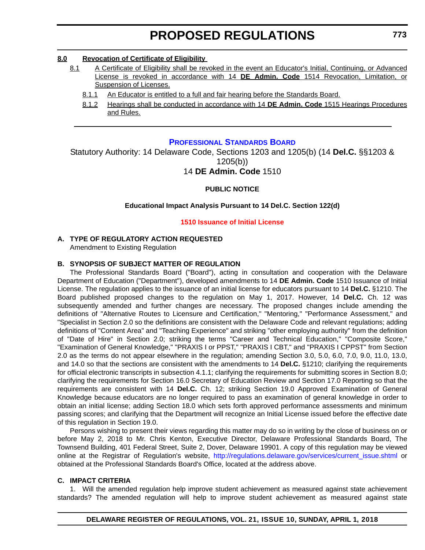### <span id="page-17-0"></span>**8.0 Revocation of Certificate of Eligibility**

- 8.1 A Certificate of Eligibility shall be revoked in the event an Educator's Initial, Continuing, or Advanced License is revoked in accordance with 14 **DE Admin. Code** 1514 Revocation, Limitation, or Suspension of Licenses.
	- 8.1.1 An Educator is entitled to a full and fair hearing before the Standards Board.
	- 8.1.2 Hearings shall be conducted in accordance with 14 **DE Admin. Code** 1515 Hearings Procedures and Rules.

### **[PROFESSIONAL STANDARDS BOARD](https://pubapps.doe.k12.de.us/EducationalDirectoryPublic/pages/DDOE/WorkGroupStaff.aspx?page=branches&WGID=75&BID=1)**

Statutory Authority: 14 Delaware Code, Sections 1203 and 1205(b) (14 **Del.C.** §§1203 & 1205(b))

### 14 **DE Admin. Code** 1510

### **PUBLIC NOTICE**

### **Educational Impact Analysis Pursuant to 14 Del.C. Section 122(d)**

### **[1510 Issuance of Initial License](#page-3-0)**

### **A. TYPE OF REGULATORY ACTION REQUESTED**

Amendment to Existing Regulation

### **B. SYNOPSIS OF SUBJECT MATTER OF REGULATION**

The Professional Standards Board ("Board"), acting in consultation and cooperation with the Delaware Department of Education ("Department"), developed amendments to 14 **DE Admin. Code** 1510 Issuance of Initial License. The regulation applies to the issuance of an initial license for educators pursuant to 14 **Del.C.** §1210. The Board published proposed changes to the regulation on May 1, 2017. However, 14 **Del.C.** Ch. 12 was subsequently amended and further changes are necessary. The proposed changes include amending the definitions of "Alternative Routes to Licensure and Certification," "Mentoring," "Performance Assessment," and "Specialist in Section 2.0 so the definitions are consistent with the Delaware Code and relevant regulations; adding definitions of "Content Area" and "Teaching Experience" and striking "other employing authority" from the definition of "Date of Hire" in Section 2.0; striking the terms "Career and Technical Education," "Composite Score," "Examination of General Knowledge," "PRAXIS I or PPST," "PRAXIS I CBT," and "PRAXIS I CPPST" from Section 2.0 as the terms do not appear elsewhere in the regulation; amending Section 3.0, 5.0, 6.0, 7.0, 9.0, 11.0, 13.0, and 14.0 so that the sections are consistent with the amendments to 14 **Del.C.** §1210; clarifying the requirements for official electronic transcripts in subsection 4.1.1; clarifying the requirements for submitting scores in Section 8.0; clarifying the requirements for Section 16.0 Secretary of Education Review and Section 17.0 Reporting so that the requirements are consistent with 14 **Del.C.** Ch. 12; striking Section 19.0 Approved Examination of General Knowledge because educators are no longer required to pass an examination of general knowledge in order to obtain an initial license; adding Section 18.0 which sets forth approved performance assessments and minimum passing scores; and clarifying that the Department will recognize an Initial License issued before the effective date of this regulation in Section 19.0.

Persons wishing to present their views regarding this matter may do so in writing by the close of business on or before May 2, 2018 to Mr. Chris Kenton, Executive Director, Delaware Professional Standards Board, The Townsend Building, 401 Federal Street, Suite 2, Dover, Delaware 19901. A copy of this regulation may be viewed online at the Registrar of Regulation's website, [http://regulations.delaware.gov/services/current\\_issue.shtml](http://regulations.delaware.gov/services/current_issue.shtml) or obtained at the Professional Standards Board's Office, located at the address above.

### **C. IMPACT CRITERIA**

1. Will the amended regulation help improve student achievement as measured against state achievement standards? The amended regulation will help to improve student achievement as measured against state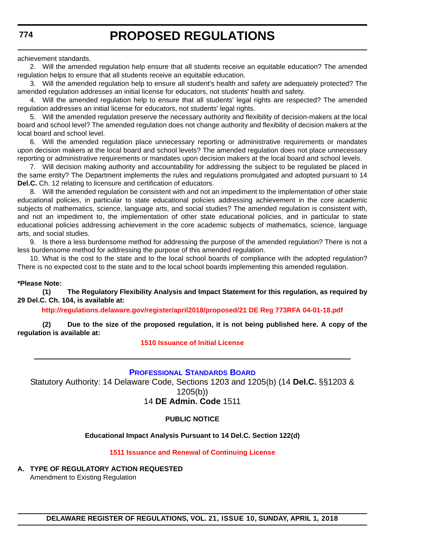<span id="page-18-0"></span>achievement standards.

2. Will the amended regulation help ensure that all students receive an equitable education? The amended regulation helps to ensure that all students receive an equitable education.

3. Will the amended regulation help to ensure all student's health and safety are adequately protected? The amended regulation addresses an initial license for educators, not students' health and safety.

4. Will the amended regulation help to ensure that all students' legal rights are respected? The amended regulation addresses an initial license for educators, not students' legal rights.

5. Will the amended regulation preserve the necessary authority and flexibility of decision-makers at the local board and school level? The amended regulation does not change authority and flexibility of decision makers at the local board and school level.

6. Will the amended regulation place unnecessary reporting or administrative requirements or mandates upon decision makers at the local board and school levels? The amended regulation does not place unnecessary reporting or administrative requirements or mandates upon decision makers at the local board and school levels.

7. Will decision making authority and accountability for addressing the subject to be regulated be placed in the same entity? The Department implements the rules and regulations promulgated and adopted pursuant to 14 **Del.C.** Ch. 12 relating to licensure and certification of educators.

8. Will the amended regulation be consistent with and not an impediment to the implementation of other state educational policies, in particular to state educational policies addressing achievement in the core academic subjects of mathematics, science, language arts, and social studies? The amended regulation is consistent with, and not an impediment to, the implementation of other state educational policies, and in particular to state educational policies addressing achievement in the core academic subjects of mathematics, science, language arts, and social studies.

9. Is there a less burdensome method for addressing the purpose of the amended regulation? There is not a less burdensome method for addressing the purpose of this amended regulation.

10. What is the cost to the state and to the local school boards of compliance with the adopted regulation? There is no expected cost to the state and to the local school boards implementing this amended regulation.

### **\*Please Note:**

**(1) The Regulatory Flexibility Analysis and Impact Statement for this regulation, as required by 29 Del.C. Ch. 104, is available at:**

**<http://regulations.delaware.gov/register/april2018/proposed/21 DE Reg 773RFA 04-01-18.pdf>**

**(2) Due to the size of the proposed regulation, it is not being published here. A copy of the regulation is available at:**

#### **[1510 Issuance of Initial License](http://regulations.delaware.gov/register/april2018/proposed/21 DE Reg 773 04-01-18.htm)**

### **[PROFESSIONAL STANDARDS BOARD](https://pubapps.doe.k12.de.us/EducationalDirectoryPublic/pages/DDOE/WorkGroupStaff.aspx?page=branches&WGID=75&BID=1)**

Statutory Authority: 14 Delaware Code, Sections 1203 and 1205(b) (14 **Del.C.** §§1203 & 1205(b)) 14 **DE Admin. Code** 1511

### **PUBLIC NOTICE**

### **Educational Impact Analysis Pursuant to 14 Del.C. Section 122(d)**

### **[1511 Issuance and Renewal of Continuing License](#page-3-0)**

**A. TYPE OF REGULATORY ACTION REQUESTED** Amendment to Existing Regulation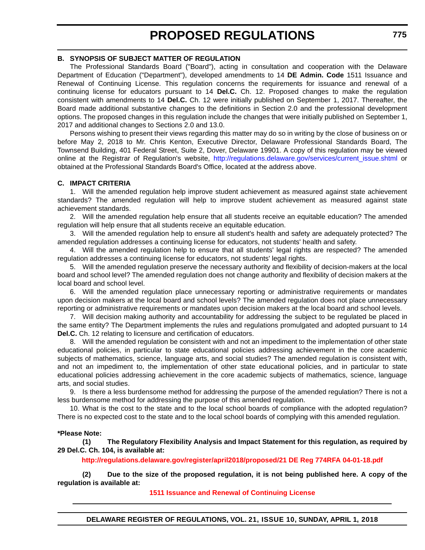### **B. SYNOPSIS OF SUBJECT MATTER OF REGULATION**

The Professional Standards Board ("Board"), acting in consultation and cooperation with the Delaware Department of Education ("Department"), developed amendments to 14 **DE Admin. Code** 1511 Issuance and Renewal of Continuing License. This regulation concerns the requirements for issuance and renewal of a continuing license for educators pursuant to 14 **Del.C.** Ch. 12. Proposed changes to make the regulation consistent with amendments to 14 **Del.C.** Ch. 12 were initially published on September 1, 2017. Thereafter, the Board made additional substantive changes to the definitions in Section 2.0 and the professional development options. The proposed changes in this regulation include the changes that were initially published on September 1, 2017 and additional changes to Sections 2.0 and 13.0.

Persons wishing to present their views regarding this matter may do so in writing by the close of business on or before May 2, 2018 to Mr. Chris Kenton, Executive Director, Delaware Professional Standards Board, The Townsend Building, 401 Federal Street, Suite 2, Dover, Delaware 19901. A copy of this regulation may be viewed online at the Registrar of Regulation's website, [http://regulations.delaware.gov/services/current\\_issue.shtml](http://regulations.delaware.gov/services/current_issue.shtml) or obtained at the Professional Standards Board's Office, located at the address above.

### **C. IMPACT CRITERIA**

1. Will the amended regulation help improve student achievement as measured against state achievement standards? The amended regulation will help to improve student achievement as measured against state achievement standards.

2. Will the amended regulation help ensure that all students receive an equitable education? The amended regulation will help ensure that all students receive an equitable education.

3. Will the amended regulation help to ensure all student's health and safety are adequately protected? The amended regulation addresses a continuing license for educators, not students' health and safety.

4. Will the amended regulation help to ensure that all students' legal rights are respected? The amended regulation addresses a continuing license for educators, not students' legal rights.

5. Will the amended regulation preserve the necessary authority and flexibility of decision-makers at the local board and school level? The amended regulation does not change authority and flexibility of decision makers at the local board and school level.

6. Will the amended regulation place unnecessary reporting or administrative requirements or mandates upon decision makers at the local board and school levels? The amended regulation does not place unnecessary reporting or administrative requirements or mandates upon decision makers at the local board and school levels.

7. Will decision making authority and accountability for addressing the subject to be regulated be placed in the same entity? The Department implements the rules and regulations promulgated and adopted pursuant to 14 **Del.C.** Ch. 12 relating to licensure and certification of educators.

8. Will the amended regulation be consistent with and not an impediment to the implementation of other state educational policies, in particular to state educational policies addressing achievement in the core academic subjects of mathematics, science, language arts, and social studies? The amended regulation is consistent with, and not an impediment to, the implementation of other state educational policies, and in particular to state educational policies addressing achievement in the core academic subjects of mathematics, science, language arts, and social studies.

9. Is there a less burdensome method for addressing the purpose of the amended regulation? There is not a less burdensome method for addressing the purpose of this amended regulation.

10. What is the cost to the state and to the local school boards of compliance with the adopted regulation? There is no expected cost to the state and to the local school boards of complying with this amended regulation.

#### **\*Please Note:**

**(1) The Regulatory Flexibility Analysis and Impact Statement for this regulation, as required by 29 Del.C. Ch. 104, is available at:**

**<http://regulations.delaware.gov/register/april2018/proposed/21 DE Reg 774RFA 04-01-18.pdf>**

**(2) Due to the size of the proposed regulation, it is not being published here. A copy of the regulation is available at:**

**[1511 Issuance and Renewal of Continuing License](http://regulations.delaware.gov/register/april2018/proposed/21 DE Reg 774 04-01-18.htm)** 

**DELAWARE REGISTER OF REGULATIONS, VOL. 21, ISSUE 10, SUNDAY, APRIL 1, 2018**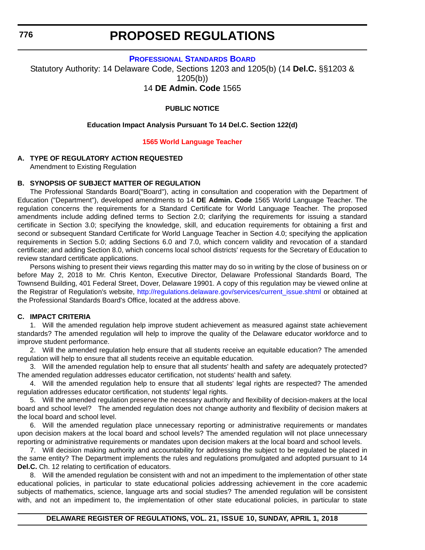<span id="page-20-0"></span>**776**

### **PROPOSED REGULATIONS**

**[PROFESSIONAL STANDARDS BOARD](https://pubapps.doe.k12.de.us/EducationalDirectoryPublic/pages/DDOE/WorkGroupStaff.aspx?page=branches&WGID=75&BID=1)**

Statutory Authority: 14 Delaware Code, Sections 1203 and 1205(b) (14 **Del.C.** §§1203 & 1205(b))

14 **DE Admin. Code** 1565

### **PUBLIC NOTICE**

### **Education Impact Analysis Pursuant To 14 Del.C. Section 122(d)**

### **[1565 World Language Teacher](#page-3-0)**

### **A. TYPE OF REGULATORY ACTION REQUESTED**

Amendment to Existing Regulation

### **B. SYNOPSIS OF SUBJECT MATTER OF REGULATION**

The Professional Standards Board("Board"), acting in consultation and cooperation with the Department of Education ("Department"), developed amendments to 14 **DE Admin. Code** 1565 World Language Teacher. The regulation concerns the requirements for a Standard Certificate for World Language Teacher. The proposed amendments include adding defined terms to Section 2.0; clarifying the requirements for issuing a standard certificate in Section 3.0; specifying the knowledge, skill, and education requirements for obtaining a first and second or subsequent Standard Certificate for World Language Teacher in Section 4.0; specifying the application requirements in Section 5.0; adding Sections 6.0 and 7.0, which concern validity and revocation of a standard certificate; and adding Section 8.0, which concerns local school districts' requests for the Secretary of Education to review standard certificate applications.

Persons wishing to present their views regarding this matter may do so in writing by the close of business on or before May 2, 2018 to Mr. Chris Kenton, Executive Director, Delaware Professional Standards Board, The Townsend Building, 401 Federal Street, Dover, Delaware 19901. A copy of this regulation may be viewed online at the Registrar of Regulation's website, [http://regulations.delaware.gov/services/current\\_issue.shtml](http://regulations.delaware.gov/services/current_issue.shtml) or obtained at the Professional Standards Board's Office, located at the address above.

### **C. IMPACT CRITERIA**

1. Will the amended regulation help improve student achievement as measured against state achievement standards? The amended regulation will help to improve the quality of the Delaware educator workforce and to improve student performance.

2. Will the amended regulation help ensure that all students receive an equitable education? The amended regulation will help to ensure that all students receive an equitable education.

3. Will the amended regulation help to ensure that all students' health and safety are adequately protected? The amended regulation addresses educator certification, not students' health and safety.

4. Will the amended regulation help to ensure that all students' legal rights are respected? The amended regulation addresses educator certification, not students' legal rights.

5. Will the amended regulation preserve the necessary authority and flexibility of decision-makers at the local board and school level? The amended regulation does not change authority and flexibility of decision makers at the local board and school level.

6. Will the amended regulation place unnecessary reporting or administrative requirements or mandates upon decision makers at the local board and school levels? The amended regulation will not place unnecessary reporting or administrative requirements or mandates upon decision makers at the local board and school levels.

7. Will decision making authority and accountability for addressing the subject to be regulated be placed in the same entity? The Department implements the rules and regulations promulgated and adopted pursuant to 14 **Del.C.** Ch. 12 relating to certification of educators.

8. Will the amended regulation be consistent with and not an impediment to the implementation of other state educational policies, in particular to state educational policies addressing achievement in the core academic subjects of mathematics, science, language arts and social studies? The amended regulation will be consistent with, and not an impediment to, the implementation of other state educational policies, in particular to state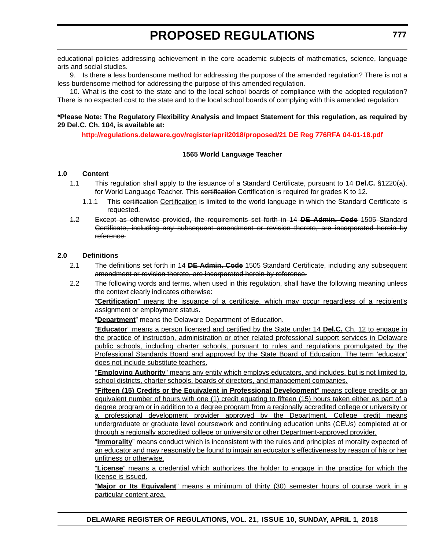educational policies addressing achievement in the core academic subjects of mathematics, science, language arts and social studies.

9. Is there a less burdensome method for addressing the purpose of the amended regulation? There is not a less burdensome method for addressing the purpose of this amended regulation.

10. What is the cost to the state and to the local school boards of compliance with the adopted regulation? There is no expected cost to the state and to the local school boards of complying with this amended regulation.

### **\*Please Note: The Regulatory Flexibility Analysis and Impact Statement for this regulation, as required by 29 Del.C. Ch. 104, is available at:**

**<http://regulations.delaware.gov/register/april2018/proposed/21 DE Reg 776RFA 04-01-18.pdf>**

### **1565 World Language Teacher**

#### **1.0 Content**

- 1.1 This regulation shall apply to the issuance of a Standard Certificate, pursuant to 14 **Del.C.** §1220(a), for World Language Teacher. This eertification Certification is required for grades K to 12.
	- 1.1.1 This certification Certification is limited to the world language in which the Standard Certificate is requested.
- 1.2 Except as otherwise provided, the requirements set forth in 14 **DE Admin. Code** 1505 Standard Certificate, including any subsequent amendment or revision thereto, are incorporated herein by reference.

### **2.0 Definitions**

- 2.1 The definitions set forth in 14 **DE Admin. Code** 1505 Standard Certificate, including any subsequent amendment or revision thereto, are incorporated herein by reference.
- 2.2 The following words and terms, when used in this regulation, shall have the following meaning unless the context clearly indicates otherwise:

"**Certification**" means the issuance of a certificate, which may occur regardless of a recipient's assignment or employment status.

"**Department**" means the Delaware Department of Education.

"**Educator**" means a person licensed and certified by the State under 14 **Del.C.** Ch. 12 to engage in the practice of instruction, administration or other related professional support services in Delaware public schools, including charter schools, pursuant to rules and regulations promulgated by the Professional Standards Board and approved by the State Board of Education. The term 'educator' does not include substitute teachers.

"**Employing Authority**" means any entity which employs educators, and includes, but is not limited to, school districts, charter schools, boards of directors, and management companies.

"**Fifteen (15) Credits or the Equivalent in Professional Development**" means college credits or an equivalent number of hours with one (1) credit equating to fifteen (15) hours taken either as part of a degree program or in addition to a degree program from a regionally accredited college or university or a professional development provider approved by the Department. College credit means undergraduate or graduate level coursework and continuing education units (CEUs) completed at or through a regionally accredited college or university or other Department-approved provider.

"**Immorality**" means conduct which is inconsistent with the rules and principles of morality expected of an educator and may reasonably be found to impair an educator's effectiveness by reason of his or her unfitness or otherwise.

"**License**" means a credential which authorizes the holder to engage in the practice for which the license is issued.

"**Major or Its Equivalent**" means a minimum of thirty (30) semester hours of course work in a particular content area.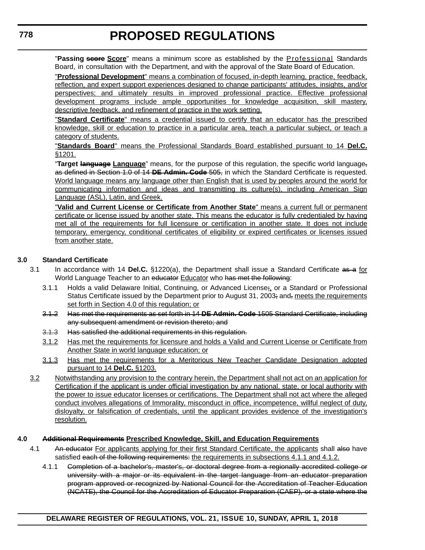"Passing seore Score" means a minimum score as established by the Professional Standards Board, in consultation with the Department, and with the approval of the State Board of Education.

"**Professional Development**" means a combination of focused, in-depth learning, practice, feedback, reflection, and expert support experiences designed to change participants' attitudes, insights, and/or perspectives; and ultimately results in improved professional practice. Effective professional development programs include ample opportunities for knowledge acquisition, skill mastery, descriptive feedback, and refinement of practice in the work setting.

"**Standard Certificate**" means a credential issued to certify that an educator has the prescribed knowledge, skill or education to practice in a particular area, teach a particular subject, or teach a category of students.

"**Standards Board**" means the Professional Standards Board established pursuant to 14 **Del.C.** §1201.

"**Target language Language**" means, for the purpose of this regulation, the specific world language, as defined in Section 1.0 of 14 **DE Admin. Code** 505, in which the Standard Certificate is requested. World language means any language other than English that is used by peoples around the world for communicating information and ideas and transmitting its culture(s), including American Sign Language (ASL), Latin, and Greek.

"**Valid and Current License or Certificate from Another State**" means a current full or permanent certificate or license issued by another state. This means the educator is fully credentialed by having met all of the requirements for full licensure or certification in another state. It does not include temporary, emergency, conditional certificates of eligibility or expired certificates or licenses issued from another state.

### **3.0 Standard Certificate**

- 3.1 In accordance with 14 **Del.C.** §1220(a), the Department shall issue a Standard Certificate as a for World Language Teacher to an educator Educator who has met the following:
	- 3.1.1 Holds a valid Delaware Initial, Continuing, or Advanced License;, or a Standard or Professional Status Certificate issued by the Department prior to August 31, 2003; and, meets the requirements set forth in Section 4.0 of this regulation; or
	- 3.1.2 Has met the requirements as set forth in 14 **DE Admin. Code** 1505 Standard Certificate, including any subsequent amendment or revision thereto; and
	- 3.1.3 Has satisfied the additional requirements in this regulation.
	- 3.1.2 Has met the requirements for licensure and holds a Valid and Current License or Certificate from Another State in world language education; or
	- 3.1.3 Has met the requirements for a Meritorious New Teacher Candidate Designation adopted pursuant to 14 **Del.C.** §1203.
- 3.2 Notwithstanding any provision to the contrary herein, the Department shall not act on an application for Certification if the applicant is under official investigation by any national, state, or local authority with the power to issue educator licenses or certifications. The Department shall not act where the alleged conduct involves allegations of Immorality, misconduct in office, incompetence, willful neglect of duty, disloyalty, or falsification of credentials, until the applicant provides evidence of the investigation's resolution.

### **4.0 Additional Requirements Prescribed Knowledge, Skill, and Education Requirements**

- 4.1 An educator For applicants applying for their first Standard Certificate, the applicants shall also have satisfied each of the following requirements: the requirements in subsections 4.1.1 and 4.1.2.
	- 4.1.1 Completion of a bachelor's, master's, or doctoral degree from a regionally accredited college or university with a major or its equivalent in the target language from an educator preparation program approved or recognized by National Council for the Accreditation of Teacher Education (NCATE), the Council for the Accreditation of Educator Preparation (CAEP), or a state where the

**DELAWARE REGISTER OF REGULATIONS, VOL. 21, ISSUE 10, SUNDAY, APRIL 1, 2018**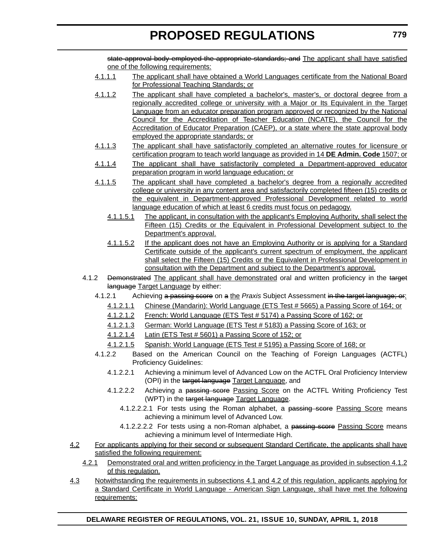state approval body employed the appropriate standards; and The applicant shall have satisfied one of the following requirements:

- 4.1.1.1 The applicant shall have obtained a World Languages certificate from the National Board for Professional Teaching Standards; or
- 4.1.1.2 The applicant shall have completed a bachelor's, master's, or doctoral degree from a regionally accredited college or university with a Major or Its Equivalent in the Target Language from an educator preparation program approved or recognized by the National Council for the Accreditation of Teacher Education (NCATE), the Council for the Accreditation of Educator Preparation (CAEP), or a state where the state approval body employed the appropriate standards; or
- 4.1.1.3 The applicant shall have satisfactorily completed an alternative routes for licensure or certification program to teach world language as provided in 14 **DE Admin. Code** 1507; or
- 4.1.1.4 The applicant shall have satisfactorily completed a Department-approved educator preparation program in world language education; or
- 4.1.1.5 The applicant shall have completed a bachelor's degree from a regionally accredited college or university in any content area and satisfactorily completed fifteen (15) credits or the equivalent in Department-approved Professional Development related to world language education of which at least 6 credits must focus on pedagogy.
	- 4.1.1.5.1 The applicant, in consultation with the applicant's Employing Authority, shall select the Fifteen (15) Credits or the Equivalent in Professional Development subject to the Department's approval.
	- 4.1.1.5.2 If the applicant does not have an Employing Authority or is applying for a Standard Certificate outside of the applicant's current spectrum of employment, the applicant shall select the Fifteen (15) Credits or the Equivalent in Professional Development in consultation with the Department and subject to the Department's approval.
- 4.1.2 <del>Demonstrated</del> The applicant shall have demonstrated oral and written proficiency in the target language Target Language by either:
	- 4.1.2.1 Achieving a passing score on a the *Praxis* Subject Assessment in the target language; or:
		- 4.1.2.1.1 Chinese (Mandarin): World Language (ETS Test # 5665) a Passing Score of 164; or
		- 4.1.2.1.2 French: World Language (ETS Test # 5174) a Passing Score of 162; or
		- 4.1.2.1.3 German: World Language (ETS Test # 5183) a Passing Score of 163; or
		- 4.1.2.1.4 Latin (ETS Test # 5601) a Passing Score of 152; or
		- 4.1.2.1.5 Spanish: World Language (ETS Test # 5195) a Passing Score of 168; or
	- 4.1.2.2 Based on the American Council on the Teaching of Foreign Languages (ACTFL) Proficiency Guidelines:
		- 4.1.2.2.1 Achieving a minimum level of Advanced Low on the ACTFL Oral Proficiency Interview (OPI) in the target language Target Language, and
		- 4.1.2.2.2 Achieving a passing score Passing Score on the ACTFL Writing Proficiency Test (WPT) in the target language Target Language.
			- 4.1.2.2.2.1 For tests using the Roman alphabet, a passing score of Score means achieving a minimum level of Advanced Low.
			- 4.1.2.2.2.2 For tests using a non-Roman alphabet, a passing score Passing Score means achieving a minimum level of Intermediate High.
- 4.2 For applicants applying for their second or subsequent Standard Certificate, the applicants shall have satisfied the following requirement:
	- 4.2.1 Demonstrated oral and written proficiency in the Target Language as provided in subsection 4.1.2 of this regulation.
- 4.3 Notwithstanding the requirements in subsections 4.1 and 4.2 of this regulation, applicants applying for a Standard Certificate in World Language - American Sign Language, shall have met the following requirements: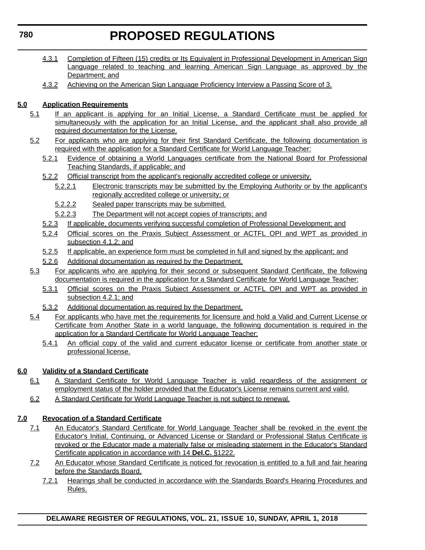- 4.3.1 Completion of Fifteen (15) credits or Its Equivalent in Professional Development in American Sign Language related to teaching and learning American Sign Language as approved by the Department; and
- 4.3.2 Achieving on the American Sign Language Proficiency Interview a Passing Score of 3.

### **5.0 Application Requirements**

- 5.1 If an applicant is applying for an Initial License, a Standard Certificate must be applied for simultaneously with the application for an Initial License, and the applicant shall also provide all required documentation for the License.
- 5.2 For applicants who are applying for their first Standard Certificate, the following documentation is required with the application for a Standard Certificate for World Language Teacher:
	- 5.2.1 Evidence of obtaining a World Languages certificate from the National Board for Professional Teaching Standards, if applicable; and
	- 5.2.2 Official transcript from the applicant's regionally accredited college or university.
		- 5.2.2.1 Electronic transcripts may be submitted by the Employing Authority or by the applicant's regionally accredited college or university; or
		- 5.2.2.2 Sealed paper transcripts may be submitted.
		- 5.2.2.3 The Department will not accept copies of transcripts; and
	- 5.2.3 If applicable, documents verifying successful completion of Professional Development; and
	- 5.2.4 Official scores on the Praxis Subject Assessment or ACTFL OPI and WPT as provided in subsection 4.1.2; and
	- 5.2.5 If applicable, an experience form must be completed in full and signed by the applicant; and
	- 5.2.6 Additional documentation as required by the Department.
- 5.3 For applicants who are applying for their second or subsequent Standard Certificate, the following documentation is required in the application for a Standard Certificate for World Language Teacher:
	- 5.3.1 Official scores on the Praxis Subject Assessment or ACTFL OPI and WPT as provided in subsection 4.2.1; and
	- 5.3.2 Additional documentation as required by the Department.
- 5.4 For applicants who have met the requirements for licensure and hold a Valid and Current License or Certificate from Another State in a world language, the following documentation is required in the application for a Standard Certificate for World Language Teacher:
	- 5.4.1 An official copy of the valid and current educator license or certificate from another state or professional license.

### **6.0 Validity of a Standard Certificate**

- 6.1 A Standard Certificate for World Language Teacher is valid regardless of the assignment or employment status of the holder provided that the Educator's License remains current and valid.
- 6.2 A Standard Certificate for World Language Teacher is not subject to renewal.

### **7.0 Revocation of a Standard Certificate**

- 7.1 An Educator's Standard Certificate for World Language Teacher shall be revoked in the event the Educator's Initial, Continuing, or Advanced License or Standard or Professional Status Certificate is revoked or the Educator made a materially false or misleading statement in the Educator's Standard Certificate application in accordance with 14 **Del.C.** §1222.
- 7.2 An Educator whose Standard Certificate is noticed for revocation is entitled to a full and fair hearing before the Standards Board.
	- 7.2.1 Hearings shall be conducted in accordance with the Standards Board's Hearing Procedures and Rules.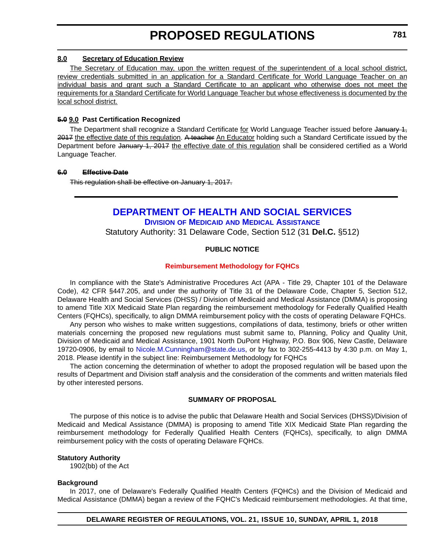#### <span id="page-25-0"></span>**8.0 Secretary of Education Review**

The Secretary of Education may, upon the written request of the superintendent of a local school district, review credentials submitted in an application for a Standard Certificate for World Language Teacher on an individual basis and grant such a Standard Certificate to an applicant who otherwise does not meet the requirements for a Standard Certificate for World Language Teacher but whose effectiveness is documented by the local school district.

### **5.0 9.0 Past Certification Recognized**

The Department shall recognize a Standard Certificate for World Language Teacher issued before January 1, 2017 the effective date of this regulation. A teacher An Educator holding such a Standard Certificate issued by the Department before January 1, 2017 the effective date of this regulation shall be considered certified as a World Language Teacher.

### **6.0 Effective Date**

This regulation shall be effective on January 1, 2017.

### **[DEPARTMENT OF HEALTH AND SOCIAL SERVICES](http://www.dhss.delaware.gov/dhss/dmma/) DIVISION OF MEDICAID [AND MEDICAL ASSISTANCE](http://www.dhss.delaware.gov/dhss/dmma/)**

Statutory Authority: 31 Delaware Code, Section 512 (31 **Del.C.** §512)

### **PUBLIC NOTICE**

### **[Reimbursement Methodology for FQHCs](#page-3-0)**

In compliance with the State's Administrative Procedures Act (APA - Title 29, Chapter 101 of the Delaware Code), 42 CFR §447.205, and under the authority of Title 31 of the Delaware Code, Chapter 5, Section 512, Delaware Health and Social Services (DHSS) / Division of Medicaid and Medical Assistance (DMMA) is proposing to amend Title XIX Medicaid State Plan regarding the reimbursement methodology for Federally Qualified Health Centers (FQHCs), specifically, to align DMMA reimbursement policy with the costs of operating Delaware FQHCs.

Any person who wishes to make written suggestions, compilations of data, testimony, briefs or other written materials concerning the proposed new regulations must submit same to, Planning, Policy and Quality Unit, Division of Medicaid and Medical Assistance, 1901 North DuPont Highway, P.O. Box 906, New Castle, Delaware 19720-0906, by email to [Nicole.M.Cunningham@state.de.us](mailto:Nicole.M.Cunningham@state.de.us), or by fax to 302-255-4413 by 4:30 p.m. on May 1, 2018. Please identify in the subject line: Reimbursement Methodology for FQHCs

The action concerning the determination of whether to adopt the proposed regulation will be based upon the results of Department and Division staff analysis and the consideration of the comments and written materials filed by other interested persons.

### **SUMMARY OF PROPOSAL**

The purpose of this notice is to advise the public that Delaware Health and Social Services (DHSS)/Division of Medicaid and Medical Assistance (DMMA) is proposing to amend Title XIX Medicaid State Plan regarding the reimbursement methodology for Federally Qualified Health Centers (FQHCs), specifically, to align DMMA reimbursement policy with the costs of operating Delaware FQHCs.

### **Statutory Authority**

1902(bb) of the Act

### **Background**

In 2017, one of Delaware's Federally Qualified Health Centers (FQHCs) and the Division of Medicaid and Medical Assistance (DMMA) began a review of the FQHC's Medicaid reimbursement methodologies. At that time,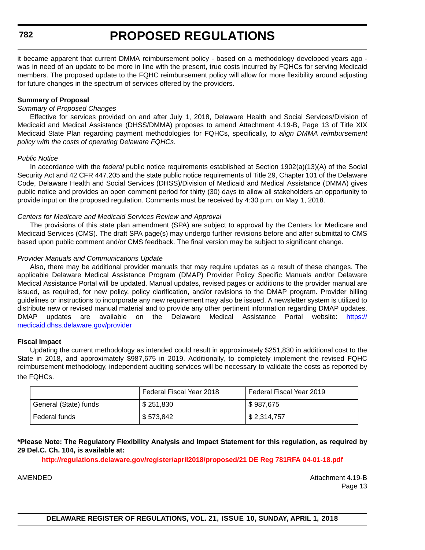it became apparent that current DMMA reimbursement policy - based on a methodology developed years ago was in need of an update to be more in line with the present, true costs incurred by FQHCs for serving Medicaid members. The proposed update to the FQHC reimbursement policy will allow for more flexibility around adjusting for future changes in the spectrum of services offered by the providers.

### **Summary of Proposal**

### *Summary of Proposed Changes*

Effective for services provided on and after July 1, 2018, Delaware Health and Social Services/Division of Medicaid and Medical Assistance (DHSS/DMMA) proposes to amend Attachment 4.19-B, Page 13 of Title XIX Medicaid State Plan regarding payment methodologies for FQHCs, specifically, *to align DMMA reimbursement policy with the costs of operating Delaware FQHCs*.

### *Public Notice*

In accordance with the *federal* public notice requirements established at Section 1902(a)(13)(A) of the Social Security Act and 42 CFR 447.205 and the state public notice requirements of Title 29, Chapter 101 of the Delaware Code, Delaware Health and Social Services (DHSS)/Division of Medicaid and Medical Assistance (DMMA) gives public notice and provides an open comment period for thirty (30) days to allow all stakeholders an opportunity to provide input on the proposed regulation. Comments must be received by 4:30 p.m. on May 1, 2018.

### *Centers for Medicare and Medicaid Services Review and Approval*

The provisions of this state plan amendment (SPA) are subject to approval by the Centers for Medicare and Medicaid Services (CMS). The draft SPA page(s) may undergo further revisions before and after submittal to CMS based upon public comment and/or CMS feedback. The final version may be subject to significant change.

### *Provider Manuals and Communications Update*

Also, there may be additional provider manuals that may require updates as a result of these changes. The applicable Delaware Medical Assistance Program (DMAP) Provider Policy Specific Manuals and/or Delaware Medical Assistance Portal will be updated. Manual updates, revised pages or additions to the provider manual are issued, as required, for new policy, policy clarification, and/or revisions to the DMAP program. Provider billing guidelines or instructions to incorporate any new requirement may also be issued. A newsletter system is utilized to distribute new or revised manual material and to provide any other pertinent information regarding DMAP updates. DMAP updates are available on the Delaware Medical Assistance Portal website: [https://](https://medicaid.dhss.delaware.gov/provider) [medicaid.dhss.delaware.gov/provider](https://medicaid.dhss.delaware.gov/provider)

#### **Fiscal Impact**

Updating the current methodology as intended could result in approximately \$251,830 in additional cost to the State in 2018, and approximately \$987,675 in 2019. Additionally, to completely implement the revised FQHC reimbursement methodology, independent auditing services will be necessary to validate the costs as reported by the FQHCs.

|                       | Federal Fiscal Year 2018 | Federal Fiscal Year 2019   |
|-----------------------|--------------------------|----------------------------|
| General (State) funds | \$251,830                | $\frac{1}{2}$ \$987,675    |
| Federal funds         | \$573,842                | $\frac{1}{2}$ \$ 2,314,757 |

**\*Please Note: The Regulatory Flexibility Analysis and Impact Statement for this regulation, as required by 29 Del.C. Ch. 104, is available at:**

**<http://regulations.delaware.gov/register/april2018/proposed/21 DE Reg 781RFA 04-01-18.pdf>**

AMENDED ATtachment 4.19-B Page 13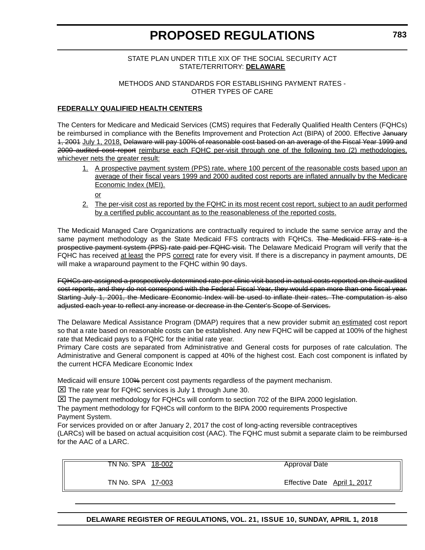### STATE PLAN UNDER TITLE XIX OF THE SOCIAL SECURITY ACT STATE/TERRITORY: **DELAWARE**

### METHODS AND STANDARDS FOR ESTABLISHING PAYMENT RATES - OTHER TYPES OF CARE

### **FEDERALLY QUALIFIED HEALTH CENTERS**

The Centers for Medicare and Medicaid Services (CMS) requires that Federally Qualified Health Centers (FQHCs) be reimbursed in compliance with the Benefits Improvement and Protection Act (BIPA) of 2000. Effective January 1, 2001 July 1, 2018, Delaware will pay 100% of reasonable cost based on an average of the Fiscal Year 1999 and 2000 audited cost report reimburse each FQHC per-visit through one of the following two (2) methodologies, whichever nets the greater result:

- 1. A prospective payment system (PPS) rate, where 100 percent of the reasonable costs based upon an average of their fiscal years 1999 and 2000 audited cost reports are inflated annually by the Medicare Economic Index (MEI).
	- or
- 2. The per-visit cost as reported by the FQHC in its most recent cost report, subject to an audit performed by a certified public accountant as to the reasonableness of the reported costs.

The Medicaid Managed Care Organizations are contractually required to include the same service array and the same payment methodology as the State Medicaid FFS contracts with FQHCs. The Medicaid FFS rate is a prospective payment system (PPS) rate paid per FQHC visit. The Delaware Medicaid Program will verify that the FQHC has received at least the PPS correct rate for every visit. If there is a discrepancy in payment amounts, DE will make a wraparound payment to the FQHC within 90 days.

FQHCs are assigned a prospectively determined rate per clinic visit based in actual costs reported on their audited cost reports, and they do not correspond with the Federal Fiscal Year, they would span more than one fiscal year. Starting July 1, 2001, the Medicare Economic Index will be used to inflate their rates. The computation is also adjusted each year to reflect any increase or decrease in the Center's Scope of Services.

The Delaware Medical Assistance Program (DMAP) requires that a new provider submit an estimated cost report so that a rate based on reasonable costs can be established. Any new FQHC will be capped at 100% of the highest rate that Medicaid pays to a FQHC for the initial rate year.

Primary Care costs are separated from Administrative and General costs for purposes of rate calculation. The Administrative and General component is capped at 40% of the highest cost. Each cost component is inflated by the current HCFA Medicare Economic Index

Medicaid will ensure 100% percent cost payments regardless of the payment mechanism.

 $\Sigma$  The rate year for FQHC services is July 1 through June 30.

 $\boxtimes$  The payment methodology for FQHCs will conform to section 702 of the BIPA 2000 legislation.

The payment methodology for FQHCs will conform to the BIPA 2000 requirements Prospective Payment System.

For services provided on or after January 2, 2017 the cost of long-acting reversible contraceptives (LARCs) will be based on actual acquisition cost (AAC). The FQHC must submit a separate claim to be reimbursed for the AAC of a LARC.

TN No. SPA 18-002

Approval Date

TN No. SPA 17-003

Effective Date April 1, 2017

**DELAWARE REGISTER OF REGULATIONS, VOL. 21, ISSUE 10, SUNDAY, APRIL 1, 2018**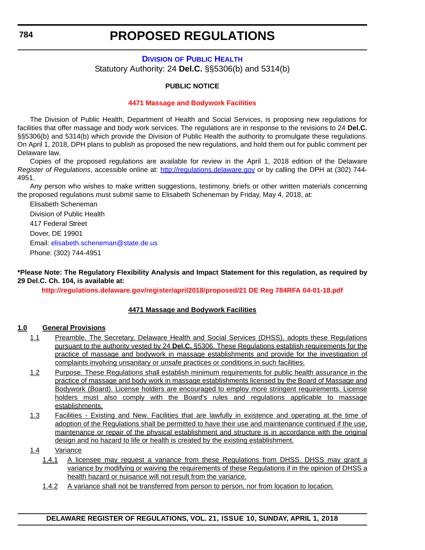### <span id="page-28-0"></span>**DIVISION [OF PUBLIC HEALTH](http://www.dhss.delaware.gov/dhss/dph/index.html)** Statutory Authority: 24 **Del.C.** §§5306(b) and 5314(b)

### **PUBLIC NOTICE**

### **[4471 Massage and Bodywork Facilities](#page-3-0)**

The Division of Public Health, Department of Health and Social Services, is proposing new regulations for facilities that offer massage and body work services. The regulations are in response to the revisions to 24 **Del.C.** §§5306(b) and 5314(b) which provide the Division of Public Health the authority to promulgate these regulations. On April 1, 2018, DPH plans to publish as proposed the new regulations, and hold them out for public comment per Delaware law.

Copies of the proposed regulations are available for review in the April 1, 2018 edition of the Delaware *Register of Regulations*, accessible online at: <http://regulations.delaware.gov> or by calling the DPH at (302) 744- 4951.

Any person who wishes to make written suggestions, testimony, briefs or other written materials concerning the proposed regulations must submit same to Elisabeth Scheneman by Friday, May 4, 2018, at:

Elisabeth Scheneman Division of Public Health 417 Federal Street Dover, DE 19901 Email: [elisabeth.scheneman@state.de.us](mailto:elisabeth.scheneman@state.de.us) Phone: (302) 744-4951

**\*Please Note: The Regulatory Flexibility Analysis and Impact Statement for this regulation, as required by 29 Del.C. Ch. 104, is available at:**

**<http://regulations.delaware.gov/register/april2018/proposed/21 DE Reg 784RFA 04-01-18.pdf>**

### **4471 Massage and Bodywork Facilities**

### **1.0 General Provisions**

- 1.1 Preamble. The Secretary, Delaware Health and Social Services (DHSS), adopts these Regulations pursuant to the authority vested by 24 **Del.C.** §5306. These Regulations establish requirements for the practice of massage and bodywork in massage establishments and provide for the investigation of complaints involving unsanitary or unsafe practices or conditions in such facilities.
- 1.2 Purpose. These Regulations shall establish minimum requirements for public health assurance in the practice of massage and body work in massage establishments licensed by the Board of Massage and Bodywork (Board). License holders are encouraged to employ more stringent requirements. License holders must also comply with the Board's rules and regulations applicable to massage establishments.
- 1.3 Facilities Existing and New. Facilities that are lawfully in existence and operating at the time of adoption of the Regulations shall be permitted to have their use and maintenance continued if the use, maintenance or repair of the physical establishment and structure is in accordance with the original design and no hazard to life or health is created by the existing establishment.

### 1.4 Variance

- 1.4.1 A licensee may request a variance from these Regulations from DHSS. DHSS may grant a variance by modifying or waiving the requirements of these Regulations if in the opinion of DHSS a health hazard or nuisance will not result from the variance.
- 1.4.2 A variance shall not be transferred from person to person, nor from location to location.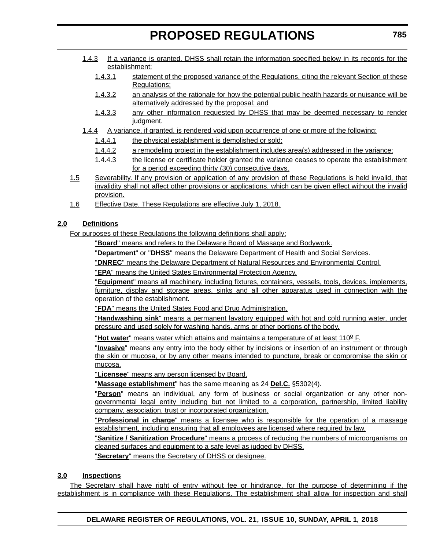- 1.4.3 If a variance is granted, DHSS shall retain the information specified below in its records for the establishment:
	- 1.4.3.1 statement of the proposed variance of the Regulations, citing the relevant Section of these Regulations;
	- 1.4.3.2 an analysis of the rationale for how the potential public health hazards or nuisance will be alternatively addressed by the proposal; and
	- 1.4.3.3 any other information requested by DHSS that may be deemed necessary to render judament.
- 1.4.4 A variance, if granted, is rendered void upon occurrence of one or more of the following:
	- 1.4.4.1 the physical establishment is demolished or sold;
	- 1.4.4.2 a remodeling project in the establishment includes area(s) addressed in the variance;
	- 1.4.4.3 the license or certificate holder granted the variance ceases to operate the establishment for a period exceeding thirty (30) consecutive days.
- 1.5 Severability. If any provision or application of any provision of these Regulations is held invalid, that invalidity shall not affect other provisions or applications, which can be given effect without the invalid provision.
- 1.6 Effective Date. These Regulations are effective July 1, 2018.

### **2.0 Definitions**

For purposes of these Regulations the following definitions shall apply:

"**Board**" means and refers to the Delaware Board of Massage and Bodywork.

"**Department**" or "**DHSS**" means the Delaware Department of Health and Social Services.

"**DNREC**" means the Delaware Department of Natural Resources and Environmental Control.

"**EPA**" means the United States Environmental Protection Agency.

"**Equipment**" means all machinery, including fixtures, containers, vessels, tools, devices, implements, furniture, display and storage areas, sinks and all other apparatus used in connection with the operation of the establishment.

"**FDA**" means the United States Food and Drug Administration.

"**Handwashing sink**" means a permanent lavatory equipped with hot and cold running water, under pressure and used solely for washing hands, arms or other portions of the body.

**"Hot water**" means water which attains and maintains a temperature of at least 110<sup>o</sup> F.

"**Invasive**" means any entry into the body either by incisions or insertion of an instrument or through the skin or mucosa, or by any other means intended to puncture, break or compromise the skin or mucosa.

"**Licensee**" means any person licensed by Board.

"**Massage establishment**" has the same meaning as 24 **Del.C.** §5302(4).

"**Person**" means an individual, any form of business or social organization or any other nongovernmental legal entity including but not limited to a corporation, partnership, limited liability company, association, trust or incorporated organization.

"**Professional in charge**" means a licensee who is responsible for the operation of a massage establishment, including ensuring that all employees are licensed where required by law.

"**Sanitize / Sanitization Procedure**" means a process of reducing the numbers of microorganisms on cleaned surfaces and equipment to a safe level as judged by DHSS.

"**Secretary**" means the Secretary of DHSS or designee.

### **3.0 Inspections**

The Secretary shall have right of entry without fee or hindrance, for the purpose of determining if the establishment is in compliance with these Regulations. The establishment shall allow for inspection and shall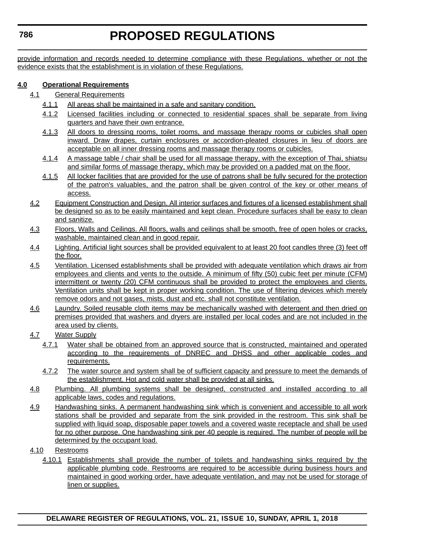provide information and records needed to determine compliance with these Regulations, whether or not the evidence exists that the establishment is in violation of these Regulations.

### **4.0 Operational Requirements**

- 4.1 General Requirements
	- 4.1.1 All areas shall be maintained in a safe and sanitary condition.
	- 4.1.2 Licensed facilities including or connected to residential spaces shall be separate from living quarters and have their own entrance.
	- 4.1.3 All doors to dressing rooms, toilet rooms, and massage therapy rooms or cubicles shall open inward. Draw drapes, curtain enclosures or accordion-pleated closures in lieu of doors are acceptable on all inner dressing rooms and massage therapy rooms or cubicles.
	- 4.1.4 A massage table / chair shall be used for all massage therapy, with the exception of Thai, shiatsu and similar forms of massage therapy, which may be provided on a padded mat on the floor.
	- 4.1.5 All locker facilities that are provided for the use of patrons shall be fully secured for the protection of the patron's valuables, and the patron shall be given control of the key or other means of access.
- 4.2 Equipment Construction and Design. All interior surfaces and fixtures of a licensed establishment shall be designed so as to be easily maintained and kept clean. Procedure surfaces shall be easy to clean and sanitize.
- 4.3 Floors, Walls and Ceilings. All floors, walls and ceilings shall be smooth, free of open holes or cracks, washable, maintained clean and in good repair.
- 4.4 Lighting. Artificial light sources shall be provided equivalent to at least 20 foot candles three (3) feet off the floor.
- 4.5 Ventilation. Licensed establishments shall be provided with adequate ventilation which draws air from employees and clients and vents to the outside. A minimum of fifty (50) cubic feet per minute (CFM) intermittent or twenty (20) CFM continuous shall be provided to protect the employees and clients. Ventilation units shall be kept in proper working condition. The use of filtering devices which merely remove odors and not gases, mists, dust and etc. shall not constitute ventilation.
- 4.6 Laundry. Soiled reusable cloth items may be mechanically washed with detergent and then dried on premises provided that washers and dryers are installed per local codes and are not included in the area used by clients.
- 4.7 Water Supply
	- 4.7.1 Water shall be obtained from an approved source that is constructed, maintained and operated according to the requirements of DNREC and DHSS and other applicable codes and requirements.
	- 4.7.2 The water source and system shall be of sufficient capacity and pressure to meet the demands of the establishment. Hot and cold water shall be provided at all sinks.
- 4.8 Plumbing. All plumbing systems shall be designed, constructed and installed according to all applicable laws, codes and regulations.
- 4.9 Handwashing sinks. A permanent handwashing sink which is convenient and accessible to all work stations shall be provided and separate from the sink provided in the restroom. This sink shall be supplied with liquid soap, disposable paper towels and a covered waste receptacle and shall be used for no other purpose. One handwashing sink per 40 people is required. The number of people will be determined by the occupant load.
- 4.10 Restrooms
	- 4.10.1 Establishments shall provide the number of toilets and handwashing sinks required by the applicable plumbing code. Restrooms are required to be accessible during business hours and maintained in good working order, have adequate ventilation, and may not be used for storage of linen or supplies.

### **DELAWARE REGISTER OF REGULATIONS, VOL. 21, ISSUE 10, SUNDAY, APRIL 1, 2018**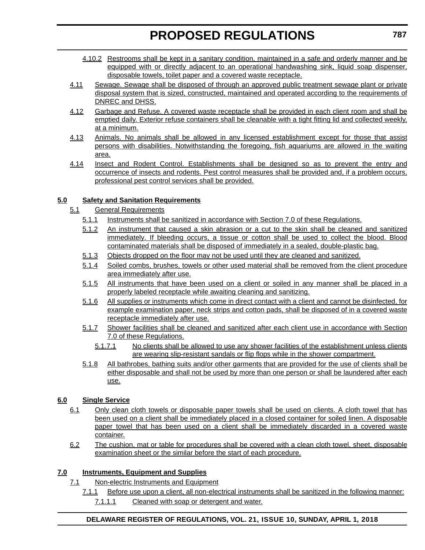- 4.10.2 Restrooms shall be kept in a sanitary condition, maintained in a safe and orderly manner and be equipped with or directly adjacent to an operational handwashing sink, liquid soap dispenser, disposable towels, toilet paper and a covered waste receptacle.
- 4.11 Sewage. Sewage shall be disposed of through an approved public treatment sewage plant or private disposal system that is sized, constructed, maintained and operated according to the requirements of DNREC and DHSS.
- 4.12 Garbage and Refuse. A covered waste receptacle shall be provided in each client room and shall be emptied daily. Exterior refuse containers shall be cleanable with a tight fitting lid and collected weekly, at a minimum.
- 4.13 Animals. No animals shall be allowed in any licensed establishment except for those that assist persons with disabilities. Notwithstanding the foregoing, fish aquariums are allowed in the waiting area.
- 4.14 Insect and Rodent Control. Establishments shall be designed so as to prevent the entry and occurrence of insects and rodents. Pest control measures shall be provided and, if a problem occurs, professional pest control services shall be provided.

### **5.0 Safety and Sanitation Requirements**

- 5.1 General Requirements
	- 5.1.1 Instruments shall be sanitized in accordance with Section 7.0 of these Regulations.
	- 5.1.2 An instrument that caused a skin abrasion or a cut to the skin shall be cleaned and sanitized immediately. If bleeding occurs, a tissue or cotton shall be used to collect the blood. Blood contaminated materials shall be disposed of immediately in a sealed, double-plastic bag.
	- 5.1.3 Objects dropped on the floor may not be used until they are cleaned and sanitized.
	- 5.1.4 Soiled combs, brushes, towels or other used material shall be removed from the client procedure area immediately after use.
	- 5.1.5 All instruments that have been used on a client or soiled in any manner shall be placed in a properly labeled receptacle while awaiting cleaning and sanitizing.
	- 5.1.6 All supplies or instruments which come in direct contact with a client and cannot be disinfected, for example examination paper, neck strips and cotton pads, shall be disposed of in a covered waste receptacle immediately after use.
	- 5.1.7 Shower facilities shall be cleaned and sanitized after each client use in accordance with Section 7.0 of these Regulations.
		- 5.1.7.1 No clients shall be allowed to use any shower facilities of the establishment unless clients are wearing slip-resistant sandals or flip flops while in the shower compartment.
	- 5.1.8 All bathrobes, bathing suits and/or other garments that are provided for the use of clients shall be either disposable and shall not be used by more than one person or shall be laundered after each use.

### **6.0 Single Service**

- 6.1 Only clean cloth towels or disposable paper towels shall be used on clients. A cloth towel that has been used on a client shall be immediately placed in a closed container for soiled linen. A disposable paper towel that has been used on a client shall be immediately discarded in a covered waste container.
- 6.2 The cushion, mat or table for procedures shall be covered with a clean cloth towel, sheet, disposable examination sheet or the similar before the start of each procedure.

### **7.0 Instruments, Equipment and Supplies**

- 7.1 Non-electric Instruments and Equipment
	- 7.1.1 Before use upon a client, all non-electrical instruments shall be sanitized in the following manner: 7.1.1.1 Cleaned with soap or detergent and water.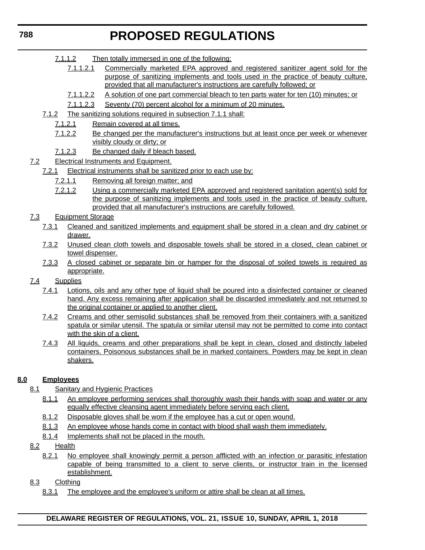- 7.1.1.2 Then totally immersed in one of the following:
	- 7.1.1.2.1 Commercially marketed EPA approved and registered sanitizer agent sold for the purpose of sanitizing implements and tools used in the practice of beauty culture, provided that all manufacturer's instructions are carefully followed; or
	- 7.1.1.2.2 A solution of one part commercial bleach to ten parts water for ten (10) minutes; or
	- 7.1.1.2.3 Seventy (70) percent alcohol for a minimum of 20 minutes.
- 7.1.2 The sanitizing solutions required in subsection 7.1.1 shall:
	- 7.1.2.1 Remain covered at all times.
	- 7.1.2.2 Be changed per the manufacturer's instructions but at least once per week or whenever visibly cloudy or dirty; or
	- 7.1.2.3 Be changed daily if bleach based.
- 7.2 Electrical Instruments and Equipment.
	- 7.2.1 Electrical instruments shall be sanitized prior to each use by:
		- 7.2.1.1 Removing all foreign matter; and
		- 7.2.1.2 Using a commercially marketed EPA approved and registered sanitation agent(s) sold for the purpose of sanitizing implements and tools used in the practice of beauty culture, provided that all manufacturer's instructions are carefully followed.
- 7.3 Equipment Storage
	- 7.3.1 Cleaned and sanitized implements and equipment shall be stored in a clean and dry cabinet or drawer.
	- 7.3.2 Unused clean cloth towels and disposable towels shall be stored in a closed, clean cabinet or towel dispenser.
	- 7.3.3 A closed cabinet or separate bin or hamper for the disposal of soiled towels is required as appropriate.
- 7.4 Supplies
	- 7.4.1 Lotions, oils and any other type of liquid shall be poured into a disinfected container or cleaned hand. Any excess remaining after application shall be discarded immediately and not returned to the original container or applied to another client.
	- 7.4.2 Creams and other semisolid substances shall be removed from their containers with a sanitized spatula or similar utensil. The spatula or similar utensil may not be permitted to come into contact with the skin of a client.
	- 7.4.3 All liquids, creams and other preparations shall be kept in clean, closed and distinctly labeled containers. Poisonous substances shall be in marked containers. Powders may be kept in clean shakers.

### **8.0 Employees**

- 8.1 Sanitary and Hygienic Practices
	- 8.1.1 An employee performing services shall thoroughly wash their hands with soap and water or any equally effective cleansing agent immediately before serving each client.
	- 8.1.2 Disposable gloves shall be worn if the employee has a cut or open wound.
	- 8.1.3 An employee whose hands come in contact with blood shall wash them immediately.
	- 8.1.4 Implements shall not be placed in the mouth.
- 8.2 Health
	- 8.2.1 No employee shall knowingly permit a person afflicted with an infection or parasitic infestation capable of being transmitted to a client to serve clients, or instructor train in the licensed establishment.
- 8.3 Clothing
	- 8.3.1 The employee and the employee's uniform or attire shall be clean at all times.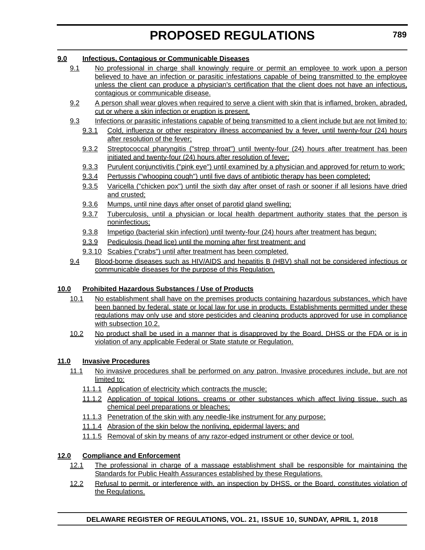### **9.0 Infectious, Contagious or Communicable Diseases**

- 9.1 No professional in charge shall knowingly require or permit an employee to work upon a person believed to have an infection or parasitic infestations capable of being transmitted to the employee unless the client can produce a physician's certification that the client does not have an infectious, contagious or communicable disease.
- 9.2 A person shall wear gloves when required to serve a client with skin that is inflamed, broken, abraded, cut or where a skin infection or eruption is present.
- 9.3 Infections or parasitic infestations capable of being transmitted to a client include but are not limited to:
	- 9.3.1 Cold, influenza or other respiratory illness accompanied by a fever, until twenty-four (24) hours after resolution of the fever;
	- 9.3.2 Streptococcal pharyngitis ("strep throat") until twenty-four (24) hours after treatment has been initiated and twenty-four (24) hours after resolution of fever;
	- 9.3.3 Purulent conjunctivitis ("pink eye") until examined by a physician and approved for return to work;
	- 9.3.4 Pertussis ("whooping cough") until five days of antibiotic therapy has been completed;
	- 9.3.5 Varicella ("chicken pox") until the sixth day after onset of rash or sooner if all lesions have dried and crusted;
	- 9.3.6 Mumps, until nine days after onset of parotid gland swelling;
	- 9.3.7 Tuberculosis, until a physician or local health department authority states that the person is noninfectious;
	- 9.3.8 Impetigo (bacterial skin infection) until twenty-four (24) hours after treatment has begun;
	- 9.3.9 Pediculosis (head lice) until the morning after first treatment; and
	- 9.3.10 Scabies ("crabs") until after treatment has been completed.
- 9.4 Blood-borne diseases such as HIV/AIDS and hepatitis B (HBV) shall not be considered infectious or communicable diseases for the purpose of this Regulation.

### **10.0 Prohibited Hazardous Substances / Use of Products**

- 10.1 No establishment shall have on the premises products containing hazardous substances, which have been banned by federal, state or local law for use in products. Establishments permitted under these regulations may only use and store pesticides and cleaning products approved for use in compliance with subsection 10.2.
- 10.2 No product shall be used in a manner that is disapproved by the Board, DHSS or the FDA or is in violation of any applicable Federal or State statute or Regulation.

### **11.0 Invasive Procedures**

- 11.1 No invasive procedures shall be performed on any patron. Invasive procedures include, but are not limited to:
	- 11.1.1 Application of electricity which contracts the muscle;
	- 11.1.2 Application of topical lotions, creams or other substances which affect living tissue, such as chemical peel preparations or bleaches;
	- 11.1.3 Penetration of the skin with any needle-like instrument for any purpose;
	- 11.1.4 Abrasion of the skin below the nonliving, epidermal layers; and
	- 11.1.5 Removal of skin by means of any razor-edged instrument or other device or tool.

### **12.0 Compliance and Enforcement**

- 12.1 The professional in charge of a massage establishment shall be responsible for maintaining the Standards for Public Health Assurances established by these Regulations.
- 12.2 Refusal to permit, or interference with, an inspection by DHSS, or the Board, constitutes violation of the Regulations.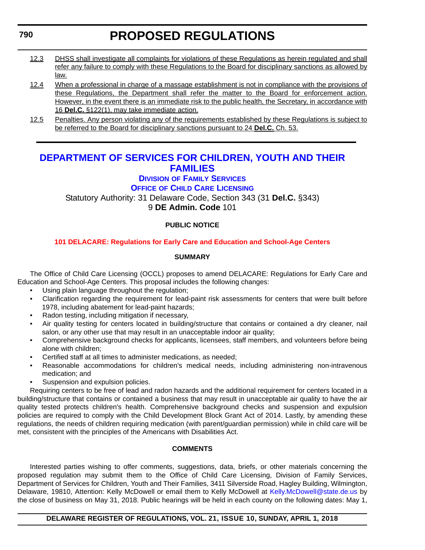- <span id="page-34-0"></span>12.3 DHSS shall investigate all complaints for violations of these Regulations as herein regulated and shall refer any failure to comply with these Regulations to the Board for disciplinary sanctions as allowed by law.
- 12.4 When a professional in charge of a massage establishment is not in compliance with the provisions of these Regulations, the Department shall refer the matter to the Board for enforcement action. However, in the event there is an immediate risk to the public health, the Secretary, in accordance with 16 **Del.C.** §122(1), may take immediate action.
- 12.5 Penalties. Any person violating any of the requirements established by these Regulations is subject to be referred to the Board for disciplinary sanctions pursuant to 24 **Del.C.** Ch. 53.

### **[DEPARTMENT OF SERVICES FOR CHILDREN, YOUTH AND THEIR](https://kids.delaware.gov/fs/fs.shtml)  FAMILIES**

**DIVISION [OF FAMILY SERVICES](https://kids.delaware.gov/fs/fs.shtml)**

**OFFICE OF CHILD CARE LICENSING**

Statutory Authority: 31 Delaware Code, Section 343 (31 **Del.C.** §343) 9 **DE Admin. Code** 101

### **PUBLIC NOTICE**

### **[101 DELACARE: Regulations for Early Care and Education and School-Age Centers](#page-3-0)**

### **SUMMARY**

The Office of Child Care Licensing (OCCL) proposes to amend DELACARE: Regulations for Early Care and Education and School-Age Centers. This proposal includes the following changes:

- Using plain language throughout the regulation;
- Clarification regarding the requirement for lead-paint risk assessments for centers that were built before 1978, including abatement for lead-paint hazards;
- Radon testing, including mitigation if necessary,
- Air quality testing for centers located in building/structure that contains or contained a dry cleaner, nail salon, or any other use that may result in an unacceptable indoor air quality;
- Comprehensive background checks for applicants, licensees, staff members, and volunteers before being alone with children;
- Certified staff at all times to administer medications, as needed;
- Reasonable accommodations for children's medical needs, including administering non-intravenous medication; and
- Suspension and expulsion policies.

Requiring centers to be free of lead and radon hazards and the additional requirement for centers located in a building/structure that contains or contained a business that may result in unacceptable air quality to have the air quality tested protects children's health. Comprehensive background checks and suspension and expulsion policies are required to comply with the Child Development Block Grant Act of 2014. Lastly, by amending these regulations, the needs of children requiring medication (with parent/guardian permission) while in child care will be met, consistent with the principles of the Americans with Disabilities Act.

### **COMMENTS**

Interested parties wishing to offer comments, suggestions, data, briefs, or other materials concerning the proposed regulation may submit them to the Office of Child Care Licensing, Division of Family Services, Department of Services for Children, Youth and Their Families, 3411 Silverside Road, Hagley Building, Wilmington, Delaware, 19810, Attention: Kelly McDowell or email them to Kelly McDowell at [Kelly.McDowell@state.de.us](mailto:Kelly.McDowell@state.de.us) by the close of business on May 31, 2018. Public hearings will be held in each county on the following dates: May 1,

### **DELAWARE REGISTER OF REGULATIONS, VOL. 21, ISSUE 10, SUNDAY, APRIL 1, 2018**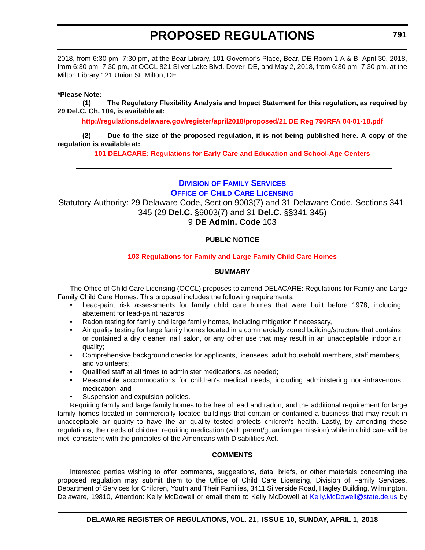<span id="page-35-0"></span>2018, from 6:30 pm -7:30 pm, at the Bear Library, 101 Governor's Place, Bear, DE Room 1 A & B; April 30, 2018, from 6:30 pm -7:30 pm, at OCCL 821 Silver Lake Blvd. Dover, DE, and May 2, 2018, from 6:30 pm -7:30 pm, at the Milton Library 121 Union St. Milton, DE.

### **\*Please Note:**

**(1) The Regulatory Flexibility Analysis and Impact Statement for this regulation, as required by 29 Del.C. Ch. 104, is available at:**

**<http://regulations.delaware.gov/register/april2018/proposed/21 DE Reg 790RFA 04-01-18.pdf>**

**(2) Due to the size of the proposed regulation, it is not being published here. A copy of the regulation is available at:**

**[101 DELACARE: Regulations for Early Care and Education and School-Age Centers](http://regulations.delaware.gov/register/april2018/proposed/21 DE Reg 790 04-01-18.htm)** 

**DIVISION [OF FAMILY SERVICES](https://kids.delaware.gov/fs/fs.shtml) OFFICE OF CHILD CARE LICENSING**

Statutory Authority: 29 Delaware Code, Section 9003(7) and 31 Delaware Code, Sections 341- 345 (29 **Del.C.** §9003(7) and 31 **Del.C.** §§341-345)

9 **DE Admin. Code** 103

### **PUBLIC NOTICE**

### **[103 Regulations for Family and Large Family Child Care Homes](#page-3-0)**

### **SUMMARY**

The Office of Child Care Licensing (OCCL) proposes to amend DELACARE: Regulations for Family and Large Family Child Care Homes. This proposal includes the following requirements:

- Lead-paint risk assessments for family child care homes that were built before 1978, including abatement for lead-paint hazards;
- Radon testing for family and large family homes, including mitigation if necessary,
- Air quality testing for large family homes located in a commercially zoned building/structure that contains or contained a dry cleaner, nail salon, or any other use that may result in an unacceptable indoor air quality;
- Comprehensive background checks for applicants, licensees, adult household members, staff members, and volunteers;
- Qualified staff at all times to administer medications, as needed;
- Reasonable accommodations for children's medical needs, including administering non-intravenous medication; and
- Suspension and expulsion policies.

Requiring family and large family homes to be free of lead and radon, and the additional requirement for large family homes located in commercially located buildings that contain or contained a business that may result in unacceptable air quality to have the air quality tested protects children's health. Lastly, by amending these regulations, the needs of children requiring medication (with parent/guardian permission) while in child care will be met, consistent with the principles of the Americans with Disabilities Act.

### **COMMENTS**

Interested parties wishing to offer comments, suggestions, data, briefs, or other materials concerning the proposed regulation may submit them to the Office of Child Care Licensing, Division of Family Services, Department of Services for Children, Youth and Their Families, 3411 Silverside Road, Hagley Building, Wilmington, Delaware, 19810, Attention: Kelly McDowell or email them to Kelly McDowell at [Kelly.McDowell@state.de.us](mailto:Kelly.McDowell@state.de.us) by

**DELAWARE REGISTER OF REGULATIONS, VOL. 21, ISSUE 10, SUNDAY, APRIL 1, 2018**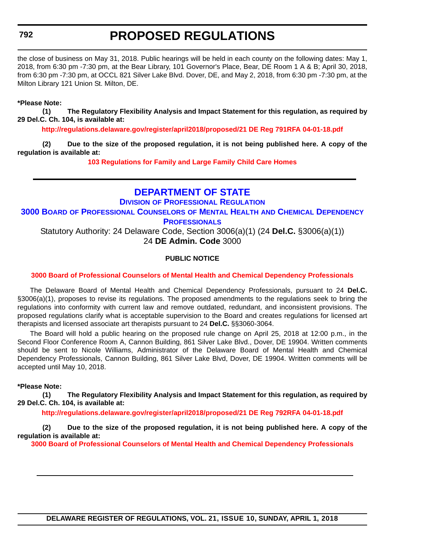### <span id="page-36-0"></span>**792**

### **PROPOSED REGULATIONS**

the close of business on May 31, 2018. Public hearings will be held in each county on the following dates: May 1, 2018, from 6:30 pm -7:30 pm, at the Bear Library, 101 Governor's Place, Bear, DE Room 1 A & B; April 30, 2018, from 6:30 pm -7:30 pm, at OCCL 821 Silver Lake Blvd. Dover, DE, and May 2, 2018, from 6:30 pm -7:30 pm, at the Milton Library 121 Union St. Milton, DE.

### **\*Please Note:**

**(1) The Regulatory Flexibility Analysis and Impact Statement for this regulation, as required by 29 Del.C. Ch. 104, is available at:**

**<http://regulations.delaware.gov/register/april2018/proposed/21 DE Reg 791RFA 04-01-18.pdf>**

**(2) Due to the size of the proposed regulation, it is not being published here. A copy of the regulation is available at:**

**[103 Regulations for Family and Large Family Child Care Homes](http://regulations.delaware.gov/register/april2018/proposed/21 DE Reg 791 04-01-18.htm)** 

### **[DEPARTMENT OF STATE](https://dpr.delaware.gov/)**

**DIVISION [OF PROFESSIONAL REGULATION](https://dpr.delaware.gov/) 3000 BOARD [OF PROFESSIONAL COUNSELORS](https://dpr.delaware.gov/) OF MENTAL HEALTH AND CHEMICAL DEPENDENCY PROFESSIONALS**

Statutory Authority: 24 Delaware Code, Section 3006(a)(1) (24 **Del.C.** §3006(a)(1)) 24 **DE Admin. Code** 3000

### **PUBLIC NOTICE**

### **[3000 Board of Professional Counselors of Mental Health and Chemical Dependency Professionals](#page-3-0)**

The Delaware Board of Mental Health and Chemical Dependency Professionals, pursuant to 24 **Del.C.** §3006(a)(1), proposes to revise its regulations. The proposed amendments to the regulations seek to bring the regulations into conformity with current law and remove outdated, redundant, and inconsistent provisions. The proposed regulations clarify what is acceptable supervision to the Board and creates regulations for licensed art therapists and licensed associate art therapists pursuant to 24 **Del.C.** §§3060-3064.

The Board will hold a public hearing on the proposed rule change on April 25, 2018 at 12:00 p.m., in the Second Floor Conference Room A, Cannon Building, 861 Silver Lake Blvd., Dover, DE 19904. Written comments should be sent to Nicole Williams, Administrator of the Delaware Board of Mental Health and Chemical Dependency Professionals, Cannon Building, 861 Silver Lake Blvd, Dover, DE 19904. Written comments will be accepted until May 10, 2018.

#### **\*Please Note:**

**(1) The Regulatory Flexibility Analysis and Impact Statement for this regulation, as required by 29 Del.C. Ch. 104, is available at:**

**<http://regulations.delaware.gov/register/april2018/proposed/21 DE Reg 792RFA 04-01-18.pdf>**

**(2) Due to the size of the proposed regulation, it is not being published here. A copy of the regulation is available at:**

**[3000 Board of Professional Counselors of Mental Health and Chemical Dependency Professionals](http://regulations.delaware.gov/register/april2018/proposed/21 DE Reg 792 04-01-18.htm)**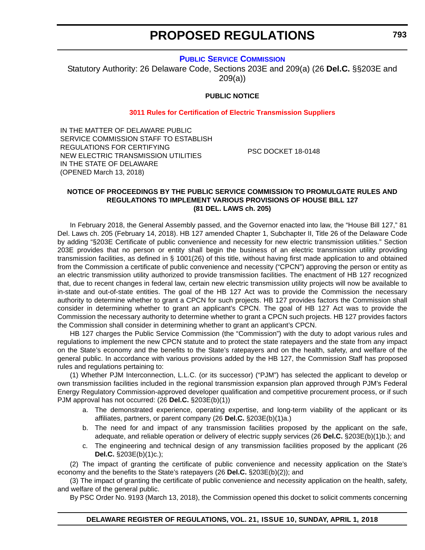### **[PUBLIC SERVICE COMMISSION](https://depsc.delaware.gov/)**

<span id="page-37-0"></span>Statutory Authority: 26 Delaware Code, Sections 203E and 209(a) (26 **Del.C.** §§203E and 209(a))

### **PUBLIC NOTICE**

#### **[3011 Rules for Certification of Electric Transmission Suppliers](#page-3-0)**

IN THE MATTER OF DELAWARE PUBLIC SERVICE COMMISSION STAFF TO ESTABLISH REGULATIONS FOR CERTIFYING NEW ELECTRIC TRANSMISSION UTILITIES IN THE STATE OF DELAWARE (OPENED March 13, 2018)

PSC DOCKET 18-0148

#### **NOTICE OF PROCEEDINGS BY THE PUBLIC SERVICE COMMISSION TO PROMULGATE RULES AND REGULATIONS TO IMPLEMENT VARIOUS PROVISIONS OF HOUSE BILL 127 (81 DEL. LAWS ch. 205)**

In February 2018, the General Assembly passed, and the Governor enacted into law, the "House Bill 127," 81 Del. Laws ch. 205 (February 14, 2018). HB 127 amended Chapter 1, Subchapter II, Title 26 of the Delaware Code by adding "§203E Certificate of public convenience and necessity for new electric transmission utilities." Section 203E provides that no person or entity shall begin the business of an electric transmission utility providing transmission facilities, as defined in § 1001(26) of this title, without having first made application to and obtained from the Commission a certificate of public convenience and necessity ("CPCN") approving the person or entity as an electric transmission utility authorized to provide transmission facilities. The enactment of HB 127 recognized that, due to recent changes in federal law, certain new electric transmission utility projects will now be available to in-state and out-of-state entities. The goal of the HB 127 Act was to provide the Commission the necessary authority to determine whether to grant a CPCN for such projects. HB 127 provides factors the Commission shall consider in determining whether to grant an applicant's CPCN. The goal of HB 127 Act was to provide the Commission the necessary authority to determine whether to grant a CPCN such projects. HB 127 provides factors the Commission shall consider in determining whether to grant an applicant's CPCN.

HB 127 charges the Public Service Commission (the "Commission") with the duty to adopt various rules and regulations to implement the new CPCN statute and to protect the state ratepayers and the state from any impact on the State's economy and the benefits to the State's ratepayers and on the health, safety, and welfare of the general public. In accordance with various provisions added by the HB 127, the Commission Staff has proposed rules and regulations pertaining to:

(1) Whether PJM Interconnection, L.L.C. (or its successor) ("PJM") has selected the applicant to develop or own transmission facilities included in the regional transmission expansion plan approved through PJM's Federal Energy Regulatory Commission-approved developer qualification and competitive procurement process, or if such PJM approval has not occurred: (26 **Del.C.** §203E(b)(1))

- a. The demonstrated experience, operating expertise, and long-term viability of the applicant or its affiliates, partners, or parent company (26 **Del.C.** §203E(b)(1)a.)
- b. The need for and impact of any transmission facilities proposed by the applicant on the safe, adequate, and reliable operation or delivery of electric supply services (26 **Del.C.** §203E(b)(1)b.); and
- c. The engineering and technical design of any transmission facilities proposed by the applicant (26 **Del.C.** §203E(b)(1)c.);

(2) The impact of granting the certificate of public convenience and necessity application on the State's economy and the benefits to the State's ratepayers (26 **Del.C.** §203E(b)(2)); and

(3) The impact of granting the certificate of public convenience and necessity application on the health, safety, and welfare of the general public.

By PSC Order No. 9193 (March 13, 2018), the Commission opened this docket to solicit comments concerning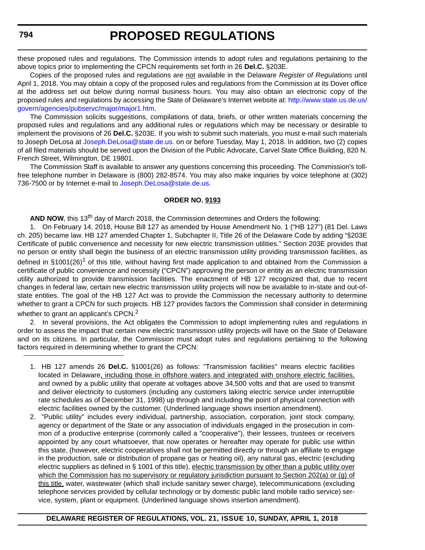these proposed rules and regulations. The Commission intends to adopt rules and regulations pertaining to the above topics prior to implementing the CPCN requirements set forth in 26 **Del.C.** §203E.

Copies of the proposed rules and regulations are not available in the Delaware *Register of Regulations* until April 1, 2018. You may obtain a copy of the proposed rules and regulations from the Commission at its Dover office at the address set out below during normal business hours. You may also obtain an electronic copy of the proposed rules and regulations by accessing the State of Delaware's Internet website at: [http://www.state.us.de.us/](http://www.state.us.de.us/govern/agencies/pubservc/major/major1.htm) [govern/agencies/pubservc/major/major1.htm](http://www.state.us.de.us/govern/agencies/pubservc/major/major1.htm).

The Commission solicits suggestions, compilations of data, briefs, or other written materials concerning the proposed rules and regulations and any additional rules or regulations which may be necessary or desirable to implement the provisions of 26 **Del.C.** §203E. If you wish to submit such materials, you must e-mail such materials to Joseph DeLosa at [Joseph.DeLosa@state.de.us](mailto:Joseph.DeLosa@state.de.us). on or before Tuesday, May 1, 2018. In addition, two (2) copies of all filed materials should be served upon the Division of the Public Advocate, Carvel State Office Building, 820 N. French Street, Wilmington, DE 19801.

The Commission Staff is available to answer any questions concerning this proceeding. The Commission's tollfree telephone number in Delaware is (800) 282-8574. You may also make inquiries by voice telephone at (302) 736-7500 or by Internet e-mail to [Joseph.DeLosa@state.de.us](mailto:Joseph.DeLosa@state.de.us).

#### **ORDER NO. 9193**

**AND NOW**, this 13<sup>th</sup> day of March 2018, the Commission determines and Orders the following:

1. On February 14, 2018, House Bill 127 as amended by House Amendment No. 1 ("HB 127") (81 Del. Laws ch. 205) became law. HB 127 amended Chapter 1, Subchapter II, Title 26 of the Delaware Code by adding "§203E Certificate of public convenience and necessity for new electric transmission utilities." Section 203E provides that no person or entity shall begin the business of an electric transmission utility providing transmission facilities, as defined in §1001(26)<sup>1</sup> of this title, without having first made application to and obtained from the Commission a certificate of public convenience and necessity ("CPCN") approving the person or entity as an electric transmission utility authorized to provide transmission facilities. The enactment of HB 127 recognized that, due to recent changes in federal law, certain new electric transmission utility projects will now be available to in-state and out-ofstate entities. The goal of the HB 127 Act was to provide the Commission the necessary authority to determine whether to grant a CPCN for such projects. HB 127 provides factors the Commission shall consider in determining whether to grant an applicant's CPCN.<sup>2</sup>

2. In several provisions, the Act obligates the Commission to adopt implementing rules and regulations in order to assess the impact that certain new electric transmission utility projects will have on the State of Delaware and on its citizens. In particular, the Commission must adopt rules and regulations pertaining to the following factors required in determining whether to grant the CPCN:

<sup>1.</sup> HB 127 amends 26 **Del.C.** §1001(26) as follows: "Transmission facilities'' means electric facilities located in Delaware, including those in offshore waters and integrated with onshore electric facilities, and owned by a public utility that operate at voltages above 34,500 volts and that are used to transmit and deliver electricity to customers (including any customers taking electric service under interruptible rate schedules as of December 31, 1998) up through and including the point of physical connection with electric facilities owned by the customer. (Underlined language shows insertion amendment).

<sup>2. &</sup>quot;Public utility" includes every individual, partnership, association, corporation, joint stock company, agency or department of the State or any association of individuals engaged in the prosecution in common of a productive enterprise (commonly called a "cooperative"), their lessees, trustees or receivers appointed by any court whatsoever, that now operates or hereafter may operate for public use within this state, (however, electric cooperatives shall not be permitted directly or through an affiliate to engage in the production, sale or distribution of propane gas or heating oil), any natural gas, electric (excluding electric suppliers as defined in § 1001 of this title), electric transmission by other than a public utility over which the Commission has no supervisory or regulatory jurisdiction pursuant to Section 202(a) or (g) of this title, water, wastewater (which shall include sanitary sewer charge), telecommunications (excluding telephone services provided by cellular technology or by domestic public land mobile radio service) service, system, plant or equipment. (Underlined language shows insertion amendment).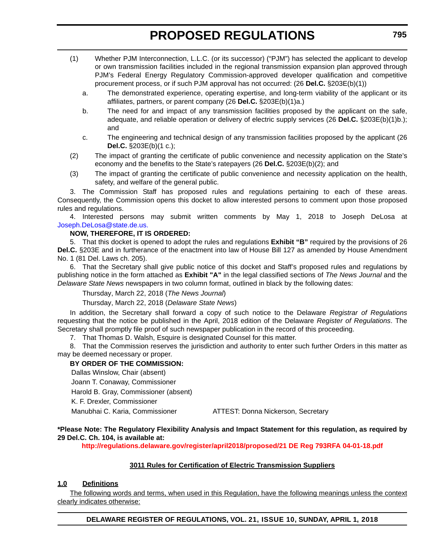- (1) Whether PJM Interconnection, L.L.C. (or its successor) ("PJM") has selected the applicant to develop or own transmission facilities included in the regional transmission expansion plan approved through PJM's Federal Energy Regulatory Commission-approved developer qualification and competitive procurement process, or if such PJM approval has not occurred: (26 **Del.C.** §203E(b)(1))
	- a. The demonstrated experience, operating expertise, and long-term viability of the applicant or its affiliates, partners, or parent company (26 **Del.C.** §203E(b)(1)a.)
	- b. The need for and impact of any transmission facilities proposed by the applicant on the safe, adequate, and reliable operation or delivery of electric supply services (26 **Del.C.** §203E(b)(1)b.); and
	- c. The engineering and technical design of any transmission facilities proposed by the applicant (26 **Del.C.** §203E(b)(1 c.);
- (2) The impact of granting the certificate of public convenience and necessity application on the State's economy and the benefits to the State's ratepayers (26 **Del.C.** §203E(b)(2); and
- (3) The impact of granting the certificate of public convenience and necessity application on the health, safety, and welfare of the general public.

3. The Commission Staff has proposed rules and regulations pertaining to each of these areas. Consequently, the Commission opens this docket to allow interested persons to comment upon those proposed rules and regulations.

4. Interested persons may submit written comments by May 1, 2018 to Joseph DeLosa at [Joseph.DeLosa@state.de.us.](mailto:Joseph.DeLosa@state.de.us.)

### **NOW, THEREFORE, IT IS ORDERED:**

5. That this docket is opened to adopt the rules and regulations **Exhibit "B"** required by the provisions of 26 **Del.C.** §203E and in furtherance of the enactment into law of House Bill 127 as amended by House Amendment No. 1 (81 Del. Laws ch. 205).

6. That the Secretary shall give public notice of this docket and Staff's proposed rules and regulations by publishing notice in the form attached as **Exhibit "A"** in the legal classified sections of *The News Journal* and the *Delaware State News* newspapers in two column format, outlined in black by the following dates:

Thursday, March 22, 2018 (*The News Journal*)

Thursday, March 22, 2018 (*Delaware State News*)

In addition, the Secretary shall forward a copy of such notice to the Delaware *Registrar of Regulations* requesting that the notice be published in the April, 2018 edition of the Delaware *Register of Regulations*. The Secretary shall promptly file proof of such newspaper publication in the record of this proceeding.

7. That Thomas D. Walsh, Esquire is designated Counsel for this matter.

8. That the Commission reserves the jurisdiction and authority to enter such further Orders in this matter as may be deemed necessary or proper.

### **BY ORDER OF THE COMMISSION:**

Dallas Winslow, Chair (absent)

Joann T. Conaway, Commissioner Harold B. Gray, Commissioner (absent)

K. F. Drexler, Commissioner

Manubhai C. Karia, Commissioner ATTEST: Donna Nickerson, Secretary

### **\*Please Note: The Regulatory Flexibility Analysis and Impact Statement for this regulation, as required by 29 Del.C. Ch. 104, is available at:**

**<http://regulations.delaware.gov/register/april2018/proposed/21 DE Reg 793RFA 04-01-18.pdf>**

### **3011 Rules for Certification of Electric Transmission Suppliers**

### **1.0 Definitions**

The following words and terms, when used in this Regulation, have the following meanings unless the context clearly indicates otherwise: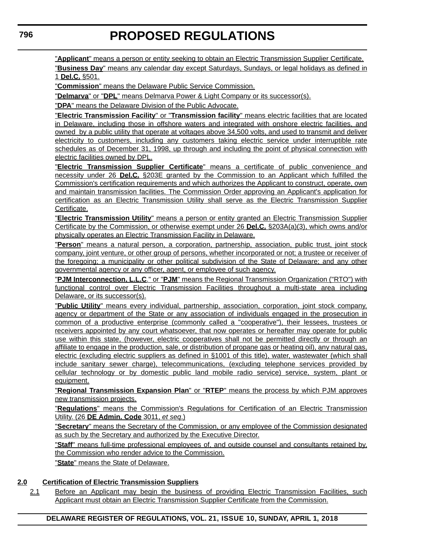"**Applicant**" means a person or entity seeking to obtain an Electric Transmission Supplier Certificate.

"**Business Day**" means any calendar day except Saturdays, Sundays, or legal holidays as defined in 1 **Del.C.** §501.

"**Commission**" means the Delaware Public Service Commission.

"**Delmarva**" or "**DPL**" means Delmarva Power & Light Company or its successor(s).

"**DPA**" means the Delaware Division of the Public Advocate.

"**Electric Transmission Facility**" or "**Transmission facility**" means electric facilities that are located in Delaware, including those in offshore waters and integrated with onshore electric facilities, and owned by a public utility that operate at voltages above 34,500 volts, and used to transmit and deliver electricity to customers, including any customers taking electric service under interruptible rate schedules as of December 31, 1998, up through and including the point of physical connection with electric facilities owned by DPL.

"**Electric Transmission Supplier Certificate**" means a certificate of public convenience and necessity under 26 **Del.C.** §203E granted by the Commission to an Applicant which fulfilled the Commission's certification requirements and which authorizes the Applicant to construct, operate, own and maintain transmission facilities. The Commission Order approving an Applicant's application for certification as an Electric Transmission Utility shall serve as the Electric Transmission Supplier Certificate.

"**Electric Transmission Utility**" means a person or entity granted an Electric Transmission Supplier Certificate by the Commission, or otherwise exempt under 26 **Del.C.** §203A(a)(3), which owns and/or physically operates an Electric Transmission Facility in Delaware.

"**Person**" means a natural person, a corporation, partnership, association, public trust, joint stock company, joint venture, or other group of persons, whether incorporated or not; a trustee or receiver of the foregoing; a municipality or other political subdivision of the State of Delaware; and any other governmental agency or any officer, agent, or employee of such agency.

"**PJM Interconnection, L.L.C**." or "**PJM**" means the Regional Transmission Organization ("RTO") with functional control over Electric Transmission Facilities throughout a multi-state area including Delaware, or its successor(s).

"**Public Utility**" means every individual, partnership, association, corporation, joint stock company, agency or department of the State or any association of individuals engaged in the prosecution in common of a productive enterprise (commonly called a "cooperative"), their lessees, trustees or receivers appointed by any court whatsoever, that now operates or hereafter may operate for public use within this state, (however, electric cooperatives shall not be permitted directly or through an affiliate to engage in the production, sale, or distribution of propane gas or heating oil), any natural gas, electric (excluding electric suppliers as defined in §1001 of this title), water, wastewater (which shall include sanitary sewer charge), telecommunications, (excluding telephone services provided by cellular technology or by domestic public land mobile radio service) service, system, plant or equipment.

"**Regional Transmission Expansion Plan**" or "**RTEP**" means the process by which PJM approves new transmission projects.

"**Regulations**" means the Commission's Regulations for Certification of an Electric Transmission Utility. (26 **DE Admin. Code** 3011, *et seq*.)

"**Secretary**" means the Secretary of the Commission, or any employee of the Commission designated as such by the Secretary and authorized by the Executive Director.

"**Staff**" means full-time professional employees of, and outside counsel and consultants retained by, the Commission who render advice to the Commission.

"**State**" means the State of Delaware.

### **2.0 Certification of Electric Transmission Suppliers**

2.1 Before an Applicant may begin the business of providing Electric Transmission Facilities, such Applicant must obtain an Electric Transmission Supplier Certificate from the Commission.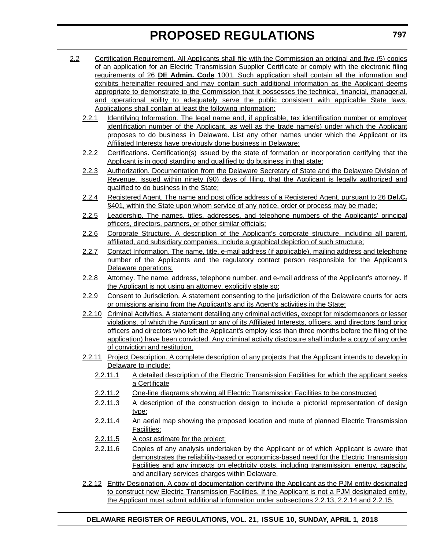- 2.2 Certification Requirement. All Applicants shall file with the Commission an original and five (5) copies of an application for an Electric Transmission Supplier Certificate or comply with the electronic filing requirements of 26 **DE Admin. Code** 1001. Such application shall contain all the information and exhibits hereinafter required and may contain such additional information as the Applicant deems appropriate to demonstrate to the Commission that it possesses the technical, financial, managerial, and operational ability to adequately serve the public consistent with applicable State laws. Applications shall contain at least the following information:
	- 2.2.1 Identifying Information. The legal name and, if applicable, tax identification number or employer identification number of the Applicant, as well as the trade name(s) under which the Applicant proposes to do business in Delaware. List any other names under which the Applicant or its Affiliated Interests have previously done business in Delaware;
	- 2.2.2 Certifications. Certification(s) issued by the state of formation or incorporation certifying that the Applicant is in good standing and qualified to do business in that state;
	- 2.2.3 Authorization. Documentation from the Delaware Secretary of State and the Delaware Division of Revenue, issued within ninety (90) days of filing, that the Applicant is legally authorized and qualified to do business in the State;
	- 2.2.4 Registered Agent. The name and post office address of a Registered Agent, pursuant to 26 **Del.C.** §401, within the State upon whom service of any notice, order or process may be made;
	- 2.2.5 Leadership. The names, titles, addresses, and telephone numbers of the Applicants' principal officers, directors, partners, or other similar officials;
	- 2.2.6 Corporate Structure. A description of the Applicant's corporate structure, including all parent, affiliated, and subsidiary companies. Include a graphical depiction of such structure;
	- 2.2.7 Contact Information. The name, title, e-mail address (if applicable), mailing address and telephone number of the Applicants and the regulatory contact person responsible for the Applicant's Delaware operations;
	- 2.2.8 Attorney. The name, address, telephone number, and e-mail address of the Applicant's attorney. If the Applicant is not using an attorney, explicitly state so;
	- 2.2.9 Consent to Jurisdiction. A statement consenting to the jurisdiction of the Delaware courts for acts or omissions arising from the Applicant's and its Agent's activities in the State;
	- 2.2.10 Criminal Activities. A statement detailing any criminal activities, except for misdemeanors or lesser violations, of which the Applicant or any of its Affiliated Interests, officers, and directors (and prior officers and directors who left the Applicant's employ less than three months before the filing of the application) have been convicted. Any criminal activity disclosure shall include a copy of any order of conviction and restitution.
	- 2.2.11 Project Description. A complete description of any projects that the Applicant intends to develop in Delaware to include:
		- 2.2.11.1 A detailed description of the Electric Transmission Facilities for which the applicant seeks a Certificate
		- 2.2.11.2 One-line diagrams showing all Electric Transmission Facilities to be constructed
		- 2.2.11.3 A description of the construction design to include a pictorial representation of design type;
		- 2.2.11.4 An aerial map showing the proposed location and route of planned Electric Transmission Facilities;
		- 2.2.11.5 A cost estimate for the project;
		- 2.2.11.6 Copies of any analysis undertaken by the Applicant or of which Applicant is aware that demonstrates the reliability-based or economics-based need for the Electric Transmission Facilities and any impacts on electricity costs, including transmission, energy, capacity, and ancillary services charges within Delaware.
	- 2.2.12 Entity Designation. A copy of documentation certifying the Applicant as the PJM entity designated to construct new Electric Transmission Facilities. If the Applicant is not a PJM designated entity, the Applicant must submit additional information under subsections 2.2.13, 2.2.14 and 2.2.15.

**797**

### **DELAWARE REGISTER OF REGULATIONS, VOL. 21, ISSUE 10, SUNDAY, APRIL 1, 2018**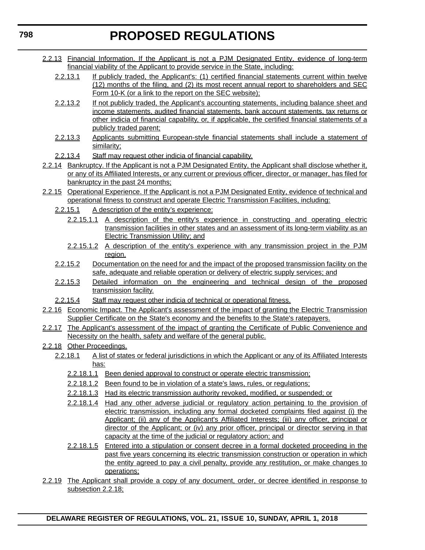- 2.2.13 Financial Information. If the Applicant is not a PJM Designated Entity, evidence of long-term financial viability of the Applicant to provide service in the State, including:
	- 2.2.13.1 If publicly traded, the Applicant's: (1) certified financial statements current within twelve (12) months of the filing, and (2) its most recent annual report to shareholders and SEC Form 10-K (or a link to the report on the SEC website);
	- 2.2.13.2 If not publicly traded, the Applicant's accounting statements, including balance sheet and income statements, audited financial statements, bank account statements, tax returns or other indicia of financial capability, or, if applicable, the certified financial statements of a publicly traded parent;
	- 2.2.13.3 Applicants submitting European-style financial statements shall include a statement of similarity;
	- 2.2.13.4 Staff may request other indicia of financial capability.
- 2.2.14 Bankruptcy. If the Applicant is not a PJM Designated Entity, the Applicant shall disclose whether it, or any of its Affiliated Interests, or any current or previous officer, director, or manager, has filed for bankruptcy in the past 24 months;
- 2.2.15 Operational Experience. If the Applicant is not a PJM Designated Entity, evidence of technical and operational fitness to construct and operate Electric Transmission Facilities, including:
	- 2.2.15.1 A description of the entity's experience:
		- 2.2.15.1.1 A description of the entity's experience in constructing and operating electric transmission facilities in other states and an assessment of its long-term viability as an Electric Transmission Utility; and
		- 2.2.15.1.2 A description of the entity's experience with any transmission project in the PJM region.
	- 2.2.15.2 Documentation on the need for and the impact of the proposed transmission facility on the safe, adequate and reliable operation or delivery of electric supply services; and
	- 2.2.15.3 Detailed information on the engineering and technical design of the proposed transmission facility.
	- 2.2.15.4 Staff may request other indicia of technical or operational fitness.
- 2.2.16 Economic Impact. The Applicant's assessment of the impact of granting the Electric Transmission Supplier Certificate on the State's economy and the benefits to the State's ratepayers.
- 2.2.17 The Applicant's assessment of the impact of granting the Certificate of Public Convenience and Necessity on the health, safety and welfare of the general public.
- 2.2.18 Other Proceedings.
	- 2.2.18.1 A list of states or federal jurisdictions in which the Applicant or any of its Affiliated Interests has:
		- 2.2.18.1.1 Been denied approval to construct or operate electric transmission;
		- 2.2.18.1.2 Been found to be in violation of a state's laws, rules, or regulations;
		- 2.2.18.1.3 Had its electric transmission authority revoked, modified, or suspended; or
		- 2.2.18.1.4 Had any other adverse judicial or regulatory action pertaining to the provision of electric transmission, including any formal docketed complaints filed against (i) the Applicant; (ii) any of the Applicant's Affiliated Interests; (iii) any officer, principal or director of the Applicant; or (iv) any prior officer, principal or director serving in that capacity at the time of the judicial or regulatory action; and
		- 2.2.18.1.5 Entered into a stipulation or consent decree in a formal docketed proceeding in the past five years concerning its electric transmission construction or operation in which the entity agreed to pay a civil penalty, provide any restitution, or make changes to operations;
- 2.2.19 The Applicant shall provide a copy of any document, order, or decree identified in response to subsection 2.2.18;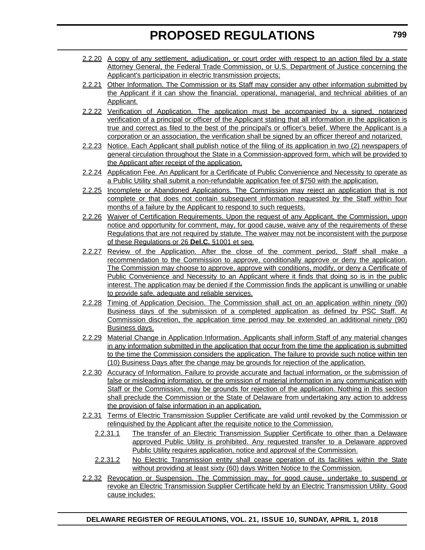- 2.2.20 A copy of any settlement, adjudication, or court order with respect to an action filed by a state Attorney General, the Federal Trade Commission, or U.S. Department of Justice concerning the Applicant's participation in electric transmission projects;
- 2.2.21 Other Information. The Commission or its Staff may consider any other information submitted by the Applicant if it can show the financial, operational, managerial, and technical abilities of an Applicant.
- 2.2.22 Verification of Application. The application must be accompanied by a signed, notarized verification of a principal or officer of the Applicant stating that all information in the application is true and correct as filed to the best of the principal's or officer's belief. Where the Applicant is a corporation or an association, the verification shall be signed by an officer thereof and notarized.
- 2.2.23 Notice. Each Applicant shall publish notice of the filing of its application in two (2) newspapers of general circulation throughout the State in a Commission-approved form, which will be provided to the Applicant after receipt of the application.
- 2.2.24 Application Fee. An Applicant for a Certificate of Public Convenience and Necessity to operate as a Public Utility shall submit a non-refundable application fee of \$750 with the application.
- 2.2.25 Incomplete or Abandoned Applications. The Commission may reject an application that is not complete or that does not contain subsequent information requested by the Staff within four months of a failure by the Applicant to respond to such requests.
- 2.2.26 Waiver of Certification Requirements. Upon the request of any Applicant, the Commission, upon notice and opportunity for comment, may, for good cause, waive any of the requirements of these Regulations that are not required by statute. The waiver may not be inconsistent with the purpose of these Regulations or 26 **Del.C.** §1001 et seq.
- 2.2.27 Review of the Application. After the close of the comment period, Staff shall make a recommendation to the Commission to approve, conditionally approve or deny the application. The Commission may choose to approve, approve with conditions, modify, or deny a Certificate of Public Convenience and Necessity to an Applicant where it finds that doing so is in the public interest. The application may be denied if the Commission finds the applicant is unwilling or unable to provide safe, adequate and reliable services.
- 2.2.28 Timing of Application Decision. The Commission shall act on an application within ninety (90) Business days of the submission of a completed application as defined by PSC Staff. At Commission discretion, the application time period may be extended an additional ninety (90) Business days.
- 2.2.29 Material Change in Application Information. Applicants shall inform Staff of any material changes in any information submitted in the application that occur from the time the application is submitted to the time the Commission considers the application. The failure to provide such notice within ten (10) Business Days after the change may be grounds for rejection of the application.
- 2.2.30 Accuracy of Information. Failure to provide accurate and factual information, or the submission of false or misleading information, or the omission of material information in any communication with Staff or the Commission, may be grounds for rejection of the application. Nothing in this section shall preclude the Commission or the State of Delaware from undertaking any action to address the provision of false information in an application.
- 2.2.31 Terms of Electric Transmission Supplier Certificate are valid until revoked by the Commission or relinquished by the Applicant after the requisite notice to the Commission.
	- 2.2.31.1 The transfer of an Electric Transmission Supplier Certificate to other than a Delaware approved Public Utility is prohibited. Any requested transfer to a Delaware approved Public Utility requires application, notice and approval of the Commission.
	- 2.2.31.2 No Electric Transmission entity shall cease operation of its facilities within the State without providing at least sixty (60) days Written Notice to the Commission.
- 2.2.32 Revocation or Suspension. The Commission may, for good cause, undertake to suspend or revoke an Electric Transmission Supplier Certificate held by an Electric Transmission Utility. Good cause includes: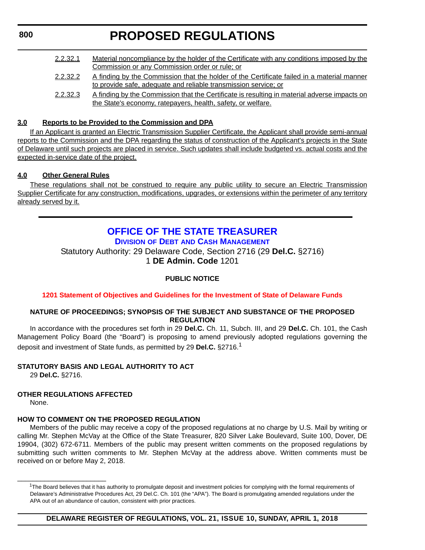### <span id="page-44-0"></span>**800**

### **PROPOSED REGULATIONS**

2.2.32.1 Material noncompliance by the holder of the Certificate with any conditions imposed by the Commission or any Commission order or rule; or 2.2.32.2 A finding by the Commission that the holder of the Certificate failed in a material manner to provide safe, adequate and reliable transmission service; or 2.2.32.3 A finding by the Commission that the Certificate is resulting in material adverse impacts on the State's economy, ratepayers, health, safety, or welfare.

### **3.0 Reports to be Provided to the Commission and DPA**

If an Applicant is granted an Electric Transmission Supplier Certificate, the Applicant shall provide semi-annual reports to the Commission and the DPA regarding the status of construction of the Applicant's projects in the State of Delaware until such projects are placed in service. Such updates shall include budgeted vs. actual costs and the expected in-service date of the project.

### **4.0 Other General Rules**

These regulations shall not be construed to require any public utility to secure an Electric Transmission Supplier Certificate for any construction, modifications, upgrades, or extensions within the perimeter of any territory already served by it.

### **[OFFICE OF THE STATE TREASURER](https://treasurer.delaware.gov/debt-cash-management/)**

**DIVISION OF DEBT [AND CASH MANAGEMENT](https://treasurer.delaware.gov/debt-cash-management/)**

Statutory Authority: 29 Delaware Code, Section 2716 (29 **Del.C.** §2716) 1 **DE Admin. Code** 1201

### **PUBLIC NOTICE**

**[1201 Statement of Objectives and Guidelines for the Investment of State of Delaware Funds](#page-3-0)**

### **NATURE OF PROCEEDINGS; SYNOPSIS OF THE SUBJECT AND SUBSTANCE OF THE PROPOSED REGULATION**

In accordance with the procedures set forth in 29 **Del.C.** Ch. 11, Subch. III, and 29 **Del.C.** Ch. 101, the Cash Management Policy Board (the "Board") is proposing to amend previously adopted regulations governing the deposit and investment of State funds, as permitted by 29 **Del.C.** §2716.<sup>1</sup>

### **STATUTORY BASIS AND LEGAL AUTHORITY TO ACT**

29 **Del.C.** §2716.

\_\_\_\_\_\_\_\_\_\_\_\_\_\_\_\_\_\_\_\_\_\_\_

### **OTHER REGULATIONS AFFECTED**

None.

### **HOW TO COMMENT ON THE PROPOSED REGULATION**

Members of the public may receive a copy of the proposed regulations at no charge by U.S. Mail by writing or calling Mr. Stephen McVay at the Office of the State Treasurer, 820 Silver Lake Boulevard, Suite 100, Dover, DE 19904, (302) 672-6711. Members of the public may present written comments on the proposed regulations by submitting such written comments to Mr. Stephen McVay at the address above. Written comments must be received on or before May 2, 2018.

**DELAWARE REGISTER OF REGULATIONS, VOL. 21, ISSUE 10, SUNDAY, APRIL 1, 2018**

<sup>&</sup>lt;sup>1</sup>The Board believes that it has authority to promulgate deposit and investment policies for complying with the formal requirements of Delaware's Administrative Procedures Act, 29 Del.C. Ch. 101 (the "APA"). The Board is promulgating amended regulations under the APA out of an abundance of caution, consistent with prior practices.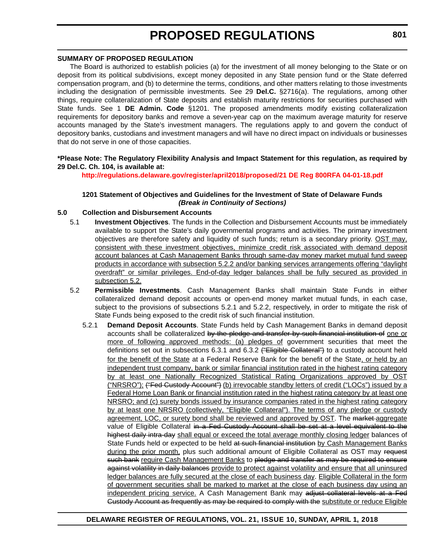#### **SUMMARY OF PROPOSED REGULATION**

The Board is authorized to establish policies (a) for the investment of all money belonging to the State or on deposit from its political subdivisions, except money deposited in any State pension fund or the State deferred compensation program, and (b) to determine the terms, conditions, and other matters relating to those investments including the designation of permissible investments. See 29 **Del.C.** §2716(a). The regulations, among other things, require collateralization of State deposits and establish maturity restrictions for securities purchased with State funds. See 1 **DE Admin. Code** §1201. The proposed amendments modify existing collateralization requirements for depository banks and remove a seven-year cap on the maximum average maturity for reserve accounts managed by the State's investment managers. The regulations apply to and govern the conduct of depository banks, custodians and investment managers and will have no direct impact on individuals or businesses that do not serve in one of those capacities.

### **\*Please Note: The Regulatory Flexibility Analysis and Impact Statement for this regulation, as required by 29 Del.C. Ch. 104, is available at:**

**<http://regulations.delaware.gov/register/april2018/proposed/21 DE Reg 800RFA 04-01-18.pdf>**

### **1201 Statement of Objectives and Guidelines for the Investment of State of Delaware Funds** *(Break in Continuity of Sections)*

### **5.0 Collection and Disbursement Accounts**

- 5.1 **Investment Objectives**. The funds in the Collection and Disbursement Accounts must be immediately available to support the State's daily governmental programs and activities. The primary investment objectives are therefore safety and liquidity of such funds; return is a secondary priority. OST may, consistent with these investment objectives, minimize credit risk associated with demand deposit account balances at Cash Management Banks through same-day money market mutual fund sweep products in accordance with subsection 5.2.2 and/or banking services arrangements offering "daylight overdraft" or similar privileges. End-of-day ledger balances shall be fully secured as provided in subsection 5.2.
- 5.2 **Permissible Investments**. Cash Management Banks shall maintain State Funds in either collateralized demand deposit accounts or open-end money market mutual funds, in each case, subject to the provisions of subsections 5.2.1 and 5.2.2, respectively, in order to mitigate the risk of State Funds being exposed to the credit risk of such financial institution.
	- 5.2.1 **Demand Deposit Accounts**. State Funds held by Cash Management Banks in demand deposit accounts shall be collateralized by the pledge and transfer by such financial institution of one or more of following approved methods: (a) pledges of government securities that meet the definitions set out in subsections 6.3.1 and 6.3.2 ("Eligible Collateral") to a custody account held for the benefit of the State at a Federal Reserve Bank for the benefit of the State, or held by an independent trust company, bank or similar financial institution rated in the highest rating category by at least one Nationally Recognized Statistical Rating Organizations approved by OST ("NRSRO"); ("Fed Custody Account") (b) irrevocable standby letters of credit ("LOCs") issued by a Federal Home Loan Bank or financial institution rated in the highest rating category by at least one NRSRO; and (c) surety bonds issued by insurance companies rated in the highest rating category by at least one NRSRO (collectively, "Eligible Collateral"). The terms of any pledge or custody agreement, LOC, or surety bond shall be reviewed and approved by OST. The market aggregate value of Eligible Collateral in a Fed Custody Account shall be set at a level equivalent to the highest daily intra-day shall equal or exceed the total average monthly closing ledger balances of State Funds held or expected to be held at such financial institution by Cash Management Banks during the prior month, plus such additional amount of Eligible Collateral as OST may request such bank require Cash Management Banks to pledge and transfer as may be required to ensure against volatility in daily balances provide to protect against volatility and ensure that all uninsured ledger balances are fully secured at the close of each business day. Eligible Collateral in the form of government securities shall be marked to market at the close of each business day using an independent pricing service. A Cash Management Bank may adjust collateral levels at a Fed Custody Account as frequently as may be required to comply with the substitute or reduce Eligible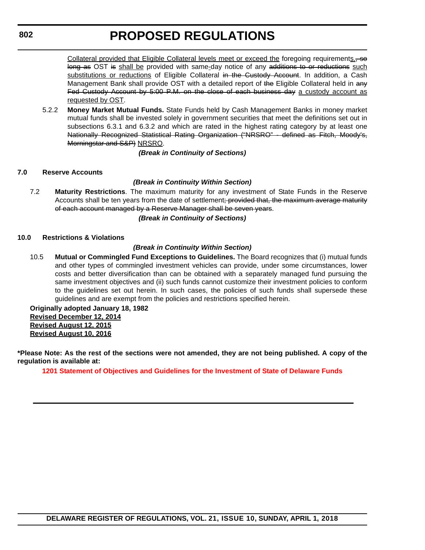Collateral provided that Eligible Collateral levels meet or exceed the foregoing requirements. long as OST is shall be provided with same-day notice of any additions to or reductions such substitutions or reductions of Eligible Collateral in the Custody Account. In addition, a Cash Management Bank shall provide OST with a detailed report of the Eligible Collateral held in any Fed Custody Account by 5:00 P.M. on the close of each business day a custody account as requested by OST.

5.2.2 **Money Market Mutual Funds.** State Funds held by Cash Management Banks in money market mutual funds shall be invested solely in government securities that meet the definitions set out in subsections 6.3.1 and 6.3.2 and which are rated in the highest rating category by at least one Nationally Recognized Statistical Rating Organization ("NRSRO" - defined as Fitch, Moody's, Morningstar and S&P) NRSRO.

*(Break in Continuity of Sections)*

### **7.0 Reserve Accounts**

### *(Break in Continuity Within Section)*

7.2 **Maturity Restrictions**. The maximum maturity for any investment of State Funds in the Reserve Accounts shall be ten years from the date of settlement; provided that, the maximum average maturity of each account managed by a Reserve Manager shall be seven years.

*(Break in Continuity of Sections)*

### **10.0 Restrictions & Violations**

### *(Break in Continuity Within Section)*

10.5 **Mutual or Commingled Fund Exceptions to Guidelines.** The Board recognizes that (i) mutual funds and other types of commingled investment vehicles can provide, under some circumstances, lower costs and better diversification than can be obtained with a separately managed fund pursuing the same investment objectives and (ii) such funds cannot customize their investment policies to conform to the guidelines set out herein. In such cases, the policies of such funds shall supersede these guidelines and are exempt from the policies and restrictions specified herein.

**Originally adopted January 18, 1982 Revised December 12, 2014 Revised August 12, 2015 Revised August 10, 2016**

**\*Please Note: As the rest of the sections were not amended, they are not being published. A copy of the regulation is available at:**

**[1201 Statement of Objectives and Guidelines for the Investment of State of Delaware Funds](http://regulations.delaware.gov/register/april2018/proposed/21 DE Reg 800 04-01-18.htm)**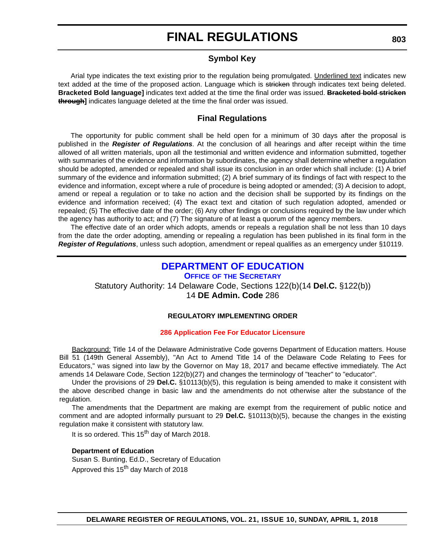### **Symbol Key**

<span id="page-47-0"></span>Arial type indicates the text existing prior to the regulation being promulgated. Underlined text indicates new text added at the time of the proposed action. Language which is stricken through indicates text being deleted. **Bracketed Bold language]** indicates text added at the time the final order was issued. **Bracketed bold stricken through]** indicates language deleted at the time the final order was issued.

### **Final Regulations**

The opportunity for public comment shall be held open for a minimum of 30 days after the proposal is published in the *Register of Regulations*. At the conclusion of all hearings and after receipt within the time allowed of all written materials, upon all the testimonial and written evidence and information submitted, together with summaries of the evidence and information by subordinates, the agency shall determine whether a regulation should be adopted, amended or repealed and shall issue its conclusion in an order which shall include: (1) A brief summary of the evidence and information submitted; (2) A brief summary of its findings of fact with respect to the evidence and information, except where a rule of procedure is being adopted or amended; (3) A decision to adopt, amend or repeal a regulation or to take no action and the decision shall be supported by its findings on the evidence and information received; (4) The exact text and citation of such regulation adopted, amended or repealed; (5) The effective date of the order; (6) Any other findings or conclusions required by the law under which the agency has authority to act; and (7) The signature of at least a quorum of the agency members.

The effective date of an order which adopts, amends or repeals a regulation shall be not less than 10 days from the date the order adopting, amending or repealing a regulation has been published in its final form in the *Register of Regulations*, unless such adoption, amendment or repeal qualifies as an emergency under §10119.

### **[DEPARTMENT OF EDUCATION](https://pubapps.doe.k12.de.us/EducationalDirectoryPublic/pages/DDOE/WorkGroupStaff.aspx?page=branches&WGID=1&BID=1)**

**OFFICE OF [THE SECRETARY](https://pubapps.doe.k12.de.us/EducationalDirectoryPublic/pages/DDOE/WorkGroupStaff.aspx?page=branches&WGID=1&BID=1)** Statutory Authority: 14 Delaware Code, Sections 122(b)(14 **Del.C.** §122(b)) 14 **DE Admin. Code** 286

### **REGULATORY IMPLEMENTING ORDER**

#### **[286 Application Fee For Educator Licensure](#page-3-0)**

Background: Title 14 of the Delaware Administrative Code governs Department of Education matters. House Bill 51 (149th General Assembly), "An Act to Amend Title 14 of the Delaware Code Relating to Fees for Educators," was signed into law by the Governor on May 18, 2017 and became effective immediately. The Act amends 14 Delaware Code, Section 122(b)(27) and changes the terminology of "teacher" to "educator".

Under the provisions of 29 **Del.C.** §10113(b)(5), this regulation is being amended to make it consistent with the above described change in basic law and the amendments do not otherwise alter the substance of the regulation.

The amendments that the Department are making are exempt from the requirement of public notice and comment and are adopted informally pursuant to 29 **Del.C.** §10113(b)(5), because the changes in the existing regulation make it consistent with statutory law.

It is so ordered. This  $15<sup>th</sup>$  day of March 2018.

#### **Department of Education**

Susan S. Bunting, Ed.D., Secretary of Education Approved this 15<sup>th</sup> day March of 2018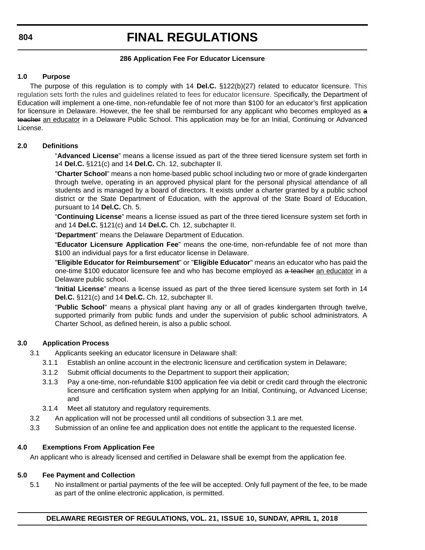### **286 Application Fee For Educator Licensure**

### **1.0 Purpose**

The purpose of this regulation is to comply with 14 **Del.C.** §122(b)(27) related to educator licensure. This regulation sets forth the rules and guidelines related to fees for educator licensure. Specifically, the Department of Education will implement a one-time, non-refundable fee of not more than \$100 for an educator's first application for licensure in Delaware. However, the fee shall be reimbursed for any applicant who becomes employed as a teacher an educator in a Delaware Public School. This application may be for an Initial, Continuing or Advanced License.

### **2.0 Definitions**

"**Advanced License**" means a license issued as part of the three tiered licensure system set forth in 14 **Del.C.** §121(c) and 14 **Del.C.** Ch. 12, subchapter II.

"**Charter School**" means a non home-based public school including two or more of grade kindergarten through twelve, operating in an approved physical plant for the personal physical attendance of all students and is managed by a board of directors. It exists under a charter granted by a public school district or the State Department of Education, with the approval of the State Board of Education, pursuant to 14 **Del.C.** Ch. 5.

"**Continuing License**" means a license issued as part of the three tiered licensure system set forth in and 14 **Del.C.** §121(c) and 14 **Del.C.** Ch. 12, subchapter II.

"**Department**" means the Delaware Department of Education.

"**Educator Licensure Application Fee**" means the one-time, non-refundable fee of not more than \$100 an individual pays for a first educator license in Delaware.

"**Eligible Educator for Reimbursement**" or "**Eligible Educator**" means an educator who has paid the one-time \$100 educator licensure fee and who has become employed as a teacher an educator in a Delaware public school.

"**Initial License**" means a license issued as part of the three tiered licensure system set forth in 14 **Del.C.** §121(c) and 14 **Del.C.** Ch. 12, subchapter II.

"**Public School**" means a physical plant having any or all of grades kindergarten through twelve, supported primarily from public funds and under the supervision of public school administrators. A Charter School, as defined herein, is also a public school.

### **3.0 Application Process**

3.1 Applicants seeking an educator licensure in Delaware shall:

- 3.1.1 Establish an online account in the electronic licensure and certification system in Delaware;
- 3.1.2 Submit official documents to the Department to support their application;
- 3.1.3 Pay a one-time, non-refundable \$100 application fee via debit or credit card through the electronic licensure and certification system when applying for an Initial, Continuing, or Advanced License; and
- 3.1.4 Meet all statutory and regulatory requirements.
- 3.2 An application will not be processed until all conditions of subsection 3.1 are met.
- 3.3 Submission of an online fee and application does not entitle the applicant to the requested license.

### **4.0 Exemptions From Application Fee**

An applicant who is already licensed and certified in Delaware shall be exempt from the application fee.

### **5.0 Fee Payment and Collection**

5.1 No installment or partial payments of the fee will be accepted. Only full payment of the fee, to be made as part of the online electronic application, is permitted.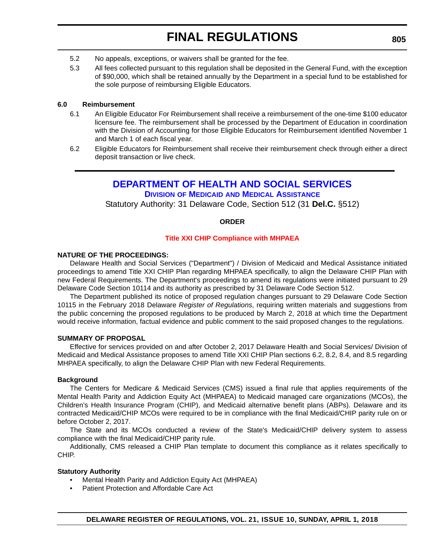- <span id="page-49-0"></span>5.2 No appeals, exceptions, or waivers shall be granted for the fee.
- 5.3 All fees collected pursuant to this regulation shall be deposited in the General Fund, with the exception of \$90,000, which shall be retained annually by the Department in a special fund to be established for the sole purpose of reimbursing Eligible Educators.

### **6.0 Reimbursement**

- 6.1 An Eligible Educator For Reimbursement shall receive a reimbursement of the one-time \$100 educator licensure fee. The reimbursement shall be processed by the Department of Education in coordination with the Division of Accounting for those Eligible Educators for Reimbursement identified November 1 and March 1 of each fiscal year.
- 6.2 Eligible Educators for Reimbursement shall receive their reimbursement check through either a direct deposit transaction or live check.

### **[DEPARTMENT OF HEALTH AND SOCIAL SERVICES](http://www.dhss.delaware.gov/dhss/dmma/)**

**DIVISION OF MEDICAID [AND MEDICAL ASSISTANCE](http://www.dhss.delaware.gov/dhss/dmma/)**

Statutory Authority: 31 Delaware Code, Section 512 (31 **Del.C.** §512)

### **ORDER**

### **[Title XXI CHIP Compliance with MHPAEA](#page-3-0)**

### **NATURE OF THE PROCEEDINGS:**

Delaware Health and Social Services ("Department") / Division of Medicaid and Medical Assistance initiated proceedings to amend Title XXI CHIP Plan regarding MHPAEA specifically, to align the Delaware CHIP Plan with new Federal Requirements. The Department's proceedings to amend its regulations were initiated pursuant to 29 Delaware Code Section 10114 and its authority as prescribed by 31 Delaware Code Section 512.

The Department published its notice of proposed regulation changes pursuant to 29 Delaware Code Section 10115 in the February 2018 Delaware *Register of Regulations*, requiring written materials and suggestions from the public concerning the proposed regulations to be produced by March 2, 2018 at which time the Department would receive information, factual evidence and public comment to the said proposed changes to the regulations.

#### **SUMMARY OF PROPOSAL**

Effective for services provided on and after October 2, 2017 Delaware Health and Social Services/ Division of Medicaid and Medical Assistance proposes to amend Title XXI CHIP Plan sections 6.2, 8.2, 8.4, and 8.5 regarding MHPAEA specifically, to align the Delaware CHIP Plan with new Federal Requirements.

#### **Background**

The Centers for Medicare & Medicaid Services (CMS) issued a final rule that applies requirements of the Mental Health Parity and Addiction Equity Act (MHPAEA) to Medicaid managed care organizations (MCOs), the Children's Health Insurance Program (CHIP), and Medicaid alternative benefit plans (ABPs). Delaware and its contracted Medicaid/CHIP MCOs were required to be in compliance with the final Medicaid/CHIP parity rule on or before October 2, 2017.

The State and its MCOs conducted a review of the State's Medicaid/CHIP delivery system to assess compliance with the final Medicaid/CHIP parity rule.

Additionally, CMS released a CHIP Plan template to document this compliance as it relates specifically to CHIP.

#### **Statutory Authority**

- Mental Health Parity and Addiction Equity Act (MHPAEA)
- Patient Protection and Affordable Care Act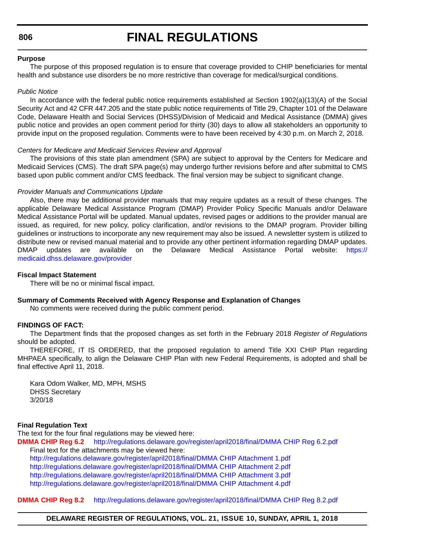**806**

### **FINAL REGULATIONS**

#### **Purpose**

The purpose of this proposed regulation is to ensure that coverage provided to CHIP beneficiaries for mental health and substance use disorders be no more restrictive than coverage for medical/surgical conditions.

#### *Public Notice*

In accordance with the federal public notice requirements established at Section 1902(a)(13)(A) of the Social Security Act and 42 CFR 447.205 and the state public notice requirements of Title 29, Chapter 101 of the Delaware Code, Delaware Health and Social Services (DHSS)/Division of Medicaid and Medical Assistance (DMMA) gives public notice and provides an open comment period for thirty (30) days to allow all stakeholders an opportunity to provide input on the proposed regulation. Comments were to have been received by 4:30 p.m. on March 2, 2018.

#### *Centers for Medicare and Medicaid Services Review and Approval*

The provisions of this state plan amendment (SPA) are subject to approval by the Centers for Medicare and Medicaid Services (CMS). The draft SPA page(s) may undergo further revisions before and after submittal to CMS based upon public comment and/or CMS feedback. The final version may be subject to significant change.

### *Provider Manuals and Communications Update*

Also, there may be additional provider manuals that may require updates as a result of these changes. The applicable Delaware Medical Assistance Program (DMAP) Provider Policy Specific Manuals and/or Delaware Medical Assistance Portal will be updated. Manual updates, revised pages or additions to the provider manual are issued, as required, for new policy, policy clarification, and/or revisions to the DMAP program. Provider billing guidelines or instructions to incorporate any new requirement may also be issued. A newsletter system is utilized to distribute new or revised manual material and to provide any other pertinent information regarding DMAP updates. DMAP updates are available on the Delaware Medical Assistance Portal website: [https://](https://medicaid.dhss.delaware.gov/provider) [medicaid.dhss.delaware.gov/provider](https://medicaid.dhss.delaware.gov/provider)

#### **Fiscal Impact Statement**

There will be no or minimal fiscal impact.

#### **Summary of Comments Received with Agency Response and Explanation of Changes**

No comments were received during the public comment period.

### **FINDINGS OF FACT:**

The Department finds that the proposed changes as set forth in the February 2018 *Register of Regulations* should be adopted.

THEREFORE, IT IS ORDERED, that the proposed regulation to amend Title XXI CHIP Plan regarding MHPAEA specifically, to align the Delaware CHIP Plan with new Federal Requirements, is adopted and shall be final effective April 11, 2018.

Kara Odom Walker, MD, MPH, MSHS DHSS Secretary 3/20/18

#### **Final Regulation Text**

The text for the four final regulations may be viewed here:

**DMMA CHIP Reg 6.2**<http://regulations.delaware.gov/register/april2018/final/DMMA CHIP Reg 6.2.pdf> Final text for the attachments may be viewed here:

<http://regulations.delaware.gov/register/april2018/final/DMMA CHIP Attachment 1.pdf> <http://regulations.delaware.gov/register/april2018/final/DMMA CHIP Attachment 2.pdf> <http://regulations.delaware.gov/register/april2018/final/DMMA CHIP Attachment 3.pdf> <http://regulations.delaware.gov/register/april2018/final/DMMA CHIP Attachment 4.pdf>

#### **DMMA CHIP Reg 8.2** <http://regulations.delaware.gov/register/april2018/final/DMMA CHIP Reg 8.2.pdf>

**DELAWARE REGISTER OF REGULATIONS, VOL. 21, ISSUE 10, SUNDAY, APRIL 1, 2018**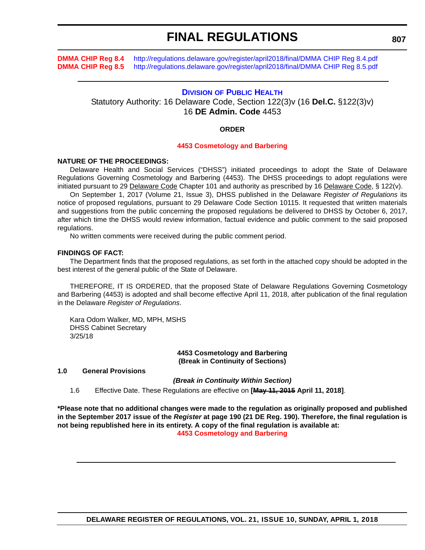<span id="page-51-0"></span>**DMMA CHIP Reg 8.4** <http://regulations.delaware.gov/register/april2018/final/DMMA CHIP Reg 8.4.pdf> **DMMA CHIP Reg 8.5** <http://regulations.delaware.gov/register/april2018/final/DMMA CHIP Reg 8.5.pdf>

### **DIVISION [OF PUBLIC HEALTH](http://www.dhss.delaware.gov/dhss/dph/index.html)**

Statutory Authority: 16 Delaware Code, Section 122(3)v (16 **Del.C.** §122(3)v) 16 **DE Admin. Code** 4453

#### **ORDER**

#### **[4453 Cosmetology and Barbering](#page-3-0)**

#### **NATURE OF THE PROCEEDINGS:**

Delaware Health and Social Services ("DHSS") initiated proceedings to adopt the State of Delaware Regulations Governing Cosmetology and Barbering (4453). The DHSS proceedings to adopt regulations were initiated pursuant to 29 Delaware Code Chapter 101 and authority as prescribed by 16 Delaware Code, § 122(v).

On September 1, 2017 (Volume 21, Issue 3), DHSS published in the Delaware *Register of Regulations* its notice of proposed regulations, pursuant to 29 Delaware Code Section 10115. It requested that written materials and suggestions from the public concerning the proposed regulations be delivered to DHSS by October 6, 2017, after which time the DHSS would review information, factual evidence and public comment to the said proposed regulations.

No written comments were received during the public comment period.

#### **FINDINGS OF FACT:**

The Department finds that the proposed regulations, as set forth in the attached copy should be adopted in the best interest of the general public of the State of Delaware.

THEREFORE, IT IS ORDERED, that the proposed State of Delaware Regulations Governing Cosmetology and Barbering (4453) is adopted and shall become effective April 11, 2018, after publication of the final regulation in the Delaware *Register of Regulations*.

Kara Odom Walker, MD, MPH, MSHS DHSS Cabinet Secretary 3/25/18

> **4453 Cosmetology and Barbering (Break in Continuity of Sections)**

#### **1.0 General Provisions**

*(Break in Continuity Within Section)*

1.6 Effective Date. These Regulations are effective on **[May 11, 2015 April 11, 2018]**.

**\*Please note that no additional changes were made to the regulation as originally proposed and published in the September 2017 issue of the** *Register* **at page 190 (21 DE Reg. 190). Therefore, the final regulation is not being republished here in its entirety. A copy of the final regulation is available at: [4453 Cosmetology and Barbering](http://regulations.delaware.gov/register/april2018/final/21 DE Reg 807 04-01-18.htm)**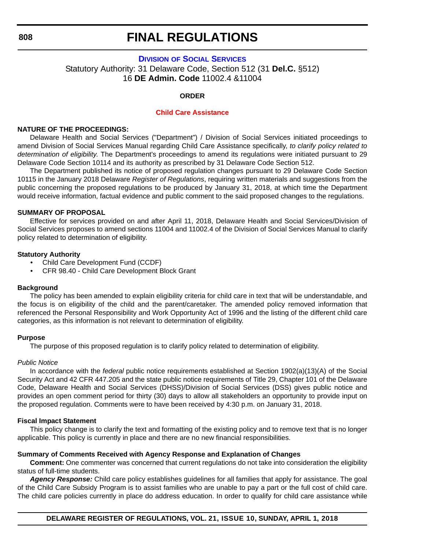#### <span id="page-52-0"></span>**808**

### **FINAL REGULATIONS**

### **DIVISION [OF SOCIAL SERVICES](http://www.dhss.delaware.gov/dhss/dss/)** Statutory Authority: 31 Delaware Code, Section 512 (31 **Del.C.** §512) 16 **DE Admin. Code** 11002.4 &11004

### **ORDER**

#### **[Child Care Assistance](#page-3-0)**

### **NATURE OF THE PROCEEDINGS:**

Delaware Health and Social Services ("Department") / Division of Social Services initiated proceedings to amend Division of Social Services Manual regarding Child Care Assistance specifically, *to clarify policy related to determination of eligibility*. The Department's proceedings to amend its regulations were initiated pursuant to 29 Delaware Code Section 10114 and its authority as prescribed by 31 Delaware Code Section 512.

The Department published its notice of proposed regulation changes pursuant to 29 Delaware Code Section 10115 in the January 2018 Delaware *Register of Regulations*, requiring written materials and suggestions from the public concerning the proposed regulations to be produced by January 31, 2018, at which time the Department would receive information, factual evidence and public comment to the said proposed changes to the regulations.

#### **SUMMARY OF PROPOSAL**

Effective for services provided on and after April 11, 2018, Delaware Health and Social Services/Division of Social Services proposes to amend sections 11004 and 11002.4 of the Division of Social Services Manual to clarify policy related to determination of eligibility.

### **Statutory Authority**

- Child Care Development Fund (CCDF)
- CFR 98.40 Child Care Development Block Grant

#### **Background**

The policy has been amended to explain eligibility criteria for child care in text that will be understandable, and the focus is on eligibility of the child and the parent/caretaker. The amended policy removed information that referenced the Personal Responsibility and Work Opportunity Act of 1996 and the listing of the different child care categories, as this information is not relevant to determination of eligibility.

#### **Purpose**

The purpose of this proposed regulation is to clarify policy related to determination of eligibility.

#### *Public Notice*

In accordance with the *federal* public notice requirements established at Section 1902(a)(13)(A) of the Social Security Act and 42 CFR 447.205 and the state public notice requirements of Title 29, Chapter 101 of the Delaware Code, Delaware Health and Social Services (DHSS)/Division of Social Services (DSS) gives public notice and provides an open comment period for thirty (30) days to allow all stakeholders an opportunity to provide input on the proposed regulation. Comments were to have been received by 4:30 p.m. on January 31, 2018.

#### **Fiscal Impact Statement**

This policy change is to clarify the text and formatting of the existing policy and to remove text that is no longer applicable. This policy is currently in place and there are no new financial responsibilities.

### **Summary of Comments Received with Agency Response and Explanation of Changes**

**Comment:** One commenter was concerned that current regulations do not take into consideration the eligibility status of full-time students.

*Agency Response:* Child care policy establishes guidelines for all families that apply for assistance. The goal of the Child Care Subsidy Program is to assist families who are unable to pay a part or the full cost of child care. The child care policies currently in place do address education. In order to qualify for child care assistance while

**DELAWARE REGISTER OF REGULATIONS, VOL. 21, ISSUE 10, SUNDAY, APRIL 1, 2018**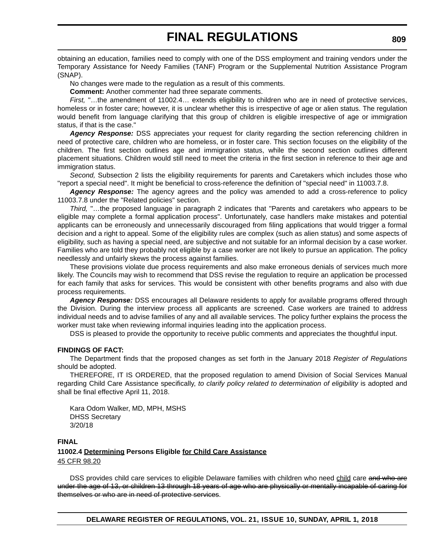obtaining an education, families need to comply with one of the DSS employment and training vendors under the Temporary Assistance for Needy Families (TANF) Program or the Supplemental Nutrition Assistance Program (SNAP).

No changes were made to the regulation as a result of this comments.

**Comment:** Another commenter had three separate comments.

*First,* "…the amendment of 11002.4… extends eligibility to children who are in need of protective services, homeless or in foster care; however, it is unclear whether this is irrespective of age or alien status. The regulation would benefit from language clarifying that this group of children is eligible irrespective of age or immigration status, if that is the case."

*Agency Response:* DSS appreciates your request for clarity regarding the section referencing children in need of protective care, children who are homeless, or in foster care. This section focuses on the eligibility of the children. The first section outlines age and immigration status, while the second section outlines different placement situations. Children would still need to meet the criteria in the first section in reference to their age and immigration status.

*Second,* Subsection 2 lists the eligibility requirements for parents and Caretakers which includes those who "report a special need". It might be beneficial to cross-reference the definition of "special need" in 11003.7.8.

*Agency Response:* The agency agrees and the policy was amended to add a cross-reference to policy 11003.7.8 under the "Related policies" section.

*Third,* "…the proposed language in paragraph 2 indicates that "Parents and caretakers who appears to be eligible may complete a formal application process". Unfortunately, case handlers make mistakes and potential applicants can be erroneously and unnecessarily discouraged from filing applications that would trigger a formal decision and a right to appeal. Some of the eligibility rules are complex (such as alien status) and some aspects of eligibility, such as having a special need, are subjective and not suitable for an informal decision by a case worker. Families who are told they probably not eligible by a case worker are not likely to pursue an application. The policy needlessly and unfairly skews the process against families.

These provisions violate due process requirements and also make erroneous denials of services much more likely. The Councils may wish to recommend that DSS revise the regulation to require an application be processed for each family that asks for services. This would be consistent with other benefits programs and also with due process requirements.

*Agency Response:* DSS encourages all Delaware residents to apply for available programs offered through the Division. During the interview process all applicants are screened. Case workers are trained to address individual needs and to advise families of any and all available services. The policy further explains the process the worker must take when reviewing informal inquiries leading into the application process.

DSS is pleased to provide the opportunity to receive public comments and appreciates the thoughtful input.

#### **FINDINGS OF FACT:**

The Department finds that the proposed changes as set forth in the January 2018 *Register of Regulations* should be adopted.

THEREFORE, IT IS ORDERED, that the proposed regulation to amend Division of Social Services Manual regarding Child Care Assistance specifically, *to clarify policy related to determination of eligibility* is adopted and shall be final effective April 11, 2018.

Kara Odom Walker, MD, MPH, MSHS DHSS Secretary 3/20/18

### **FINAL 11002.4 Determining Persons Eligible for Child Care Assistance** 45 CFR 98.20

DSS provides child care services to eligible Delaware families with children who need child care and who are under the age of 13, or children 13 through 18 years of age who are physically or mentally incapable of caring for themselves or who are in need of protective services.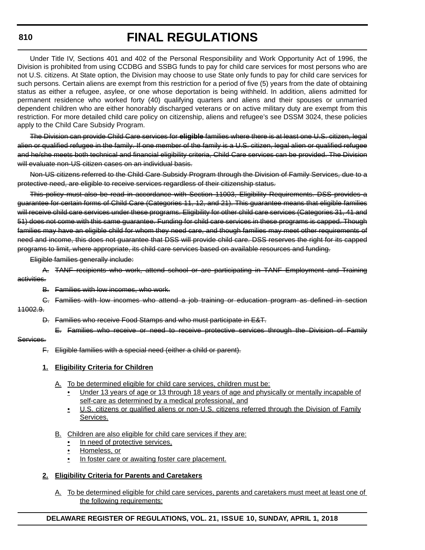### **810**

### **FINAL REGULATIONS**

Under Title IV, Sections 401 and 402 of the Personal Responsibility and Work Opportunity Act of 1996, the Division is prohibited from using CCDBG and SSBG funds to pay for child care services for most persons who are not U.S. citizens. At State option, the Division may choose to use State only funds to pay for child care services for such persons. Certain aliens are exempt from this restriction for a period of five (5) years from the date of obtaining status as either a refugee, asylee, or one whose deportation is being withheld. In addition, aliens admitted for permanent residence who worked forty (40) qualifying quarters and aliens and their spouses or unmarried dependent children who are either honorably discharged veterans or on active military duty are exempt from this restriction. For more detailed child care policy on citizenship, aliens and refugee's see DSSM 3024, these policies apply to the Child Care Subsidy Program.

The Division can provide Child Care services for **eligible** families where there is at least one U.S. citizen, legal alien or qualified refugee in the family. If one member of the family is a U.S. citizen, legal alien or qualified refugee and he/she meets both technical and financial eligibility criteria, Child Care services can be provided. The Division will evaluate non-US citizen cases on an individual basis.

Non-US citizens referred to the Child Care Subsidy Program through the Division of Family Services, due to a protective need, are eligible to receive services regardless of their citizenship status.

This policy must also be read in accordance with Section 11003, Eligibility Requirements. DSS provides a guarantee for certain forms of Child Care (Categories 11, 12, and 21). This guarantee means that eligible families will receive child care services under these programs. Eligibility for other child care services (Categories 31, 41 and 51) does not come with this same guarantee. Funding for child care services in these programs is capped. Though families may have an eligible child for whom they need care, and though families may meet other requirements of need and income, this does not guarantee that DSS will provide child care. DSS reserves the right for its capped programs to limit, where appropriate, its child care services based on available resources and funding.

Eligible families generally include:

A. TANF recipients who work, attend school or are participating in TANF Employment and Training activities.

- B. Families with low incomes, who work.
- C. Families with low incomes who attend a job training or education program as defined in section
- 11002.9.
	- D. Families who receive Food Stamps and who must participate in E&T.
		- E. Families who receive or need to receive protective services through the Division of Family

### Services.

F. Eligible families with a special need (either a child or parent).

### **1. Eligibility Criteria for Children**

- A. To be determined eligible for child care services, children must be:
	- Under 13 years of age or 13 through 18 years of age and physically or mentally incapable of self-care as determined by a medical professional, and
	- U.S. citizens or qualified aliens or non-U.S. citizens referred through the Division of Family Services.
- B. Children are also eligible for child care services if they are:
	- In need of protective services,
	- Homeless, or
	- In foster care or awaiting foster care placement.

### **2. Eligibility Criteria for Parents and Caretakers**

A. To be determined eligible for child care services, parents and caretakers must meet at least one of the following requirements:

### **DELAWARE REGISTER OF REGULATIONS, VOL. 21, ISSUE 10, SUNDAY, APRIL 1, 2018**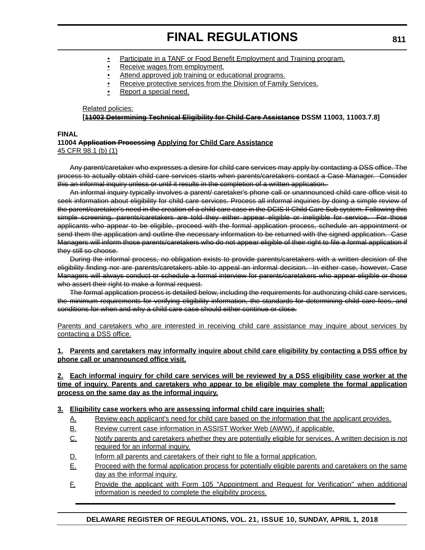- Participate in a TANF or Food Benefit Employment and Training program.
- Receive wages from employment.
- Attend approved job training or educational programs.
- Receive protective services from the Division of Family Services.
- Report a special need.

#### Related policies:

### **[11003 Determining Technical Eligibility for Child Care Assistance DSSM 11003, 11003.7.8]**

#### **FINAL**

#### **11004 Application Processing Applying for Child Care Assistance** 45 CFR 98.1 (b) (1)

Any parent/caretaker who expresses a desire for child care services may apply by contacting a DSS office. The process to actually obtain child care services starts when parents/caretakers contact a Case Manager. Consider this an informal inquiry unless or until it results in the completion of a written application.

An informal inquiry typically involves a parent/ caretaker's phone call or unannounced child care office visit to seek information about eligibility for child care services. Process all informal inquiries by doing a simple review of the parent/caretaker's need in the creation of a child care case in the DCIS II Child Care Sub system. Following this simple screening, parents/caretakers are told they either appear eligible or ineligible for service. For those applicants who appear to be eligible, proceed with the formal application process, schedule an appointment or send them the application and outline the necessary information to be returned with the signed application. Case Managers will inform those parents/caretakers who do not appear eligible of their right to file a formal application if they still so choose.

During the informal process, no obligation exists to provide parents/caretakers with a written decision of the eligibility finding nor are parents/caretakers able to appeal an informal decision. In either case, however, Case Managers will always conduct or schedule a formal interview for parents/caretakers who appear eligible or those who assert their right to make a formal request.

The formal application process is detailed below, including the requirements for authorizing child care services, the minimum requirements for verifying eligibility information, the standards for determining child care fees, and conditions for when and why a child care case should either continue or close.

Parents and caretakers who are interested in receiving child care assistance may inquire about services by contacting a DSS office.

### **1. Parents and caretakers may informally inquire about child care eligibility by contacting a DSS office by phone call or unannounced office visit.**

### **2. Each informal inquiry for child care services will be reviewed by a DSS eligibility case worker at the time of inquiry. Parents and caretakers who appear to be eligible may complete the formal application process on the same day as the informal inquiry.**

### **3. Eligibility case workers who are assessing informal child care inquiries shall:**

- A. Review each applicant's need for child care based on the information that the applicant provides.
- B. Review current case information in ASSIST Worker Web (AWW), if applicable.
- C. Notify parents and caretakers whether they are potentially eligible for services. A written decision is not required for an informal inquiry.
- D. Inform all parents and caretakers of their right to file a formal application.
- E. Proceed with the formal application process for potentially eligible parents and caretakers on the same day as the informal inquiry.
- F. Provide the applicant with Form 105 "Appointment and Request for Verification" when additional information is needed to complete the eligibility process.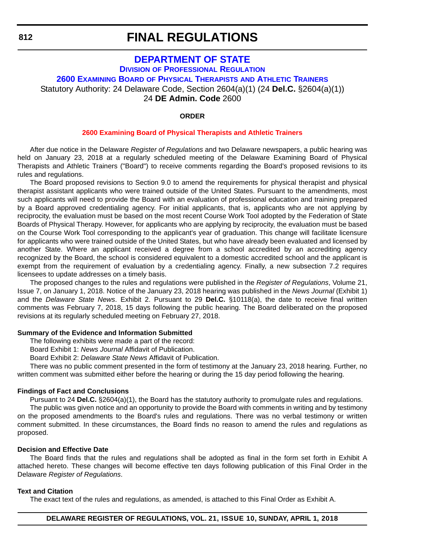### <span id="page-56-0"></span>**[DEPARTMENT OF STATE](https://dpr.delaware.gov/) DIVISION [OF PROFESSIONAL REGULATION](https://dpr.delaware.gov/) 2600 EXAMINING BOARD [OF PHYSICAL THERAPISTS](https://dpr.delaware.gov/) AND ATHLETIC TRAINERS** Statutory Authority: 24 Delaware Code, Section 2604(a)(1) (24 **Del.C.** §2604(a)(1)) 24 **DE Admin. Code** 2600

### **ORDER**

#### **[2600 Examining Board of Physical Therapists and Athletic Trainers](#page-4-0)**

After due notice in the Delaware *Register of Regulations* and two Delaware newspapers, a public hearing was held on January 23, 2018 at a regularly scheduled meeting of the Delaware Examining Board of Physical Therapists and Athletic Trainers ("Board") to receive comments regarding the Board's proposed revisions to its rules and regulations.

The Board proposed revisions to Section 9.0 to amend the requirements for physical therapist and physical therapist assistant applicants who were trained outside of the United States. Pursuant to the amendments, most such applicants will need to provide the Board with an evaluation of professional education and training prepared by a Board approved credentialing agency. For initial applicants, that is, applicants who are not applying by reciprocity, the evaluation must be based on the most recent Course Work Tool adopted by the Federation of State Boards of Physical Therapy. However, for applicants who are applying by reciprocity, the evaluation must be based on the Course Work Tool corresponding to the applicant's year of graduation. This change will facilitate licensure for applicants who were trained outside of the United States, but who have already been evaluated and licensed by another State. Where an applicant received a degree from a school accredited by an accrediting agency recognized by the Board, the school is considered equivalent to a domestic accredited school and the applicant is exempt from the requirement of evaluation by a credentialing agency. Finally, a new subsection 7.2 requires licensees to update addresses on a timely basis.

The proposed changes to the rules and regulations were published in the *Register of Regulations*, Volume 21, Issue 7, on January 1, 2018. Notice of the January 23, 2018 hearing was published in the *News Journal* (Exhibit 1) and the *Delaware State News*. Exhibit 2. Pursuant to 29 **Del.C.** §10118(a), the date to receive final written comments was February 7, 2018, 15 days following the public hearing. The Board deliberated on the proposed revisions at its regularly scheduled meeting on February 27, 2018.

#### **Summary of the Evidence and Information Submitted**

The following exhibits were made a part of the record:

Board Exhibit 1: *News Journal* Affidavit of Publication.

Board Exhibit 2: *Delaware State News* Affidavit of Publication.

There was no public comment presented in the form of testimony at the January 23, 2018 hearing. Further, no written comment was submitted either before the hearing or during the 15 day period following the hearing.

### **Findings of Fact and Conclusions**

Pursuant to 24 **Del.C.** §2604(a)(1), the Board has the statutory authority to promulgate rules and regulations. The public was given notice and an opportunity to provide the Board with comments in writing and by testimony on the proposed amendments to the Board's rules and regulations. There was no verbal testimony or written comment submitted. In these circumstances, the Board finds no reason to amend the rules and regulations as proposed.

#### **Decision and Effective Date**

The Board finds that the rules and regulations shall be adopted as final in the form set forth in Exhibit A attached hereto. These changes will become effective ten days following publication of this Final Order in the Delaware *Register of Regulations*.

#### **Text and Citation**

The exact text of the rules and regulations, as amended, is attached to this Final Order as Exhibit A.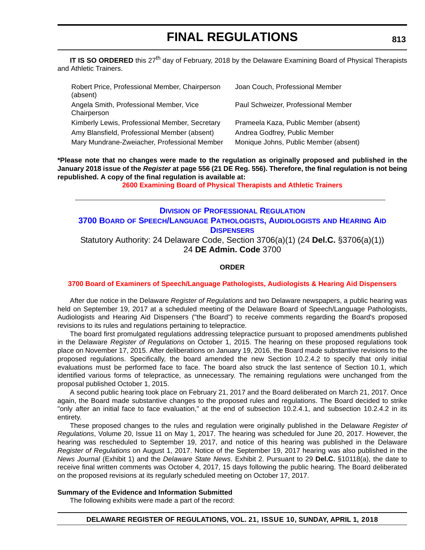<span id="page-57-0"></span>**IT IS SO ORDERED** this 27<sup>th</sup> day of February, 2018 by the Delaware Examining Board of Physical Therapists and Athletic Trainers.

| Robert Price, Professional Member, Chairperson<br>(absent) | Joan Couch, Professional Member       |
|------------------------------------------------------------|---------------------------------------|
| Angela Smith, Professional Member, Vice<br>Chairperson     | Paul Schweizer, Professional Member   |
| Kimberly Lewis, Professional Member, Secretary             | Prameela Kaza, Public Member (absent) |
| Amy Blansfield, Professional Member (absent)               | Andrea Godfrey, Public Member         |
| Mary Mundrane-Zweiacher, Professional Member               | Monique Johns, Public Member (absent) |

**\*Please note that no changes were made to the regulation as originally proposed and published in the January 2018 issue of the** *Register* **at page 556 (21 DE Reg. 556). Therefore, the final regulation is not being republished. A copy of the final regulation is available at:**

**[2600 Examining Board of Physical Therapists and Athletic Trainers](http://regulations.delaware.gov/register/april2018/final/21 DE Reg 812 04-01-18.htm)** 

### **DIVISION [OF PROFESSIONAL REGULATION](https://dpr.delaware.gov/) 3700 BOARD [OF SPEECH/LANGUAGE PATHOLOGISTS, AUDIOLOGISTS](https://dpr.delaware.gov/) AND HEARING AID DISPENSERS** Statutory Authority: 24 Delaware Code, Section 3706(a)(1) (24 **Del.C.** §3706(a)(1)) 24 **DE Admin. Code** 3700

### **ORDER**

### **[3700 Board of Examiners of Speech/Language Pathologists, Audiologists & Hearing Aid Dispensers](#page-4-0)**

After due notice in the Delaware *Register of Regulations* and two Delaware newspapers, a public hearing was held on September 19, 2017 at a scheduled meeting of the Delaware Board of Speech/Language Pathologists, Audiologists and Hearing Aid Dispensers ("the Board") to receive comments regarding the Board's proposed revisions to its rules and regulations pertaining to telepractice.

The board first promulgated regulations addressing telepractice pursuant to proposed amendments published in the Delaware *Register of Regulations* on October 1, 2015. The hearing on these proposed regulations took place on November 17, 2015. After deliberations on January 19, 2016, the Board made substantive revisions to the proposed regulations. Specifically, the board amended the new Section 10.2.4.2 to specify that only initial evaluations must be performed face to face. The board also struck the last sentence of Section 10.1, which identified various forms of telepractice, as unnecessary. The remaining regulations were unchanged from the proposal published October 1, 2015.

A second public hearing took place on February 21, 2017 and the Board deliberated on March 21, 2017. Once again, the Board made substantive changes to the proposed rules and regulations. The Board decided to strike "only after an initial face to face evaluation," at the end of subsection 10.2.4.1, and subsection 10.2.4.2 in its entirety.

These proposed changes to the rules and regulation were originally published in the Delaware *Register of Regulations*, Volume 20, Issue 11 on May 1, 2017. The hearing was scheduled for June 20, 2017. However, the hearing was rescheduled to September 19, 2017, and notice of this hearing was published in the Delaware *Register of Regulations* on August 1, 2017. Notice of the September 19, 2017 hearing was also published in the *News Journal* (Exhibit 1) and the *Delaware State News*. Exhibit 2. Pursuant to 29 **Del.C.** §10118(a), the date to receive final written comments was October 4, 2017, 15 days following the public hearing. The Board deliberated on the proposed revisions at its regularly scheduled meeting on October 17, 2017.

### **Summary of the Evidence and Information Submitted**

The following exhibits were made a part of the record: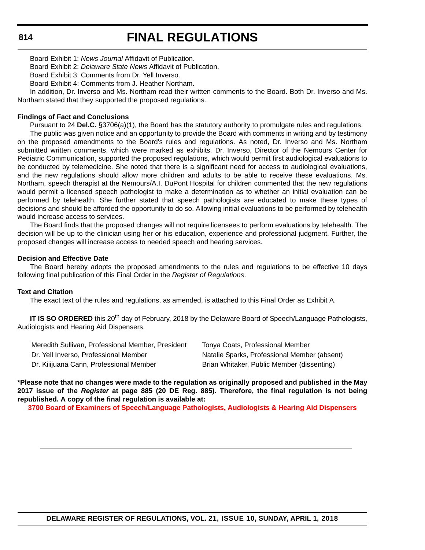### **814**

### **FINAL REGULATIONS**

Board Exhibit 1: *News Journal* Affidavit of Publication.

Board Exhibit 2: *Delaware State News* Affidavit of Publication.

Board Exhibit 3: Comments from Dr. Yell Inverso.

Board Exhibit 4: Comments from J. Heather Northam.

In addition, Dr. Inverso and Ms. Northam read their written comments to the Board. Both Dr. Inverso and Ms. Northam stated that they supported the proposed regulations.

### **Findings of Fact and Conclusions**

Pursuant to 24 **Del.C.** §3706(a)(1), the Board has the statutory authority to promulgate rules and regulations.

The public was given notice and an opportunity to provide the Board with comments in writing and by testimony on the proposed amendments to the Board's rules and regulations. As noted, Dr. Inverso and Ms. Northam submitted written comments, which were marked as exhibits. Dr. Inverso, Director of the Nemours Center for Pediatric Communication, supported the proposed regulations, which would permit first audiological evaluations to be conducted by telemedicine. She noted that there is a significant need for access to audiological evaluations, and the new regulations should allow more children and adults to be able to receive these evaluations. Ms. Northam, speech therapist at the Nemours/A.I. DuPont Hospital for children commented that the new regulations would permit a licensed speech pathologist to make a determination as to whether an initial evaluation can be performed by telehealth. She further stated that speech pathologists are educated to make these types of decisions and should be afforded the opportunity to do so. Allowing initial evaluations to be performed by telehealth would increase access to services.

The Board finds that the proposed changes will not require licensees to perform evaluations by telehealth. The decision will be up to the clinician using her or his education, experience and professional judgment. Further, the proposed changes will increase access to needed speech and hearing services.

#### **Decision and Effective Date**

The Board hereby adopts the proposed amendments to the rules and regulations to be effective 10 days following final publication of this Final Order in the *Register of Regulations*.

#### **Text and Citation**

The exact text of the rules and regulations, as amended, is attached to this Final Order as Exhibit A.

**IT IS SO ORDERED** this 20<sup>th</sup> day of February, 2018 by the Delaware Board of Speech/Language Pathologists, Audiologists and Hearing Aid Dispensers.

| Meredith Sullivan, Professional Member, President |
|---------------------------------------------------|
| Dr. Yell Inverso, Professional Member             |
| Dr. Kiiijuana Cann, Professional Member           |

Tonya Coats, Professional Member Natalie Sparks, Professional Member (absent) Brian Whitaker, Public Member (dissenting)

**\*Please note that no changes were made to the regulation as originally proposed and published in the May 2017 issue of the** *Register* **at page 885 (20 DE Reg. 885). Therefore, the final regulation is not being republished. A copy of the final regulation is available at:**

**[3700 Board of Examiners of Speech/Language Pathologists, Audiologists & Hearing Aid Dispensers](http://regulations.delaware.gov/register/april2018/final/21 DE Reg 813 04-01-18.htm)**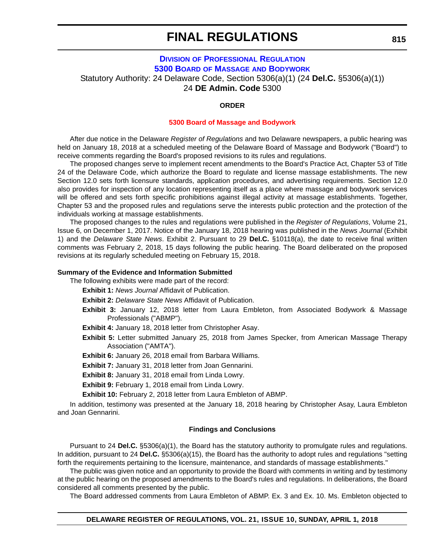### **DIVISION [OF PROFESSIONAL REGULATION](https://dpr.delaware.gov/) 5300 BOARD OF MASSAGE [AND BODYWORK](https://dpr.delaware.gov/)**

<span id="page-59-0"></span>Statutory Authority: 24 Delaware Code, Section 5306(a)(1) (24 **Del.C.** §5306(a)(1))

24 **DE Admin. Code** 5300

### **ORDER**

#### **[5300 Board of Massage and Bodywork](#page-4-0)**

After due notice in the Delaware *Register of Regulations* and two Delaware newspapers, a public hearing was held on January 18, 2018 at a scheduled meeting of the Delaware Board of Massage and Bodywork ("Board") to receive comments regarding the Board's proposed revisions to its rules and regulations.

The proposed changes serve to implement recent amendments to the Board's Practice Act, Chapter 53 of Title 24 of the Delaware Code, which authorize the Board to regulate and license massage establishments. The new Section 12.0 sets forth licensure standards, application procedures, and advertising requirements. Section 12.0 also provides for inspection of any location representing itself as a place where massage and bodywork services will be offered and sets forth specific prohibitions against illegal activity at massage establishments. Together, Chapter 53 and the proposed rules and regulations serve the interests public protection and the protection of the individuals working at massage establishments.

The proposed changes to the rules and regulations were published in the *Register of Regulations*, Volume 21, Issue 6, on December 1, 2017. Notice of the January 18, 2018 hearing was published in the *News Journal* (Exhibit 1) and the *Delaware State News*. Exhibit 2. Pursuant to 29 **Del.C.** §10118(a), the date to receive final written comments was February 2, 2018, 15 days following the public hearing. The Board deliberated on the proposed revisions at its regularly scheduled meeting on February 15, 2018.

#### **Summary of the Evidence and Information Submitted**

The following exhibits were made part of the record:

**Exhibit 1:** *News Journal* Affidavit of Publication.

**Exhibit 2:** *Delaware State News* Affidavit of Publication.

**Exhibit 3:** January 12, 2018 letter from Laura Embleton, from Associated Bodywork & Massage Professionals ("ABMP").

**Exhibit 4:** January 18, 2018 letter from Christopher Asay.

**Exhibit 5:** Letter submitted January 25, 2018 from James Specker, from American Massage Therapy Association ("AMTA").

**Exhibit 6:** January 26, 2018 email from Barbara Williams.

**Exhibit 7:** January 31, 2018 letter from Joan Gennarini.

**Exhibit 8:** January 31, 2018 email from Linda Lowry.

**Exhibit 9:** February 1, 2018 email from Linda Lowry.

**Exhibit 10:** February 2, 2018 letter from Laura Embleton of ABMP.

In addition, testimony was presented at the January 18, 2018 hearing by Christopher Asay, Laura Embleton and Joan Gennarini.

#### **Findings and Conclusions**

Pursuant to 24 **Del.C.** §5306(a)(1), the Board has the statutory authority to promulgate rules and regulations. In addition, pursuant to 24 **Del.C.** §5306(a)(15), the Board has the authority to adopt rules and regulations "setting forth the requirements pertaining to the licensure, maintenance, and standards of massage establishments."

The public was given notice and an opportunity to provide the Board with comments in writing and by testimony at the public hearing on the proposed amendments to the Board's rules and regulations. In deliberations, the Board considered all comments presented by the public.

The Board addressed comments from Laura Embleton of ABMP. Ex. 3 and Ex. 10. Ms. Embleton objected to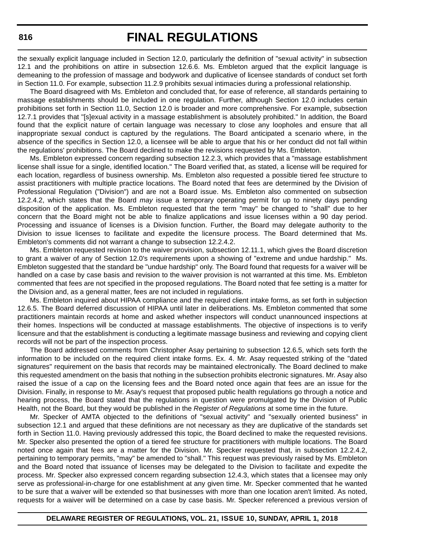the sexually explicit language included in Section 12.0, particularly the definition of "sexual activity" in subsection 12.1 and the prohibitions on attire in subsection 12.6.6. Ms. Embleton argued that the explicit language is demeaning to the profession of massage and bodywork and duplicative of licensee standards of conduct set forth in Section 11.0. For example, subsection 11.2.9 prohibits sexual intimacies during a professional relationship.

The Board disagreed with Ms. Embleton and concluded that, for ease of reference, all standards pertaining to massage establishments should be included in one regulation. Further, although Section 12.0 includes certain prohibitions set forth in Section 11.0, Section 12.0 is broader and more comprehensive. For example, subsection 12.7.1 provides that "[s]exual activity in a massage establishment is absolutely prohibited." In addition, the Board found that the explicit nature of certain language was necessary to close any loopholes and ensure that all inappropriate sexual conduct is captured by the regulations. The Board anticipated a scenario where, in the absence of the specifics in Section 12.0, a licensee will be able to argue that his or her conduct did not fall within the regulations' prohibitions. The Board declined to make the revisions requested by Ms. Embleton.

Ms. Embleton expressed concern regarding subsection 12.2.3, which provides that a "massage establishment license shall issue for a single, identified location." The Board verified that, as stated, a license will be required for each location, regardless of business ownership. Ms. Embleton also requested a possible tiered fee structure to assist practitioners with multiple practice locations. The Board noted that fees are determined by the Division of Professional Regulation ("Division") and are not a Board issue. Ms. Embleton also commented on subsection 12.2.4.2, which states that the Board *may* issue a temporary operating permit for up to ninety days pending disposition of the application. Ms. Embleton requested that the term "may" be changed to "shall" due to her concern that the Board might not be able to finalize applications and issue licenses within a 90 day period. Processing and issuance of licenses is a Division function. Further, the Board may delegate authority to the Division to issue licenses to facilitate and expedite the licensure process. The Board determined that Ms. Embleton's comments did not warrant a change to subsection 12.2.4.2.

Ms. Embleton requested revision to the waiver provision, subsection 12.11.1, which gives the Board discretion to grant a waiver of any of Section 12.0's requirements upon a showing of "extreme and undue hardship." Ms. Embleton suggested that the standard be "undue hardship" only. The Board found that requests for a waiver will be handled on a case by case basis and revision to the waiver provision is not warranted at this time. Ms. Embleton commented that fees are not specified in the proposed regulations. The Board noted that fee setting is a matter for the Division and, as a general matter, fees are not included in regulations.

Ms. Embleton inquired about HIPAA compliance and the required client intake forms, as set forth in subjection 12.6.5. The Board deferred discussion of HIPAA until later in deliberations. Ms. Embleton commented that some practitioners maintain records at home and asked whether inspectors will conduct unannounced inspections at their homes. Inspections will be conducted at massage establishments. The objective of inspections is to verify licensure and that the establishment is conducting a legitimate massage business and reviewing and copying client records will not be part of the inspection process.

The Board addressed comments from Christopher Asay pertaining to subsection 12.6.5, which sets forth the information to be included on the required client intake forms. Ex. 4. Mr. Asay requested striking of the "dated signatures" requirement on the basis that records may be maintained electronically. The Board declined to make this requested amendment on the basis that nothing in the subsection prohibits electronic signatures. Mr. Asay also raised the issue of a cap on the licensing fees and the Board noted once again that fees are an issue for the Division. Finally, in response to Mr. Asay's request that proposed public health regulations go through a notice and hearing process, the Board stated that the regulations in question were promulgated by the Division of Public Health, not the Board, but they would be published in the *Register of Regulations* at some time in the future.

Mr. Specker of AMTA objected to the definitions of "sexual activity" and "sexually oriented business" in subsection 12.1 and argued that these definitions are not necessary as they are duplicative of the standards set forth in Section 11.0. Having previously addressed this topic, the Board declined to make the requested revisions. Mr. Specker also presented the option of a tiered fee structure for practitioners with multiple locations. The Board noted once again that fees are a matter for the Division. Mr. Specker requested that, in subsection 12.2.4.2, pertaining to temporary permits, "may" be amended to "shall." This request was previously raised by Ms. Embleton and the Board noted that issuance of licenses may be delegated to the Division to facilitate and expedite the process. Mr. Specker also expressed concern regarding subsection 12.4.3, which states that a licensee may only serve as professional-in-charge for one establishment at any given time. Mr. Specker commented that he wanted to be sure that a waiver will be extended so that businesses with more than one location aren't limited. As noted, requests for a waiver will be determined on a case by case basis. Mr. Specker referenced a previous version of

### **816**

#### **DELAWARE REGISTER OF REGULATIONS, VOL. 21, ISSUE 10, SUNDAY, APRIL 1, 2018**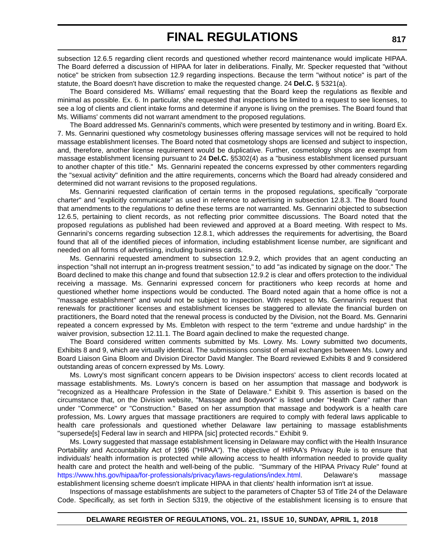subsection 12.6.5 regarding client records and questioned whether record maintenance would implicate HIPAA. The Board deferred a discussion of HIPAA for later in deliberations. Finally, Mr. Specker requested that "without notice" be stricken from subsection 12.9 regarding inspections. Because the term "without notice" is part of the statute, the Board doesn't have discretion to make the requested change. 24 **Del.C.** § 5321(a).

The Board considered Ms. Williams' email requesting that the Board keep the regulations as flexible and minimal as possible. Ex. 6. In particular, she requested that inspections be limited to a request to see licenses, to see a log of clients and client intake forms and determine if anyone is living on the premises. The Board found that Ms. Williams' comments did not warrant amendment to the proposed regulations.

The Board addressed Ms. Gennarini's comments, which were presented by testimony and in writing. Board Ex. 7. Ms. Gennarini questioned why cosmetology businesses offering massage services will not be required to hold massage establishment licenses. The Board noted that cosmetology shops are licensed and subject to inspection, and, therefore, another license requirement would be duplicative. Further, cosmetology shops are exempt from massage establishment licensing pursuant to 24 **Del.C.** §5302(4) as a "business establishment licensed pursuant to another chapter of this title." Ms. Gennarini repeated the concerns expressed by other commenters regarding the "sexual activity" definition and the attire requirements, concerns which the Board had already considered and determined did not warrant revisions to the proposed regulations.

Ms. Gennarini requested clarification of certain terms in the proposed regulations, specifically "corporate charter" and "explicitly communicate" as used in reference to advertising in subsection 12.8.3. The Board found that amendments to the regulations to define these terms are not warranted. Ms. Gennarini objected to subsection 12.6.5, pertaining to client records, as not reflecting prior committee discussions. The Board noted that the proposed regulations as published had been reviewed and approved at a Board meeting. With respect to Ms. Gennarini's concerns regarding subsection 12.8.1, which addresses the requirements for advertising, the Board found that all of the identified pieces of information, including establishment license number, are significant and needed on all forms of advertising, including business cards.

Ms. Gennarini requested amendment to subsection 12.9.2, which provides that an agent conducting an inspection "shall not interrupt an in-progress treatment session," to add "as indicated by signage on the door." The Board declined to make this change and found that subsection 12.9.2 is clear and offers protection to the individual receiving a massage. Ms. Gennarini expressed concern for practitioners who keep records at home and questioned whether home inspections would be conducted. The Board noted again that a home office is not a "massage establishment" and would not be subject to inspection. With respect to Ms. Gennarini's request that renewals for practitioner licenses and establishment licenses be staggered to alleviate the financial burden on practitioners, the Board noted that the renewal process is conducted by the Division, not the Board. Ms. Gennarini repeated a concern expressed by Ms. Embleton with respect to the term "extreme and undue hardship" in the waiver provision, subsection 12.11.1. The Board again declined to make the requested change.

The Board considered written comments submitted by Ms. Lowry. Ms. Lowry submitted two documents, Exhibits 8 and 9, which are virtually identical. The submissions consist of email exchanges between Ms. Lowry and Board Liaison Gina Bloom and Division Director David Mangler. The Board reviewed Exhibits 8 and 9 considered outstanding areas of concern expressed by Ms. Lowry.

Ms. Lowry's most significant concern appears to be Division inspectors' access to client records located at massage establishments. Ms. Lowry's concern is based on her assumption that massage and bodywork is "recognized as a Healthcare Profession in the State of Delaware." Exhibit 9. This assertion is based on the circumstance that, on the Division website, "Massage and Bodywork" is listed under "Health Care" rather than under "Commerce" or "Construction." Based on her assumption that massage and bodywork is a health care profession, Ms. Lowry argues that massage practitioners are required to comply with federal laws applicable to health care professionals and questioned whether Delaware law pertaining to massage establishments "supersede[s] Federal law in search and HIPPA [sic] protected records." Exhibit 9.

Ms. Lowry suggested that massage establishment licensing in Delaware may conflict with the Health Insurance Portability and Accountability Act of 1996 ("HIPAA"). The objective of HIPAA's Privacy Rule is to ensure that individuals' health information is protected while allowing access to health information needed to provide quality health care and protect the health and well-being of the public. "Summary of the HIPAA Privacy Rule" found at <https://www.hhs.gov/hipaa/for-professionals/privacy/laws-regulations/index.html>. Delaware's massage establishment licensing scheme doesn't implicate HIPAA in that clients' health information isn't at issue.

Inspections of massage establishments are subject to the parameters of Chapter 53 of Title 24 of the Delaware Code. Specifically, as set forth in Section 5319, the objective of the establishment licensing is to ensure that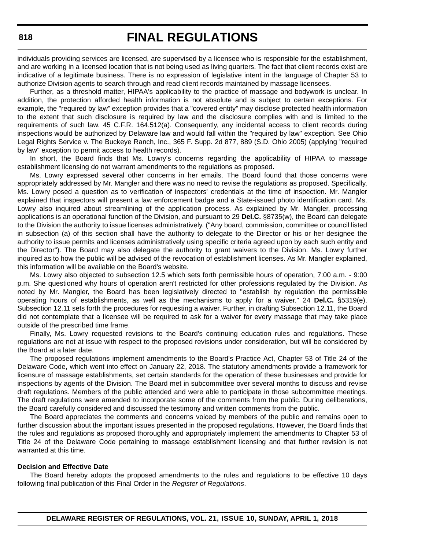individuals providing services are licensed, are supervised by a licensee who is responsible for the establishment, and are working in a licensed location that is not being used as living quarters. The fact that client records exist are indicative of a legitimate business. There is no expression of legislative intent in the language of Chapter 53 to authorize Division agents to search through and read client records maintained by massage licensees.

Further, as a threshold matter, HIPAA's applicability to the practice of massage and bodywork is unclear. In addition, the protection afforded health information is not absolute and is subject to certain exceptions. For example, the "required by law" exception provides that a "covered entity" may disclose protected health information to the extent that such disclosure is required by law and the disclosure complies with and is limited to the requirements of such law. 45 C.F.R. 164.512(a). Consequently, any incidental access to client records during inspections would be authorized by Delaware law and would fall within the "required by law" exception. See Ohio Legal Rights Service v. The Buckeye Ranch, Inc., 365 F. Supp. 2d 877, 889 (S.D. Ohio 2005) (applying "required by law" exception to permit access to health records).

In short, the Board finds that Ms. Lowry's concerns regarding the applicability of HIPAA to massage establishment licensing do not warrant amendments to the regulations as proposed.

Ms. Lowry expressed several other concerns in her emails. The Board found that those concerns were appropriately addressed by Mr. Mangler and there was no need to revise the regulations as proposed. Specifically, Ms. Lowry posed a question as to verification of inspectors' credentials at the time of inspection. Mr. Mangler explained that inspectors will present a law enforcement badge and a State-issued photo identification card. Ms. Lowry also inquired about streamlining of the application process. As explained by Mr. Mangler, processing applications is an operational function of the Division, and pursuant to 29 **Del.C.** §8735(w), the Board can delegate to the Division the authority to issue licenses administratively. ("Any board, commission, committee or council listed in subsection (a) of this section shall have the authority to delegate to the Director or his or her designee the authority to issue permits and licenses administratively using specific criteria agreed upon by each such entity and the Director"). The Board may also delegate the authority to grant waivers to the Division. Ms. Lowry further inquired as to how the public will be advised of the revocation of establishment licenses. As Mr. Mangler explained, this information will be available on the Board's website.

Ms. Lowry also objected to subsection 12.5 which sets forth permissible hours of operation, 7:00 a.m. - 9:00 p.m. She questioned why hours of operation aren't restricted for other professions regulated by the Division. As noted by Mr. Mangler, the Board has been legislatively directed to "establish by regulation the permissible operating hours of establishments, as well as the mechanisms to apply for a waiver." 24 **Del.C.** §5319(e). Subsection 12.11 sets forth the procedures for requesting a waiver. Further, in drafting Subsection 12.11, the Board did not contemplate that a licensee will be required to ask for a waiver for every massage that may take place outside of the prescribed time frame.

Finally, Ms. Lowry requested revisions to the Board's continuing education rules and regulations. These regulations are not at issue with respect to the proposed revisions under consideration, but will be considered by the Board at a later date.

The proposed regulations implement amendments to the Board's Practice Act, Chapter 53 of Title 24 of the Delaware Code, which went into effect on January 22, 2018. The statutory amendments provide a framework for licensure of massage establishments, set certain standards for the operation of these businesses and provide for inspections by agents of the Division. The Board met in subcommittee over several months to discuss and revise draft regulations. Members of the public attended and were able to participate in those subcommittee meetings. The draft regulations were amended to incorporate some of the comments from the public. During deliberations, the Board carefully considered and discussed the testimony and written comments from the public.

The Board appreciates the comments and concerns voiced by members of the public and remains open to further discussion about the important issues presented in the proposed regulations. However, the Board finds that the rules and regulations as proposed thoroughly and appropriately implement the amendments to Chapter 53 of Title 24 of the Delaware Code pertaining to massage establishment licensing and that further revision is not warranted at this time.

#### **Decision and Effective Date**

The Board hereby adopts the proposed amendments to the rules and regulations to be effective 10 days following final publication of this Final Order in the *Register of Regulations*.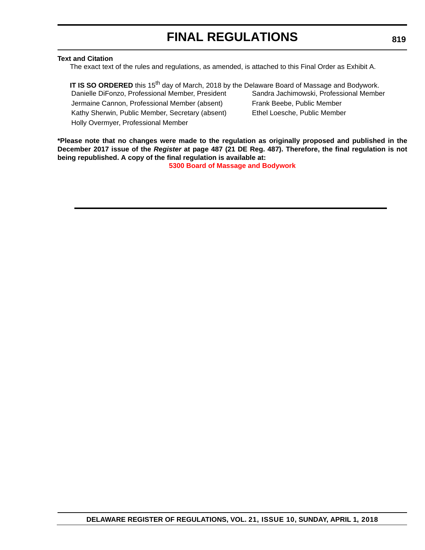### **Text and Citation**

The exact text of the rules and regulations, as amended, is attached to this Final Order as Exhibit A.

**IT IS SO ORDERED** this 15<sup>th</sup> day of March, 2018 by the Delaware Board of Massage and Bodywork. Danielle DiFonzo, Professional Member, President Sandra Jachimowski, Professional Member Jermaine Cannon, Professional Member (absent) Frank Beebe, Public Member Kathy Sherwin, Public Member, Secretary (absent) Ethel Loesche, Public Member Holly Overmyer, Professional Member

**\*Please note that no changes were made to the regulation as originally proposed and published in the December 2017 issue of the** *Register* **at page 487 (21 DE Reg. 487). Therefore, the final regulation is not being republished. A copy of the final regulation is available at:**

**[5300 Board of Massage and Bodywork](http://regulations.delaware.gov/register/april2018/final/21 DE Reg 815 04-01-18.htm)**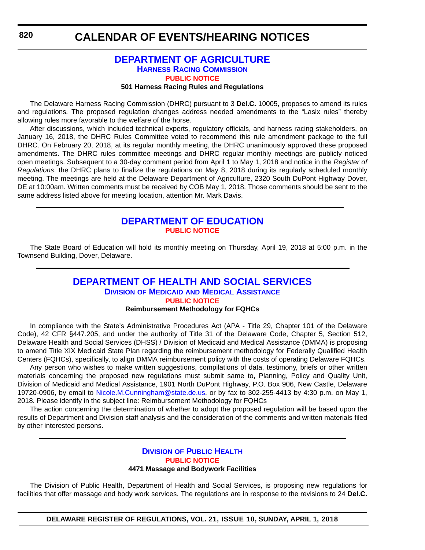### **[DEPARTMENT OF AGRICULTURE](https://agriculture.delaware.gov/harness-racing-commission/) [HARNESS RACING COMMISSION](https://agriculture.delaware.gov/harness-racing-commission/) [PUBLIC NOTICE](#page-4-0)**

#### **501 Harness Racing Rules and Regulations**

<span id="page-64-0"></span>The Delaware Harness Racing Commission (DHRC) pursuant to 3 **Del.C.** 10005, proposes to amend its rules and regulations*.* The proposed regulation changes address needed amendments to the "Lasix rules" thereby allowing rules more favorable to the welfare of the horse.

After discussions, which included technical experts, regulatory officials, and harness racing stakeholders, on January 16, 2018, the DHRC Rules Committee voted to recommend this rule amendment package to the full DHRC. On February 20, 2018, at its regular monthly meeting, the DHRC unanimously approved these proposed amendments. The DHRC rules committee meetings and DHRC regular monthly meetings are publicly noticed open meetings. Subsequent to a 30-day comment period from April 1 to May 1, 2018 and notice in the *Register of Regulations*, the DHRC plans to finalize the regulations on May 8, 2018 during its regularly scheduled monthly meeting. The meetings are held at the Delaware Department of Agriculture, 2320 South DuPont Highway Dover, DE at 10:00am. Written comments must be received by COB May 1, 2018. Those comments should be sent to the same address listed above for meeting location, attention Mr. Mark Davis.

### **[DEPARTMENT OF EDUCATION](https://www.doe.k12.de.us/) [PUBLIC NOTICE](#page-4-0)**

The State Board of Education will hold its monthly meeting on Thursday, April 19, 2018 at 5:00 p.m. in the Townsend Building, Dover, Delaware.

### **[DEPARTMENT OF HEALTH AND SOCIAL SERVICES](http://www.dhss.delaware.gov/dhss/dmma/) DIVISION OF MEDICAID [AND MEDICAL ASSISTANCE](http://www.dhss.delaware.gov/dhss/dmma/) [PUBLIC NOTICE](#page-4-0)**

### **Reimbursement Methodology for FQHCs**

In compliance with the State's Administrative Procedures Act (APA - Title 29, Chapter 101 of the Delaware Code), 42 CFR §447.205, and under the authority of Title 31 of the Delaware Code, Chapter 5, Section 512, Delaware Health and Social Services (DHSS) / Division of Medicaid and Medical Assistance (DMMA) is proposing to amend Title XIX Medicaid State Plan regarding the reimbursement methodology for Federally Qualified Health Centers (FQHCs), specifically, to align DMMA reimbursement policy with the costs of operating Delaware FQHCs.

Any person who wishes to make written suggestions, compilations of data, testimony, briefs or other written materials concerning the proposed new regulations must submit same to, Planning, Policy and Quality Unit, Division of Medicaid and Medical Assistance, 1901 North DuPont Highway, P.O. Box 906, New Castle, Delaware 19720-0906, by email to [Nicole.M.Cunningham@state.de.us,](mailto:Nicole.M.Cunningham@state.de.us) or by fax to 302-255-4413 by 4:30 p.m. on May 1, 2018. Please identify in the subject line: Reimbursement Methodology for FQHCs

The action concerning the determination of whether to adopt the proposed regulation will be based upon the results of Department and Division staff analysis and the consideration of the comments and written materials filed by other interested persons.

### **DIVISION [OF PUBLIC HEALTH](http://www.dhss.delaware.gov/dhss/dph/index.html) [PUBLIC NOTICE](#page-4-0) 4471 Massage and Bodywork Facilities**

The Division of Public Health, Department of Health and Social Services, is proposing new regulations for facilities that offer massage and body work services. The regulations are in response to the revisions to 24 **Del.C.**

**DELAWARE REGISTER OF REGULATIONS, VOL. 21, ISSUE 10, SUNDAY, APRIL 1, 2018**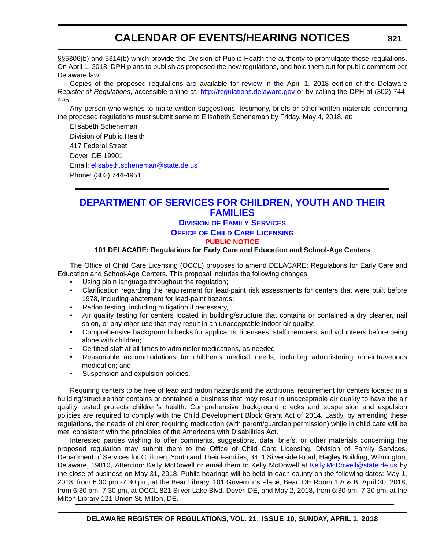<span id="page-65-0"></span>§§5306(b) and 5314(b) which provide the Division of Public Health the authority to promulgate these regulations. On April 1, 2018, DPH plans to publish as proposed the new regulations, and hold them out for public comment per Delaware law.

Copies of the proposed regulations are available for review in the April 1, 2018 edition of the Delaware *Register of Regulations*, accessible online at: <http://regulations.delaware.gov>or by calling the DPH at (302) 744- 4951.

Any person who wishes to make written suggestions, testimony, briefs or other written materials concerning the proposed regulations must submit same to Elisabeth Scheneman by Friday, May 4, 2018, at:

Elisabeth Scheneman Division of Public Health 417 Federal Street Dover, DE 19901 Email: [elisabeth.scheneman@state.de.us](mailto:elisabeth.scheneman@state.de.us) Phone: (302) 744-4951

### **[DEPARTMENT OF SERVICES FOR CHILDREN, YOUTH AND THEIR](https://kids.delaware.gov/fs/fs.shtml)  FAMILIES**

### **DIVISION [OF FAMILY SERVICES](https://kids.delaware.gov/fs/fs.shtml)**

**OFFICE OF CHILD CARE LICENSING**

### **[PUBLIC NOTICE](#page-4-0)**

### **101 DELACARE: Regulations for Early Care and Education and School-Age Centers**

The Office of Child Care Licensing (OCCL) proposes to amend DELACARE: Regulations for Early Care and Education and School-Age Centers. This proposal includes the following changes:

- Using plain language throughout the regulation;
- Clarification regarding the requirement for lead-paint risk assessments for centers that were built before 1978, including abatement for lead-paint hazards;
- Radon testing, including mitigation if necessary,
- Air quality testing for centers located in building/structure that contains or contained a dry cleaner, nail salon, or any other use that may result in an unacceptable indoor air quality;
- Comprehensive background checks for applicants, licensees, staff members, and volunteers before being alone with children;
- Certified staff at all times to administer medications, as needed;
- Reasonable accommodations for children's medical needs, including administering non-intravenous medication; and
- Suspension and expulsion policies.

Requiring centers to be free of lead and radon hazards and the additional requirement for centers located in a building/structure that contains or contained a business that may result in unacceptable air quality to have the air quality tested protects children's health. Comprehensive background checks and suspension and expulsion policies are required to comply with the Child Development Block Grant Act of 2014. Lastly, by amending these regulations, the needs of children requiring medication (with parent/guardian permission) while in child care will be met, consistent with the principles of the Americans with Disabilities Act.

Interested parties wishing to offer comments, suggestions, data, briefs, or other materials concerning the proposed regulation may submit them to the Office of Child Care Licensing, Division of Family Services, Department of Services for Children, Youth and Their Families, 3411 Silverside Road, Hagley Building, Wilmington, Delaware, 19810, Attention: Kelly McDowell or email them to Kelly McDowell at [Kelly.McDowell@state.de.us](mailto:Kelly.McDowell@state.de.us) by the close of business on May 31, 2018. Public hearings will be held in each county on the following dates: May 1, 2018, from 6:30 pm -7:30 pm, at the Bear Library, 101 Governor's Place, Bear, DE Room 1 A & B; April 30, 2018, from 6:30 pm -7:30 pm, at OCCL 821 Silver Lake Blvd. Dover, DE, and May 2, 2018, from 6:30 pm -7:30 pm, at the Milton Library 121 Union St. Milton, DE.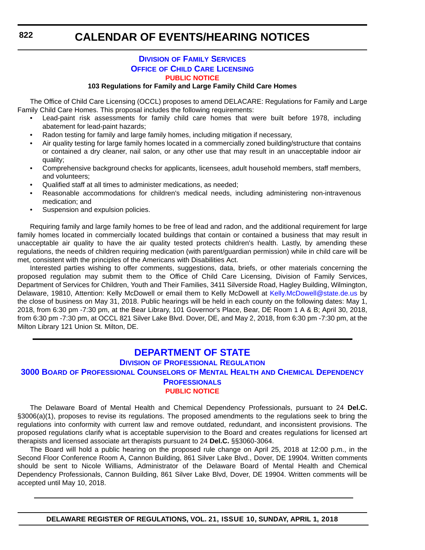### **DIVISION [OF FAMILY SERVICES](https://kids.delaware.gov/fs/fs.shtml) OFFICE OF CHILD CARE LICENSING [PUBLIC NOTICE](#page-4-0)**

#### **103 Regulations for Family and Large Family Child Care Homes**

<span id="page-66-0"></span>The Office of Child Care Licensing (OCCL) proposes to amend DELACARE: Regulations for Family and Large Family Child Care Homes. This proposal includes the following requirements:

- Lead-paint risk assessments for family child care homes that were built before 1978, including abatement for lead-paint hazards;
- Radon testing for family and large family homes, including mitigation if necessary,
- Air quality testing for large family homes located in a commercially zoned building/structure that contains or contained a dry cleaner, nail salon, or any other use that may result in an unacceptable indoor air quality;
- Comprehensive background checks for applicants, licensees, adult household members, staff members, and volunteers;
- Qualified staff at all times to administer medications, as needed;
- Reasonable accommodations for children's medical needs, including administering non-intravenous medication; and
- Suspension and expulsion policies.

Requiring family and large family homes to be free of lead and radon, and the additional requirement for large family homes located in commercially located buildings that contain or contained a business that may result in unacceptable air quality to have the air quality tested protects children's health. Lastly, by amending these regulations, the needs of children requiring medication (with parent/guardian permission) while in child care will be met, consistent with the principles of the Americans with Disabilities Act.

Interested parties wishing to offer comments, suggestions, data, briefs, or other materials concerning the proposed regulation may submit them to the Office of Child Care Licensing, Division of Family Services, Department of Services for Children, Youth and Their Families, 3411 Silverside Road, Hagley Building, Wilmington, Delaware, 19810, Attention: Kelly McDowell or email them to Kelly McDowell at [Kelly.McDowell@state.de.us](mailto:Kelly.McDowell@state.de.us) by the close of business on May 31, 2018. Public hearings will be held in each county on the following dates: May 1, 2018, from 6:30 pm -7:30 pm, at the Bear Library, 101 Governor's Place, Bear, DE Room 1 A & B; April 30, 2018, from 6:30 pm -7:30 pm, at OCCL 821 Silver Lake Blvd. Dover, DE, and May 2, 2018, from 6:30 pm -7:30 pm, at the Milton Library 121 Union St. Milton, DE.

### **[DEPARTMENT OF STATE](https://dpr.delaware.gov/)**

### **DIVISION [OF PROFESSIONAL REGULATION](https://dpr.delaware.gov/)**

### **3000 BOARD [OF PROFESSIONAL COUNSELORS](https://dpr.delaware.gov/) OF MENTAL HEALTH AND CHEMICAL DEPENDENCY PROFESSIONALS**

#### **[PUBLIC NOTICE](#page-4-0)**

The Delaware Board of Mental Health and Chemical Dependency Professionals, pursuant to 24 **Del.C.** §3006(a)(1), proposes to revise its regulations. The proposed amendments to the regulations seek to bring the regulations into conformity with current law and remove outdated, redundant, and inconsistent provisions. The proposed regulations clarify what is acceptable supervision to the Board and creates regulations for licensed art therapists and licensed associate art therapists pursuant to 24 **Del.C.** §§3060-3064.

The Board will hold a public hearing on the proposed rule change on April 25, 2018 at 12:00 p.m., in the Second Floor Conference Room A, Cannon Building, 861 Silver Lake Blvd., Dover, DE 19904. Written comments should be sent to Nicole Williams, Administrator of the Delaware Board of Mental Health and Chemical Dependency Professionals, Cannon Building, 861 Silver Lake Blvd, Dover, DE 19904. Written comments will be accepted until May 10, 2018.

**DELAWARE REGISTER OF REGULATIONS, VOL. 21, ISSUE 10, SUNDAY, APRIL 1, 2018**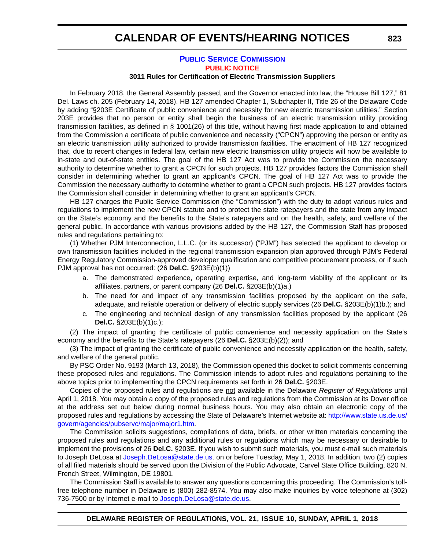### **[PUBLIC SERVICE COMMISSION](https://depsc.delaware.gov/) [PUBLIC NOTICE](#page-4-0)**

#### **3011 Rules for Certification of Electric Transmission Suppliers**

In February 2018, the General Assembly passed, and the Governor enacted into law, the "House Bill 127," 81 Del. Laws ch. 205 (February 14, 2018). HB 127 amended Chapter 1, Subchapter II, Title 26 of the Delaware Code by adding "§203E Certificate of public convenience and necessity for new electric transmission utilities." Section 203E provides that no person or entity shall begin the business of an electric transmission utility providing transmission facilities, as defined in § 1001(26) of this title, without having first made application to and obtained from the Commission a certificate of public convenience and necessity ("CPCN") approving the person or entity as an electric transmission utility authorized to provide transmission facilities. The enactment of HB 127 recognized that, due to recent changes in federal law, certain new electric transmission utility projects will now be available to in-state and out-of-state entities. The goal of the HB 127 Act was to provide the Commission the necessary authority to determine whether to grant a CPCN for such projects. HB 127 provides factors the Commission shall consider in determining whether to grant an applicant's CPCN. The goal of HB 127 Act was to provide the Commission the necessary authority to determine whether to grant a CPCN such projects. HB 127 provides factors the Commission shall consider in determining whether to grant an applicant's CPCN.

HB 127 charges the Public Service Commission (the "Commission") with the duty to adopt various rules and regulations to implement the new CPCN statute and to protect the state ratepayers and the state from any impact on the State's economy and the benefits to the State's ratepayers and on the health, safety, and welfare of the general public. In accordance with various provisions added by the HB 127, the Commission Staff has proposed rules and regulations pertaining to:

(1) Whether PJM Interconnection, L.L.C. (or its successor) ("PJM") has selected the applicant to develop or own transmission facilities included in the regional transmission expansion plan approved through PJM's Federal Energy Regulatory Commission-approved developer qualification and competitive procurement process, or if such PJM approval has not occurred: (26 **Del.C.** §203E(b)(1))

- a. The demonstrated experience, operating expertise, and long-term viability of the applicant or its affiliates, partners, or parent company (26 **Del.C.** §203E(b)(1)a.)
- b. The need for and impact of any transmission facilities proposed by the applicant on the safe, adequate, and reliable operation or delivery of electric supply services (26 **Del.C.** §203E(b)(1)b.); and
- c. The engineering and technical design of any transmission facilities proposed by the applicant (26 **Del.C.** §203E(b)(1)c.);

(2) The impact of granting the certificate of public convenience and necessity application on the State's economy and the benefits to the State's ratepayers (26 **Del.C.** §203E(b)(2)); and

(3) The impact of granting the certificate of public convenience and necessity application on the health, safety, and welfare of the general public.

By PSC Order No. 9193 (March 13, 2018), the Commission opened this docket to solicit comments concerning these proposed rules and regulations. The Commission intends to adopt rules and regulations pertaining to the above topics prior to implementing the CPCN requirements set forth in 26 **Del.C.** §203E.

Copies of the proposed rules and regulations are not available in the Delaware *Register of Regulations* until April 1, 2018. You may obtain a copy of the proposed rules and regulations from the Commission at its Dover office at the address set out below during normal business hours. You may also obtain an electronic copy of the proposed rules and regulations by accessing the State of Delaware's Internet website at: [http://www.state.us.de.us/](http://www.state.us.de.us/govern/agencies/pubservc/major/major1.htm) [govern/agencies/pubservc/major/major1.htm.](http://www.state.us.de.us/govern/agencies/pubservc/major/major1.htm)

The Commission solicits suggestions, compilations of data, briefs, or other written materials concerning the proposed rules and regulations and any additional rules or regulations which may be necessary or desirable to implement the provisions of 26 **Del.C.** §203E. If you wish to submit such materials, you must e-mail such materials to Joseph DeLosa at [Joseph.DeLosa@state.de.us](mailto:Joseph.DeLosa@state.de.us). on or before Tuesday, May 1, 2018. In addition, two (2) copies of all filed materials should be served upon the Division of the Public Advocate, Carvel State Office Building, 820 N. French Street, Wilmington, DE 19801.

The Commission Staff is available to answer any questions concerning this proceeding. The Commission's tollfree telephone number in Delaware is (800) 282-8574. You may also make inquiries by voice telephone at (302) 736-7500 or by Internet e-mail to [Joseph.DeLosa@state.de.us.](mailto:Joseph.DeLosa@state.de.us)